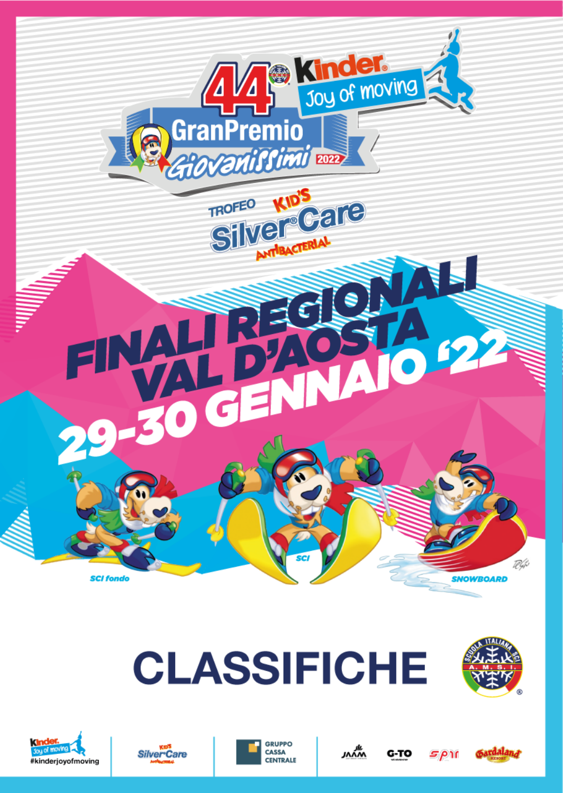















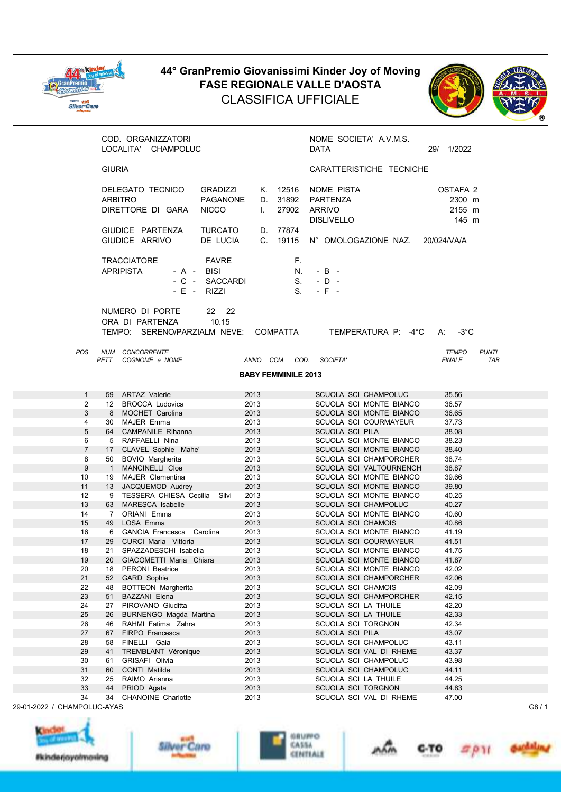

## 4**4° GranPremio Giovanissimi Kinder Joy of Moving**  FASE REGIONALE VALLE D'AOSTA CLASSIFICA UFFICIALE



| COD. ORGANIZZATORI<br>LOCALITA' CHAMPOLUC                                     |                                                     |                                           | NOME SOCIETA' A.V.M.S.<br>DATA                        | 29/<br>1/2022                           |
|-------------------------------------------------------------------------------|-----------------------------------------------------|-------------------------------------------|-------------------------------------------------------|-----------------------------------------|
| <b>GIURIA</b>                                                                 |                                                     |                                           | CARATTERISTICHE TECNICHE                              |                                         |
| DELEGATO TECNICO GRADIZZI<br>ARBITRO<br>DIRETTORE DI GARA<br>GIUDICE PARTENZA | PAGANONE<br><b>NICCO</b><br>$\mathbf{L}$<br>TURCATO | K. 12516<br>D. 31892<br>27902<br>D. 77874 | NOME PISTA<br>PARTENZA<br>ARRIVO<br><b>DISLIVELLO</b> | OSTAFA 2<br>2300 m<br>2155 m<br>$145$ m |
| GIUDICE ARRIVO                                                                | DE LUCIA                                            | C. 19115                                  | N° OMOLOGAZIONE NAZ. 20/024/VA/A                      |                                         |
| TRACCIATORE<br>APRIPISTA<br>- A - BISI<br>- E - RIZZI                         | FAVRF<br>- C - SACCARDI                             | E.<br>N.<br>S.<br>$S_{\cdot}$             | $-B -$<br>$-D -$<br>$-$ F $-$                         |                                         |
| NUMERO DI PORTE<br>ORA DI PARTENZA<br>TEMPO: SERENO/PARZIALM NEVE: COMPATTA   | 22 22<br>10.15                                      |                                           | TEMPERATURA P: -4°C                                   | $-3^{\circ}$ C<br>A:                    |

POS NUM CONCORRENTE TEMPO PUNTI COGNOME e NOME BABY FEMMINILE 2013 1 59 ARTAZ Valerie 2013 SCUOLA SCI CHAMPOLUC 35.56 2 12 BROCCA Ludovica 2013 SCUOLA SCI MONTE BIANCO 36.57 3 8 MOCHET Carolina 2013 SCUOLA SCI MONTE BIANCO 36.65 4 30 MAJER Emma 2013 SCUOLA SCI COURMAYEUR 37.73 5 64 CAMPANILE Rihanna 2013 6 5 RAFFAELLI Nina 2013 SCUOLA SCI MONTE BIANCO 38.23 7 17 CLAVEL Sophie Mahe' 2013 SCUOLA SCI MONTE BIANCO 8 50 BOVIO Margherita 2013 SCUOLA SCI CHAMPORCHER 38.74 1 MANCINELLI Cloe 2013 SCUOLA SCI VALTOURNENCH 10 19 MAJER Clementina 2013 SCUOLA SCI MONTE BIANCO 39.66 11 13 JACQUEMOD Audrey 2013 SCUOLA SCI MONTE BIANCO 39.80 12 9 TESSERA CHIESA Cecilia Silvi 2013 SCUOLA SCI MONTE BIANCO 40.25 13 63 MARESCA Isabelle 2013 SCUOLA SCI CHAMPOLUC 40.27 14 7 ORIANI Emma 2013 SCUOLA SCI MONTE BIANCO 40.60 15 49 LOSA Emma 2013 2013 SCUOLA SCI CHAMOIS 16 6 GANCIA Francesca Carolina 2013 SCUOLA SCI MONTE BIANCO 41.19 17 29 CURCI Maria Vittoria 1990 10013 12013 SCUOLA SCI COURMAYEUR<br>18 21. SPAZZADESCHI Isabella 19013 10013 10014 SCUOLA SCI MONTE BIANCO 18 21 SPAZZADESCHI Isabella 2013 SCUOLA SCI MONTE BIANCO 41.75 SCUOLA SCI MONTE BIANCO 20 18 PERONI Beatrice 2013 SCUOLA SCI MONTE BIANCO 42.02 21 52 GARD Sophie 2013 2013 SCUOLA SCI CHAMPORCHER 42.06<br>22 48 BOTTEON Margherita 2013 2013 SCUOLA SCI CHAMOIS 42.09 22 48 BOTTEON Margherita 2013 SCUOLA SCI CHAMOIS 42.09 23 51 BAZZANI Elena 2013 SCUOLA SCI CHAMPORCHER 42.15 24 27 PIROVANO Giuditta 2013 SCUOLA SCI LA THUILE 42.20 26 BURNENGO Magda Martina 2013 2013 SCUOLA SCI LA THUILE 42.33<br>16 RAHMI Fatima Zahra 2013 2013 SCUOLA SCI TORGNON 42.34 26 46 RAHMI Fatima Zahra 2013 3 SCUOLA SCI TORGNON 27 67 FIRPO Francesca 2013 SCUOLA SCI PILA 43.07 28 58 FINELLI Gaia 2013 2013 SCUOLA SCI CHAMPOLUC<br>29 41 TREMBLANT Véronique 2013 SCUOLA SCI VAL DI RHEP 2013 SCUOLA SCI VAL DI RHEME 43.37 30 61 GRISAFI Olivia 2013 SCUOLA SCI CHAMPOLUC 43.98 31 60 CONTI Matilde 2013 2013 SCUOLA SCI CHAMPOLUC 32 25 RAIMO Arianna 2013 SCUOLA SCI LA THUILE 44.25 2013 5CUOLA SCI TORGNON 34 34 CHANOINE Charlotte 2013 SCUOLA SCI VAL DI RHEME 47.00









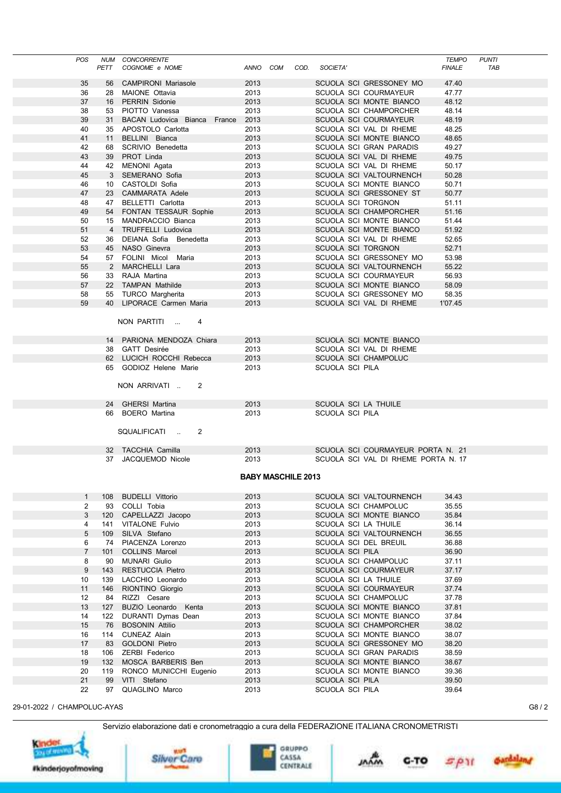|                             | <b>POS</b>          | NUM<br>PETT    | <b>CONCORRENTE</b><br>COGNOME e NOME            | ANNO COM     |                           | COD. | SOCIETA'        |                                                    | <b>TEMPO</b><br><b>FINALE</b> | <b>PUNTI</b><br>TAB |
|-----------------------------|---------------------|----------------|-------------------------------------------------|--------------|---------------------------|------|-----------------|----------------------------------------------------|-------------------------------|---------------------|
|                             |                     |                |                                                 |              |                           |      |                 |                                                    |                               |                     |
|                             | 35                  | 56             | <b>CAMPIRONI Mariasole</b>                      | 2013         |                           |      |                 | SCUOLA SCI GRESSONEY MO                            | 47.40                         |                     |
|                             | 36<br>37            | 28<br>16       | <b>MAIONE</b> Ottavia<br><b>PERRIN Sidonie</b>  | 2013<br>2013 |                           |      |                 | SCUOLA SCI COURMAYEUR<br>SCUOLA SCI MONTE BIANCO   | 47.77<br>48.12                |                     |
|                             | 38                  | 53             | PIOTTO Vanessa                                  | 2013         |                           |      |                 | <b>SCUOLA SCI CHAMPORCHER</b>                      | 48.14                         |                     |
|                             | 39                  | 31             | <b>BACAN Ludovica Bianca</b><br>France          | 2013         |                           |      |                 | SCUOLA SCI COURMAYEUR                              | 48.19                         |                     |
|                             | 40                  |                | 35 APOSTOLO Carlotta                            | 2013         |                           |      |                 | SCUOLA SCI VAL DI RHEME                            | 48.25                         |                     |
|                             | 41                  | 11             | BELLINI Bianca                                  | 2013         |                           |      |                 | SCUOLA SCI MONTE BIANCO                            | 48.65                         |                     |
|                             | 42                  | 68             | SCRIVIO Benedetta                               | 2013         |                           |      |                 | SCUOLA SCI GRAN PARADIS                            | 49.27                         |                     |
|                             | 43<br>44            | 39<br>42       | PROT Linda<br>MENONI Agata                      | 2013<br>2013 |                           |      |                 | SCUOLA SCI VAL DI RHEME<br>SCUOLA SCI VAL DI RHEME | 49.75<br>50.17                |                     |
|                             | 45                  | 3              | SEMERANO Sofia                                  | 2013         |                           |      |                 | SCUOLA SCI VALTOURNENCH                            | 50.28                         |                     |
|                             | 46                  | 10             | CASTOLDI Sofia                                  | 2013         |                           |      |                 | SCUOLA SCI MONTE BIANCO                            | 50.71                         |                     |
|                             | 47                  |                | 23 CAMMARATA Adele                              | 2013         |                           |      |                 | SCUOLA SCI GRESSONEY ST                            | 50.77                         |                     |
|                             | 48                  | 47             | BELLETTI Carlotta                               | 2013         |                           |      |                 | SCUOLA SCI TORGNON                                 | 51.11                         |                     |
|                             | 49                  | 54             | <b>FONTAN TESSAUR Sophie</b>                    | 2013         |                           |      |                 | SCUOLA SCI CHAMPORCHER                             | 51.16                         |                     |
|                             | 50                  | 15             | MANDRACCIO Bianca                               | 2013         |                           |      |                 | SCUOLA SCI MONTE BIANCO                            | 51.44                         |                     |
|                             | 51<br>52            | 36             | 4 TRUFFELLI Ludovica<br>DEIANA Sofia Benedetta  | 2013<br>2013 |                           |      |                 | SCUOLA SCI MONTE BIANCO<br>SCUOLA SCI VAL DI RHEME | 51.92<br>52.65                |                     |
|                             | 53                  | 45             | NASO Ginevra                                    | 2013         |                           |      |                 | <b>SCUOLA SCI TORGNON</b>                          | 52.71                         |                     |
|                             | 54                  |                | 57 FOLINI Micol Maria                           | 2013         |                           |      |                 | SCUOLA SCI GRESSONEY MO                            | 53.98                         |                     |
|                             | 55                  | $\overline{2}$ | <b>MARCHELLI Lara</b>                           | 2013         |                           |      |                 | SCUOLA SCI VALTOURNENCH                            | 55.22                         |                     |
|                             | 56                  | 33             | RAJA Martina                                    | 2013         |                           |      |                 | SCUOLA SCI COURMAYEUR                              | 56.93                         |                     |
|                             | 57                  |                | 22 TAMPAN Mathilde                              | 2013         |                           |      |                 | SCUOLA SCI MONTE BIANCO                            | 58.09                         |                     |
|                             | 58<br>59            |                | 55 TURCO Margherita<br>40 LIPORACE Carmen Maria | 2013<br>2013 |                           |      |                 | SCUOLA SCI GRESSONEY MO<br>SCUOLA SCI VAL DI RHEME | 58.35                         |                     |
|                             |                     |                | NON PARTITI<br>4                                |              |                           |      |                 |                                                    | 1'07.45                       |                     |
|                             |                     |                | 14 PARIONA MENDOZA Chiara                       | 2013         |                           |      |                 | SCUOLA SCI MONTE BIANCO                            |                               |                     |
|                             |                     |                | 38 GATT Desirée                                 | 2013         |                           |      |                 | SCUOLA SCI VAL DI RHEME                            |                               |                     |
|                             |                     |                | 62 LUCICH ROCCHI Rebecca                        | 2013         |                           |      |                 | SCUOLA SCI CHAMPOLUC                               |                               |                     |
|                             |                     |                | 65 GODIOZ Helene Marie                          | 2013         |                           |      | SCUOLA SCI PILA |                                                    |                               |                     |
|                             |                     |                | NON ARRIVATI<br>2                               |              |                           |      |                 |                                                    |                               |                     |
|                             |                     | 24             | <b>GHERSI Martina</b>                           | 2013         |                           |      |                 | SCUOLA SCI LA THUILE                               |                               |                     |
|                             |                     | 66             | <b>BOERO</b> Martina                            | 2013         |                           |      | SCUOLA SCI PILA |                                                    |                               |                     |
|                             |                     |                | SQUALIFICATI<br>2                               |              |                           |      |                 |                                                    |                               |                     |
|                             |                     |                | 32 TACCHIA Camilla                              | 2013         |                           |      |                 | SCUOLA SCI COURMAYEUR PORTA N. 21                  |                               |                     |
|                             |                     |                | 37 JACQUEMOD Nicole                             | 2013         |                           |      |                 | SCUOLA SCI VAL DI RHEME PORTA N. 17                |                               |                     |
|                             |                     |                |                                                 |              | <b>BABY MASCHILE 2013</b> |      |                 |                                                    |                               |                     |
|                             | $\mathbf{1}$        | 108            | <b>BUDELLI Vittorio</b>                         | 2013         |                           |      |                 | SCUOLA SCI VALTOURNENCH                            | 34.43                         |                     |
|                             | 2                   | 93             | COLLI Tobia                                     | 2013         |                           |      |                 | SCUOLA SCI CHAMPOLUC                               | 35.55                         |                     |
|                             | 3                   | 120            | CAPELLAZZI Jacopo                               | 2013         |                           |      |                 | SCUOLA SCI MONTE BIANCO                            | 35.84                         |                     |
|                             | 4                   | 141            | <b>VITALONE Fulvio</b>                          | 2013         |                           |      |                 | SCUOLA SCI LA THUILE                               | 36.14                         |                     |
|                             | 5                   | 109            | SILVA Stefano                                   | 2013         |                           |      |                 | SCUOLA SCI VALTOURNENCH                            | 36.55                         |                     |
|                             | 6                   | 74             | PIACENZA Lorenzo                                | 2013         |                           |      |                 | SCUOLA SCI DEL BREUIL                              | 36.88                         |                     |
|                             | $\overline{7}$<br>8 | 101<br>90      | <b>COLLINS Marcel</b><br><b>MUNARI Giulio</b>   | 2013<br>2013 |                           |      | SCUOLA SCI PILA | SCUOLA SCI CHAMPOLUC                               | 36.90<br>37.11                |                     |
|                             | 9                   | 143            | <b>RESTUCCIA Pietro</b>                         | 2013         |                           |      |                 | <b>SCUOLA SCI COURMAYEUR</b>                       | 37.17                         |                     |
|                             | 10                  | 139            | LACCHIO Leonardo                                | 2013         |                           |      |                 | SCUOLA SCI LA THUILE                               | 37.69                         |                     |
|                             | 11                  | 146            | RIONTINO Giorgio                                | 2013         |                           |      |                 | SCUOLA SCI COURMAYEUR                              | 37.74                         |                     |
|                             | 12                  | 84             | RIZZI Cesare                                    | 2013         |                           |      |                 | SCUOLA SCI CHAMPOLUC                               | 37.78                         |                     |
|                             | 13                  | 127            | BUZIO Leonardo Kenta                            | 2013         |                           |      |                 | SCUOLA SCI MONTE BIANCO                            | 37.81                         |                     |
|                             | 14<br>15            | 122<br>76      | DURANTI Dymas Dean<br><b>BOSONIN Attilio</b>    | 2013<br>2013 |                           |      |                 | SCUOLA SCI MONTE BIANCO                            | 37.84<br>38.02                |                     |
|                             | 16                  | 114            | CUNEAZ Alain                                    | 2013         |                           |      |                 | SCUOLA SCI CHAMPORCHER<br>SCUOLA SCI MONTE BIANCO  | 38.07                         |                     |
|                             | 17                  | 83             | <b>GOLDONI Pietro</b>                           | 2013         |                           |      |                 | SCUOLA SCI GRESSONEY MO                            | 38.20                         |                     |
|                             | 18                  | 106            | ZERBI Federico                                  | 2013         |                           |      |                 | SCUOLA SCI GRAN PARADIS                            | 38.59                         |                     |
|                             | 19                  |                | 132 MOSCA BARBERIS Ben                          | 2013         |                           |      |                 | SCUOLA SCI MONTE BIANCO                            | 38.67                         |                     |
|                             | 20                  | 119            | RONCO MUNICCHI Eugenio                          | 2013         |                           |      |                 | SCUOLA SCI MONTE BIANCO                            | 39.36                         |                     |
|                             | 21                  | 99             | VITI Stefano                                    | 2013         |                           |      | SCUOLA SCI PILA |                                                    | 39.50                         |                     |
|                             | 22                  | 97             | QUAGLINO Marco                                  | 2013         |                           |      | SCUOLA SCI PILA |                                                    | 39.64                         |                     |
| 29-01-2022 / CHAMPOLUC-AYAS |                     |                |                                                 |              |                           |      |                 |                                                    |                               | G8/2                |

Servizio elaborazione dati e cronometraggio a cura della FEDERAZIONE ITALIANA CRONOMETRISTI











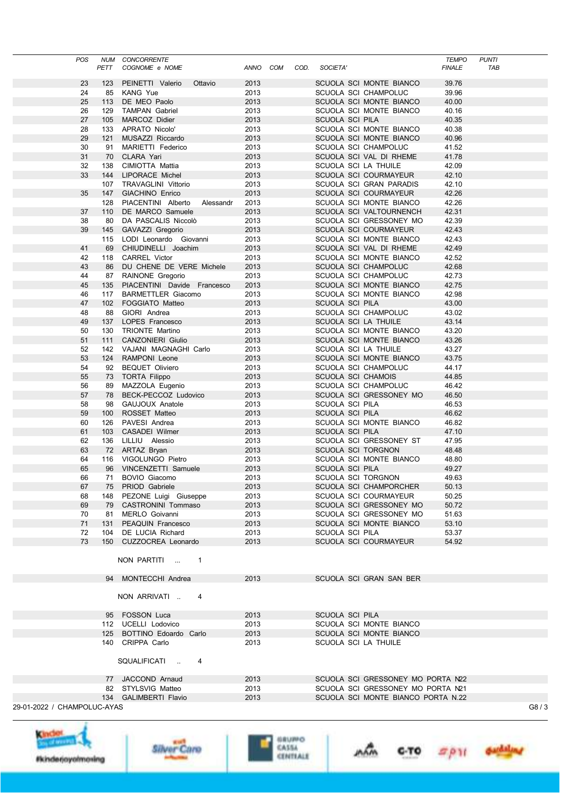|                             | POS      | <b>NUM</b><br>PETT | <b>CONCORRENTE</b><br>COGNOME e NOME           | ANNO COM     | COD. | SOCIETA'               |                                                        | <b>TEMPO</b><br><b>FINALE</b> | <b>PUNTI</b><br>TAB |      |
|-----------------------------|----------|--------------------|------------------------------------------------|--------------|------|------------------------|--------------------------------------------------------|-------------------------------|---------------------|------|
|                             | 23       | 123                | PEINETTI Valerio<br>Ottavio                    | 2013         |      |                        | SCUOLA SCI MONTE BIANCO                                | 39.76                         |                     |      |
|                             | 24       | 85                 | <b>KANG Yue</b>                                | 2013         |      |                        | SCUOLA SCI CHAMPOLUC                                   | 39.96                         |                     |      |
|                             | 25       | 113                | DE MEO Paolo                                   | 2013         |      |                        | SCUOLA SCI MONTE BIANCO                                | 40.00                         |                     |      |
|                             | 26       | 129                | <b>TAMPAN Gabriel</b>                          | 2013         |      |                        | SCUOLA SCI MONTE BIANCO                                | 40.16                         |                     |      |
|                             | 27       | 105                | MARCOZ Didier                                  | 2013         |      | <b>SCUOLA SCI PILA</b> |                                                        | 40.35                         |                     |      |
|                             | 28       | 133                | APRATO Nicolo'                                 | 2013         |      |                        | SCUOLA SCI MONTE BIANCO                                | 40.38                         |                     |      |
|                             | 29       | 121                | MUSAZZI Riccardo                               | 2013         |      |                        | SCUOLA SCI MONTE BIANCO                                | 40.96                         |                     |      |
|                             | 30       | 91                 | MARIETTI Federico                              | 2013         |      |                        | SCUOLA SCI CHAMPOLUC                                   | 41.52                         |                     |      |
|                             | 31       | 70                 | CLARA Yari                                     | 2013         |      |                        | SCUOLA SCI VAL DI RHEME                                | 41.78                         |                     |      |
|                             | 32       | 138                | CIMIOTTA Mattia                                | 2013         |      |                        | SCUOLA SCI LA THUILE                                   | 42.09                         |                     |      |
|                             | 33       | 144                | <b>LIPORACE Michel</b>                         | 2013         |      |                        | SCUOLA SCI COURMAYEUR                                  | 42.10                         |                     |      |
|                             |          | 107                | <b>TRAVAGLINI Vittorio</b>                     | 2013         |      |                        | SCUOLA SCI GRAN PARADIS                                | 42.10                         |                     |      |
|                             | 35       | 147                | <b>GIACHINO Enrico</b>                         | 2013         |      |                        | SCUOLA SCI COURMAYEUR                                  | 42.26                         |                     |      |
|                             |          | 128                | PIACENTINI Alberto<br>Alessandr                | 2013         |      |                        | SCUOLA SCI MONTE BIANCO                                | 42.26                         |                     |      |
|                             | 37       | 110                | DE MARCO Samuele                               | 2013         |      |                        | SCUOLA SCI VALTOURNENCH                                | 42.31                         |                     |      |
|                             | 38       | 80                 | DA PASCALIS Niccolò                            | 2013         |      |                        | SCUOLA SCI GRESSONEY MO                                | 42.39                         |                     |      |
|                             | 39       | 145                | GAVAZZI Gregorio                               | 2013         |      |                        | SCUOLA SCI COURMAYEUR                                  | 42.43                         |                     |      |
|                             |          | 115                | LODI Leonardo Giovanni                         | 2013         |      |                        | SCUOLA SCI MONTE BIANCO                                | 42.43                         |                     |      |
|                             | 41       | 69                 | CHIUDINELLI Joachim                            | 2013         |      |                        | SCUOLA SCI VAL DI RHEME                                | 42.49                         |                     |      |
|                             | 42       | 118                | <b>CARREL Victor</b>                           | 2013         |      |                        | SCUOLA SCI MONTE BIANCO<br><b>SCUOLA SCI CHAMPOLUC</b> | 42.52                         |                     |      |
|                             | 43<br>44 | 86<br>87           | DU CHENE DE VERE Michele<br>RAINONE Gregorio   | 2013<br>2013 |      |                        | <b>SCUOLA SCI CHAMPOLUC</b>                            | 42.68<br>42.73                |                     |      |
|                             | 45       | 135                | PIACENTINI Davide Francesco                    | 2013         |      |                        | SCUOLA SCI MONTE BIANCO                                | 42.75                         |                     |      |
|                             | 46       | 117                | <b>BARMETTLER Giacomo</b>                      | 2013         |      |                        | SCUOLA SCI MONTE BIANCO                                | 42.98                         |                     |      |
|                             | 47       | 102 <sub>2</sub>   | FOGGIATO Matteo                                | 2013         |      | <b>SCUOLA SCI PILA</b> |                                                        | 43.00                         |                     |      |
|                             | 48       | 88                 | GIORI Andrea                                   | 2013         |      |                        | SCUOLA SCI CHAMPOLUC                                   | 43.02                         |                     |      |
|                             | 49       | 137                | LOPES Francesco                                | 2013         |      |                        | SCUOLA SCI LA THUILE                                   | 43.14                         |                     |      |
|                             | 50       | 130                | <b>TRIONTE Martino</b>                         | 2013         |      |                        | SCUOLA SCI MONTE BIANCO                                | 43.20                         |                     |      |
|                             | 51       | 111                | <b>CANZONIERI Giulio</b>                       | 2013         |      |                        | SCUOLA SCI MONTE BIANCO                                | 43.26                         |                     |      |
|                             | 52       | 142                | VAJANI MAGNAGHI Carlo                          | 2013         |      |                        | SCUOLA SCI LA THUILE                                   | 43.27                         |                     |      |
|                             | 53       | 124                | RAMPONI Leone                                  | 2013         |      |                        | SCUOLA SCI MONTE BIANCO                                | 43.75                         |                     |      |
|                             | 54       | 92                 | <b>BEQUET Oliviero</b>                         | 2013         |      |                        | SCUOLA SCI CHAMPOLUC                                   | 44.17                         |                     |      |
|                             | 55       | 73                 | <b>TORTA Filippo</b>                           | 2013         |      |                        | <b>SCUOLA SCI CHAMOIS</b>                              | 44.85                         |                     |      |
|                             | 56       | 89                 | MAZZOLA Eugenio                                | 2013         |      |                        | SCUOLA SCI CHAMPOLUC                                   | 46.42                         |                     |      |
|                             | 57       | 78                 | BECK-PECCOZ Ludovico                           | 2013         |      |                        | SCUOLA SCI GRESSONEY MO                                | 46.50                         |                     |      |
|                             | 58       | 98                 | GAUJOUX Anatole                                | 2013         |      | SCUOLA SCI PILA        |                                                        | 46.53                         |                     |      |
|                             | 59       | 100                | ROSSET Matteo                                  | 2013         |      | SCUOLA SCI PILA        |                                                        | 46.62                         |                     |      |
|                             | 60       | 126                | PAVESI Andrea                                  | 2013         |      |                        | SCUOLA SCI MONTE BIANCO                                | 46.82                         |                     |      |
|                             | 61       | 103                | <b>CASADEI Wilmer</b>                          | 2013         |      | SCUOLA SCI PILA        |                                                        | 47.10                         |                     |      |
|                             | 62       | 136                | LILLIU Alessio                                 | 2013         |      |                        | SCUOLA SCI GRESSONEY ST                                | 47.95                         |                     |      |
|                             | 63       | 72                 | ARTAZ Bryan                                    | 2013         |      |                        | <b>SCUOLA SCI TORGNON</b><br>SCUOLA SCI MONTE BIANCO   | 48.48                         |                     |      |
|                             | 64<br>65 | 116<br>96          | VIGOLUNGO Pietro<br><b>VINCENZETTI Samuele</b> | 2013<br>2013 |      | SCUOLA SCI PILA        |                                                        | 48.80<br>49.27                |                     |      |
|                             | 66       |                    | 71 BOVIO Giacomo                               | 2013         |      |                        | SCUOLA SCI TORGNON                                     | 49.63                         |                     |      |
|                             | 67       |                    | 75 PRIOD Gabriele                              | 2013         |      |                        | <b>SCUOLA SCI CHAMPORCHER</b>                          | 50.13                         |                     |      |
|                             | 68       |                    | 148 PEZONE Luigi Giuseppe                      | 2013         |      |                        | SCUOLA SCI COURMAYEUR                                  | 50.25                         |                     |      |
|                             | 69       |                    | 79 CASTRONINI Tommaso                          | 2013         |      |                        | SCUOLA SCI GRESSONEY MO                                | 50.72                         |                     |      |
|                             | 70       |                    | 81 MERLO Goivanni                              | 2013         |      |                        | SCUOLA SCI GRESSONEY MO                                | 51.63                         |                     |      |
|                             | 71       |                    | 131 PEAQUIN Francesco                          | 2013         |      |                        | SCUOLA SCI MONTE BIANCO                                | 53.10                         |                     |      |
|                             | 72       |                    | 104 DE LUCIA Richard                           | 2013         |      | SCUOLA SCI PILA        |                                                        | 53.37                         |                     |      |
|                             | 73       |                    | 150 CUZZOCREA Leonardo                         | 2013         |      |                        | SCUOLA SCI COURMAYEUR                                  | 54.92                         |                     |      |
|                             |          |                    | NON PARTITI  1                                 |              |      |                        |                                                        |                               |                     |      |
|                             |          |                    | 94 MONTECCHI Andrea                            | 2013         |      |                        | SCUOLA SCI GRAN SAN BER                                |                               |                     |      |
|                             |          |                    | NON ARRIVATI<br>4                              |              |      |                        |                                                        |                               |                     |      |
|                             |          |                    | 95 FOSSON Luca                                 | 2013         |      | SCUOLA SCI PILA        |                                                        |                               |                     |      |
|                             |          |                    | 112 UCELLI Lodovico                            | 2013         |      |                        | SCUOLA SCI MONTE BIANCO                                |                               |                     |      |
|                             |          |                    | 125 BOTTINO Edoardo Carlo                      | 2013         |      |                        | SCUOLA SCI MONTE BIANCO                                |                               |                     |      |
|                             |          |                    | 140 CRIPPA Carlo                               | 2013         |      |                        | SCUOLA SCI LA THUILE                                   |                               |                     |      |
|                             |          |                    | SQUALIFICATI<br>4                              |              |      |                        |                                                        |                               |                     |      |
|                             |          |                    | 77 JACCOND Arnaud                              | 2013         |      |                        | SCUOLA SCI GRESSONEY MO PORTA N22                      |                               |                     |      |
|                             |          |                    | 82 STYLSVIG Matteo                             | 2013         |      |                        | SCUOLA SCI GRESSONEY MO PORTA N21                      |                               |                     |      |
|                             |          |                    | 134 GALIMBERTI Flavio                          | 2013         |      |                        | SCUOLA SCI MONTE BIANCO PORTA N.22                     |                               |                     |      |
| 29-01-2022 / CHAMPOLUC-AYAS |          |                    |                                                |              |      |                        |                                                        |                               |                     | G8/3 |









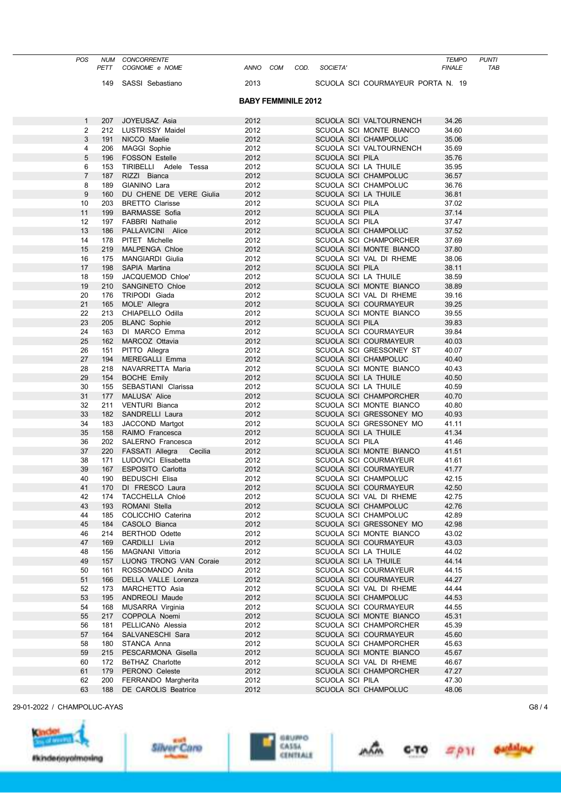| <b>POS</b>     | NUM<br>PETT | CONCORRENTE<br>COGNOME e NOME           | ANNO                       | <b>COM</b> | COD. | SOCIETA'        |                                                    | <b>TEMPO</b><br><b>FINALE</b> | <b>PUNTI</b><br>TAB |  |
|----------------|-------------|-----------------------------------------|----------------------------|------------|------|-----------------|----------------------------------------------------|-------------------------------|---------------------|--|
|                | 149         | SASSI Sebastiano                        | 2013                       |            |      |                 | SCUOLA SCI COURMAYEUR PORTA N. 19                  |                               |                     |  |
|                |             |                                         | <b>BABY FEMMINILE 2012</b> |            |      |                 |                                                    |                               |                     |  |
| $\mathbf{1}$   | 207         | JOYEUSAZ Asia                           | 2012                       |            |      |                 | SCUOLA SCI VALTOURNENCH                            | 34.26                         |                     |  |
| 2              | 212         | LUSTRISSY Maidel                        | 2012                       |            |      |                 | SCUOLA SCI MONTE BIANCO                            | 34.60                         |                     |  |
| 3              | 191         | NICCO Maelie                            | 2012                       |            |      |                 | SCUOLA SCI CHAMPOLUC                               | 35.06                         |                     |  |
| 4              | 206         | MAGGI Sophie                            | 2012                       |            |      |                 | SCUOLA SCI VALTOURNENCH                            | 35.69                         |                     |  |
| 5              | 196         | <b>FOSSON Estelle</b>                   | 2012                       |            |      | SCUOLA SCI PILA |                                                    | 35.76                         |                     |  |
| 6              | 153         | TIRIBELLI Adele Tessa                   | 2012                       |            |      |                 | SCUOLA SCI LA THUILE                               | 35.95                         |                     |  |
| $\overline{7}$ | 187         | RIZZI Bianca                            | 2012                       |            |      |                 | SCUOLA SCI CHAMPOLUC                               | 36.57                         |                     |  |
| 8<br>9         | 189<br>160  | GIANINO Lara<br>DU CHENE DE VERE Giulia | 2012<br>2012               |            |      |                 | SCUOLA SCI CHAMPOLUC<br>SCUOLA SCI LA THUILE       | 36.76<br>36.81                |                     |  |
| 10             | 203         | <b>BRETTO Clarisse</b>                  | 2012                       |            |      | SCUOLA SCI PILA |                                                    | 37.02                         |                     |  |
| 11             | 199         | <b>BARMASSE Sofia</b>                   | 2012                       |            |      | SCUOLA SCI PILA |                                                    | 37.14                         |                     |  |
| 12             | 197         | <b>FABBRI Nathalie</b>                  | 2012                       |            |      | SCUOLA SCI PILA |                                                    | 37.47                         |                     |  |
| 13             | 186         | PALLAVICINI Alice                       | 2012                       |            |      |                 | SCUOLA SCI CHAMPOLUC                               | 37.52                         |                     |  |
| 14             | 178         | PITET Michelle                          | 2012                       |            |      |                 | SCUOLA SCI CHAMPORCHER                             | 37.69                         |                     |  |
| 15             | 219         | <b>MALPENGA Chloe</b>                   | 2012                       |            |      |                 | SCUOLA SCI MONTE BIANCO                            | 37.80                         |                     |  |
| 16             | 175         | <b>MANGIARDI Giulia</b>                 | 2012                       |            |      |                 | SCUOLA SCI VAL DI RHEME                            | 38.06                         |                     |  |
| 17<br>18       | 198<br>159  | SAPIA Martina<br>JACQUEMOD Chloe'       | 2012<br>2012               |            |      | SCUOLA SCI PILA | SCUOLA SCI LA THUILE                               | 38.11<br>38.59                |                     |  |
| 19             | 210         | SANGINETO Chloe                         | 2012                       |            |      |                 | SCUOLA SCI MONTE BIANCO                            | 38.89                         |                     |  |
| 20             | 176         | TRIPODI Giada                           | 2012                       |            |      |                 | SCUOLA SCI VAL DI RHEME                            | 39.16                         |                     |  |
| 21             | 165         | MOLE' Allegra                           | 2012                       |            |      |                 | <b>SCUOLA SCI COURMAYEUR</b>                       | 39.25                         |                     |  |
| 22             | 213         | CHIAPELLO Odilla                        | 2012                       |            |      |                 | SCUOLA SCI MONTE BIANCO                            | 39.55                         |                     |  |
| 23             | 205         | <b>BLANC Sophie</b>                     | 2012                       |            |      | SCUOLA SCI PILA |                                                    | 39.83                         |                     |  |
| 24             | 163         | DI MARCO Emma                           | 2012                       |            |      |                 | SCUOLA SCI COURMAYEUR                              | 39.84                         |                     |  |
| 25<br>26       | 162         | MARCOZ Ottavia                          | 2012                       |            |      |                 | SCUOLA SCI COURMAYEUR                              | 40.03<br>40.07                |                     |  |
| 27             | 151<br>194  | PITTO Allegra<br><b>MEREGALLI Emma</b>  | 2012<br>2012               |            |      |                 | SCUOLA SCI GRESSONEY ST<br>SCUOLA SCI CHAMPOLUC    | 40.40                         |                     |  |
| 28             | 218         | NAVARRETTA Maria                        | 2012                       |            |      |                 | SCUOLA SCI MONTE BIANCO                            | 40.43                         |                     |  |
| 29             | 154         | <b>BOCHE Emily</b>                      | 2012                       |            |      |                 | SCUOLA SCI LA THUILE                               | 40.50                         |                     |  |
| 30             | 155         | SEBASTIANI Clarissa                     | 2012                       |            |      |                 | SCUOLA SCI LA THUILE                               | 40.59                         |                     |  |
| 31             | 177         | <b>MALUSA' Alice</b>                    | 2012                       |            |      |                 | <b>SCUOLA SCI CHAMPORCHER</b>                      | 40.70                         |                     |  |
| 32             | 211         | <b>VENTURI Bianca</b>                   | 2012                       |            |      |                 | SCUOLA SCI MONTE BIANCO                            | 40.80                         |                     |  |
| 33             | 182         | SANDRELLI Laura                         | 2012                       |            |      |                 | SCUOLA SCI GRESSONEY MO<br>SCUOLA SCI GRESSONEY MO | 40.93                         |                     |  |
| 34<br>35       | 183<br>158  | JACCOND Martgot<br>RAIMO Francesca      | 2012<br>2012               |            |      |                 | SCUOLA SCI LA THUILE                               | 41.11<br>41.34                |                     |  |
| 36             | 202         | SALERNO Francesca                       | 2012                       |            |      | SCUOLA SCI PILA |                                                    | 41.46                         |                     |  |
| 37             | 220         | FASSATI Allegra<br>Cecilia              | 2012                       |            |      |                 | SCUOLA SCI MONTE BIANCO                            | 41.51                         |                     |  |
| 38             | 171         | LUDOVICI Elisabetta                     | 2012                       |            |      |                 | SCUOLA SCI COURMAYEUR                              | 41.61                         |                     |  |
| 39             | 167         | <b>ESPOSITO Carlotta</b>                | 2012                       |            |      |                 | SCUOLA SCI COURMAYEUR                              | 41.77                         |                     |  |
| 40             | 190         | <b>BEDUSCHI Elisa</b>                   | 2012                       |            |      |                 | SCUOLA SCI CHAMPOLUC                               | 42.15                         |                     |  |
| 41             | 170         | DI FRESCO Laura                         | 2012                       |            |      |                 | SCUOLA SCI COURMAYEUR                              | 42.50                         |                     |  |
| 42<br>43       | 174<br>193  | TACCHELLA Chloé<br>ROMANI Stella        | 2012<br>2012               |            |      |                 | SCUOLA SCI VAL DI RHEME<br>SCUOLA SCI CHAMPOLUC    | 42.75<br>42.76                |                     |  |
| 44             | 185         | COLICCHIO Caterina                      | 2012                       |            |      |                 | SCUOLA SCI CHAMPOLUC                               | 42.89                         |                     |  |
| 45             | 184         | CASOLO Bianca                           | 2012                       |            |      |                 | SCUOLA SCI GRESSONEY MO                            | 42.98                         |                     |  |
| 46             | 214         | <b>BERTHOD Odette</b>                   | 2012                       |            |      |                 | SCUOLA SCI MONTE BIANCO                            | 43.02                         |                     |  |
| 47             | 169         | CARDILLI Livia                          | 2012                       |            |      |                 | SCUOLA SCI COURMAYEUR                              | 43.03                         |                     |  |
| 48             | 156         | MAGNANI Vittoria                        | 2012                       |            |      |                 | SCUOLA SCI LA THUILE                               | 44.02                         |                     |  |
| 49             | 157         | LUONG TRONG VAN Coraie                  | 2012                       |            |      |                 | SCUOLA SCI LA THUILE                               | 44.14                         |                     |  |
| 50<br>51       | 161<br>166  | ROSSOMANDO Anita<br>DELLA VALLE Lorenza | 2012<br>2012               |            |      |                 | SCUOLA SCI COURMAYEUR<br>SCUOLA SCI COURMAYEUR     | 44.15<br>44.27                |                     |  |
| 52             | 173         | MARCHETTO Asia                          | 2012                       |            |      |                 | SCUOLA SCI VAL DI RHEME                            | 44.44                         |                     |  |
| 53             | 195         | <b>ANDREOLI Maude</b>                   | 2012                       |            |      |                 | SCUOLA SCI CHAMPOLUC                               | 44.53                         |                     |  |
| 54             | 168         | MUSARRA Virginia                        | 2012                       |            |      |                 | SCUOLA SCI COURMAYEUR                              | 44.55                         |                     |  |
| 55             | 217         | COPPOLA Noemi                           | 2012                       |            |      |                 | SCUOLA SCI MONTE BIANCO                            | 45.31                         |                     |  |
| 56             | 181         | PELLICAN <sub>Ò</sub> Alessia           | 2012                       |            |      |                 | SCUOLA SCI CHAMPORCHER                             | 45.39                         |                     |  |
| 57             | 164         | SALVANESCHI Sara                        | 2012                       |            |      |                 | SCUOLA SCI COURMAYEUR                              | 45.60                         |                     |  |
| 58<br>59       | 180<br>215  | STANCA Anna<br>PESCARMONA Gisella       | 2012<br>2012               |            |      |                 | SCUOLA SCI CHAMPORCHER<br>SCUOLA SCI MONTE BIANCO  | 45.63<br>45.67                |                     |  |
| 60             | 172         | BéTHAZ Charlotte                        | 2012                       |            |      |                 | SCUOLA SCI VAL DI RHEME                            | 46.67                         |                     |  |
| 61             | 179         | PERONO Celeste                          | 2012                       |            |      |                 | SCUOLA SCI CHAMPORCHER                             | 47.27                         |                     |  |
| 62             | 200         | FERRANDO Margherita                     | 2012                       |            |      | SCUOLA SCI PILA |                                                    | 47.30                         |                     |  |
| 63             | 188         | DE CAROLIS Beatrice                     | 2012                       |            |      |                 | SCUOLA SCI CHAMPOLUC                               | 48.06                         |                     |  |
|                |             |                                         |                            |            |      |                 |                                                    |                               |                     |  |











 $5.011$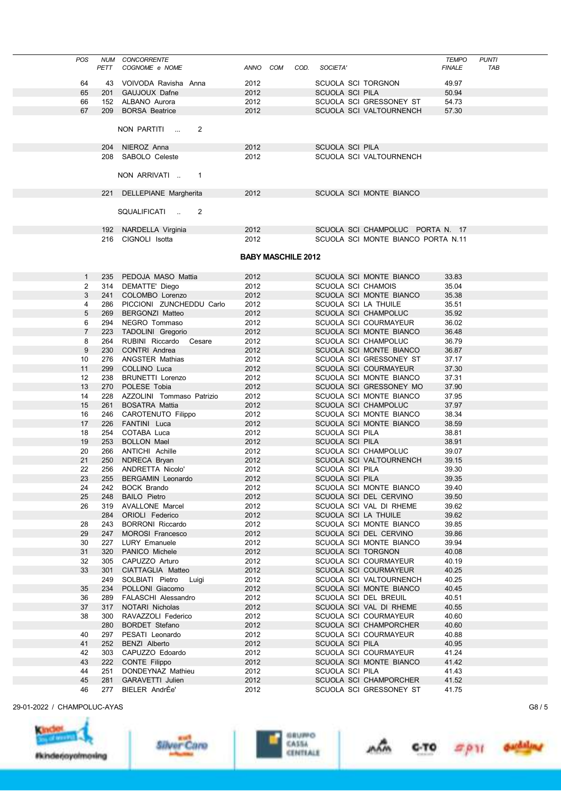| POS.           | PETT       | NUM CONCORRENTE<br>COGNOME e NOME | ANNO                      | COM | COD. | SOCIETA'                                     |                                    | <b>TEMPO</b><br><b>FINALE</b> | <b>PUNTI</b><br><b>TAB</b> |
|----------------|------------|-----------------------------------|---------------------------|-----|------|----------------------------------------------|------------------------------------|-------------------------------|----------------------------|
|                |            |                                   |                           |     |      |                                              |                                    | 49.97                         |                            |
| 64<br>65       | 43<br>201  | VOIVODA Ravisha Anna              | 2012                      |     |      | SCUOLA SCI TORGNON<br><b>SCUOLA SCI PILA</b> |                                    |                               |                            |
| 66             | 152        | GAUJOUX Dafne<br>ALBANO Aurora    | 2012<br>2012              |     |      |                                              | SCUOLA SCI GRESSONEY ST            | 50.94<br>54.73                |                            |
| 67             |            | 209 BORSA Beatrice                | 2012                      |     |      |                                              | SCUOLA SCI VALTOURNENCH            | 57.30                         |                            |
|                |            |                                   |                           |     |      |                                              |                                    |                               |                            |
|                |            | 2<br>NON PARTITI                  |                           |     |      |                                              |                                    |                               |                            |
|                | 204        | NIEROZ Anna                       | 2012                      |     |      | <b>SCUOLA SCI PILA</b>                       |                                    |                               |                            |
|                |            | 208 SABOLO Celeste                | 2012                      |     |      |                                              | SCUOLA SCI VALTOURNENCH            |                               |                            |
|                |            |                                   |                           |     |      |                                              |                                    |                               |                            |
|                |            | NON ARRIVATI<br>$\mathbf{1}$      |                           |     |      |                                              |                                    |                               |                            |
|                |            | 221 DELLEPIANE Margherita         | 2012                      |     |      |                                              | SCUOLA SCI MONTE BIANCO            |                               |                            |
|                |            | SQUALIFICATI<br>2<br>$\sim$       |                           |     |      |                                              |                                    |                               |                            |
|                |            | 192 NARDELLA Virginia             | 2012                      |     |      |                                              | SCUOLA SCI CHAMPOLUC PORTA N. 17   |                               |                            |
|                |            | 216 CIGNOLI Isotta                | 2012                      |     |      |                                              | SCUOLA SCI MONTE BIANCO PORTA N.11 |                               |                            |
|                |            |                                   |                           |     |      |                                              |                                    |                               |                            |
|                |            |                                   | <b>BABY MASCHILE 2012</b> |     |      |                                              |                                    |                               |                            |
| $\mathbf{1}$   | 235        | PEDOJA MASO Mattia                | 2012                      |     |      |                                              | SCUOLA SCI MONTE BIANCO            | 33.83                         |                            |
| 2              | 314        | DEMATTE' Diego                    | 2012                      |     |      | <b>SCUOLA SCI CHAMOIS</b>                    |                                    | 35.04                         |                            |
| 3              | 241        | COLOMBO Lorenzo                   | 2012                      |     |      |                                              | SCUOLA SCI MONTE BIANCO            | 35.38                         |                            |
| 4              | 286        | PICCIONI ZUNCHEDDU Carlo          | 2012                      |     |      | SCUOLA SCI LA THUILE                         |                                    | 35.51                         |                            |
| 5              | 269        | <b>BERGONZI Matteo</b>            | 2012                      |     |      |                                              | <b>SCUOLA SCI CHAMPOLUC</b>        | 35.92                         |                            |
| 6              | 294        | NEGRO Tommaso                     | 2012                      |     |      |                                              | SCUOLA SCI COURMAYEUR              | 36.02                         |                            |
| $\overline{7}$ | 223        | TADOLINI Gregorio                 | 2012                      |     |      |                                              | SCUOLA SCI MONTE BIANCO            | 36.48                         |                            |
| 8              | 264        | RUBINI Riccardo<br>Cesare         | 2012                      |     |      |                                              | SCUOLA SCI CHAMPOLUC               | 36.79                         |                            |
| 9              | 230        | CONTRI Andrea                     | 2012                      |     |      |                                              | SCUOLA SCI MONTE BIANCO            | 36.87                         |                            |
| 10             | 276        | <b>ANGSTER Mathias</b>            | 2012                      |     |      |                                              | SCUOLA SCI GRESSONEY ST            | 37.17                         |                            |
| 11             | 299        | COLLINO Luca                      | 2012                      |     |      |                                              | SCUOLA SCI COURMAYEUR              | 37.30                         |                            |
| 12             | 238        | <b>BRUNETTI Lorenzo</b>           | 2012                      |     |      |                                              | SCUOLA SCI MONTE BIANCO            | 37.31                         |                            |
| 13             | 270        | POLESE Tobia                      | 2012                      |     |      |                                              | SCUOLA SCI GRESSONEY MO            | 37.90                         |                            |
| 14             | 228        | AZZOLINI Tommaso Patrizio         | 2012                      |     |      |                                              | SCUOLA SCI MONTE BIANCO            | 37.95                         |                            |
| 15             | 261        | <b>BOSATRA Mattia</b>             | 2012                      |     |      |                                              | SCUOLA SCI CHAMPOLUC               | 37.97                         |                            |
| 16             | 246        | CAROTENUTO Filippo                | 2012                      |     |      |                                              | SCUOLA SCI MONTE BIANCO            | 38.34                         |                            |
| 17             | 226        | FANTINI Luca                      | 2012                      |     |      |                                              | SCUOLA SCI MONTE BIANCO            | 38.59                         |                            |
| 18             | 254        | COTABA Luca                       | 2012                      |     |      | <b>SCUOLA SCI PILA</b>                       |                                    | 38.81                         |                            |
| 19             | 253        | <b>BOLLON Mael</b>                | 2012                      |     |      | SCUOLA SCI PILA                              |                                    | 38.91                         |                            |
| 20             | 266        | ANTICHI Achille                   | 2012                      |     |      |                                              | SCUOLA SCI CHAMPOLUC               | 39.07                         |                            |
| 21<br>22       | 250<br>256 | NDRECA Bryan<br>ANDRETTA Nicolo'  | 2012<br>2012              |     |      | SCUOLA SCI PILA                              | SCUOLA SCI VALTOURNENCH            | 39.15<br>39.30                |                            |
| 23             | 255        | BERGAMIN Leonardo                 | 2012                      |     |      | SCUOLA SCI PILA                              |                                    | 39.35                         |                            |
| 24             | 242        | <b>BOCK Brando</b>                | 2012                      |     |      |                                              | SCUOLA SCI MONTE BIANCO            | 39.40                         |                            |
| 25             | 248        | <b>BAILO Pietro</b>               | 2012                      |     |      |                                              | SCUOLA SCI DEL CERVINO             | 39.50                         |                            |
| 26             | 319        | <b>AVALLONE Marcel</b>            | 2012                      |     |      |                                              | SCUOLA SCI VAL DI RHEME            | 39.62                         |                            |
|                | 284        | ORIOLI Federico                   | 2012                      |     |      | SCUOLA SCI LA THUILE                         |                                    | 39.62                         |                            |
| 28             | 243        | <b>BORRONI Riccardo</b>           | 2012                      |     |      |                                              | SCUOLA SCI MONTE BIANCO            | 39.85                         |                            |
| 29             | 247        | MOROSI Francesco                  | 2012                      |     |      |                                              | SCUOLA SCI DEL CERVINO             | 39.86                         |                            |
| 30             | 227        | <b>LURY Emanuele</b>              | 2012                      |     |      |                                              | SCUOLA SCI MONTE BIANCO            | 39.94                         |                            |
| 31             | 320        | PANICO Michele                    | 2012                      |     |      | SCUOLA SCI TORGNON                           |                                    | 40.08                         |                            |
| 32             | 305        | CAPUZZO Arturo                    | 2012                      |     |      |                                              | SCUOLA SCI COURMAYEUR              | 40.19                         |                            |
| 33             | 301        | CIATTAGLIA Matteo                 | 2012                      |     |      |                                              | SCUOLA SCI COURMAYEUR              | 40.25                         |                            |
|                | 249        | SOLBIATI Pietro<br>Luigi          | 2012                      |     |      |                                              | SCUOLA SCI VALTOURNENCH            | 40.25                         |                            |
| 35             | 234        | POLLONI Giacomo                   | 2012                      |     |      |                                              | SCUOLA SCI MONTE BIANCO            | 40.45                         |                            |
| 36             | 289        | FALASCHI Alessandro               | 2012                      |     |      | SCUOLA SCI DEL BREUIL                        |                                    | 40.51                         |                            |
| 37             | 317        | NOTARI Nicholas                   | 2012                      |     |      |                                              | SCUOLA SCI VAL DI RHEME            | 40.55                         |                            |
| 38             | 300        | RAVAZZOLI Federico                | 2012                      |     |      |                                              | SCUOLA SCI COURMAYEUR              | 40.60                         |                            |
|                | 280        | <b>BORDET Stefano</b>             | 2012                      |     |      |                                              | SCUOLA SCI CHAMPORCHER             | 40.60                         |                            |
| 40             | 297        | PESATI Leonardo                   | 2012                      |     |      |                                              | SCUOLA SCI COURMAYEUR              | 40.88                         |                            |
| 41             | 252        | BENZI Alberto                     | 2012                      |     |      | SCUOLA SCI PILA                              |                                    | 40.95                         |                            |
| 42             | 303        | CAPUZZO Edoardo                   | 2012                      |     |      |                                              | SCUOLA SCI COURMAYEUR              | 41.24                         |                            |
| 43             | 222        | CONTE Filippo                     | 2012                      |     |      |                                              | SCUOLA SCI MONTE BIANCO            | 41.42                         |                            |
| 44             | 251        | DONDEYNAZ Mathieu                 | 2012                      |     |      | SCUOLA SCI PILA                              |                                    | 41.43                         |                            |
| 45             | 281        | <b>GARAVETTI Julien</b>           | 2012                      |     |      |                                              | SCUOLA SCI CHAMPORCHER             | 41.52                         |                            |
| 46             | 277        | BIELER AndrÉe'                    | 2012                      |     |      |                                              | SCUOLA SCI GRESSONEY ST            | 41.75                         |                            |







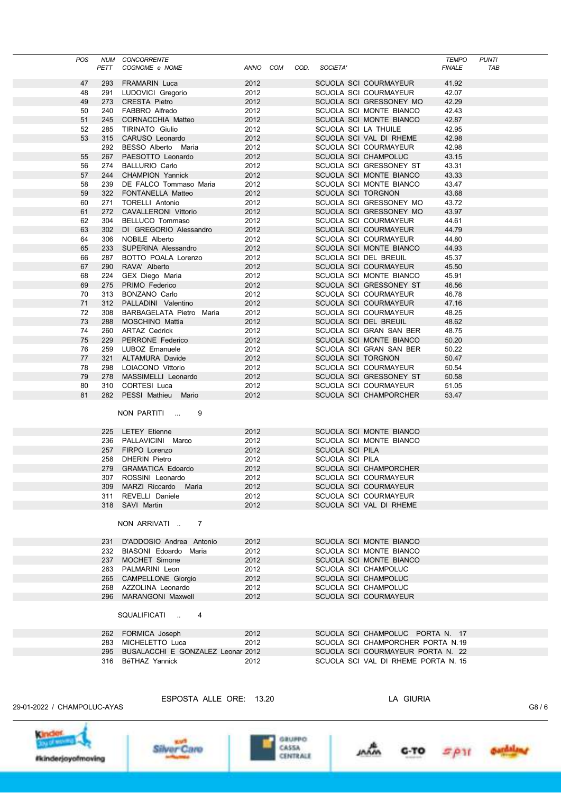| <b>POS</b> | NUM  | CONCORRENTE                           |          |      |                 |                                     | <b>TEMPO</b>  | <b>PUNTI</b> |
|------------|------|---------------------------------------|----------|------|-----------------|-------------------------------------|---------------|--------------|
|            | PETT | COGNOME e NOME                        | ANNO COM | COD. | SOCIETA'        |                                     | <b>FINALE</b> | TAB          |
|            |      |                                       |          |      |                 |                                     |               |              |
| 47         | 293  | <b>FRAMARIN Luca</b>                  | 2012     |      |                 | SCUOLA SCI COURMAYEUR               | 41.92         |              |
| 48         | 291  | LUDOVICI Gregorio                     | 2012     |      |                 | SCUOLA SCI COURMAYEUR               | 42.07         |              |
| 49         | 273  | <b>CRESTA Pietro</b>                  | 2012     |      |                 | SCUOLA SCI GRESSONEY MO             | 42.29         |              |
| 50         | 240  | FABBRO Alfredo                        | 2012     |      |                 | SCUOLA SCI MONTE BIANCO             | 42.43         |              |
|            |      |                                       |          |      |                 |                                     |               |              |
| 51         | 245  | CORNACCHIA Matteo                     | 2012     |      |                 | SCUOLA SCI MONTE BIANCO             | 42.87         |              |
| 52         | 285  | <b>TIRINATO Giulio</b>                | 2012     |      |                 | SCUOLA SCI LA THUILE                | 42.95         |              |
| 53         | 315  | CARUSO Leonardo                       | 2012     |      |                 | SCUOLA SCI VAL DI RHEME             | 42.98         |              |
|            | 292  | BESSO Alberto Maria                   | 2012     |      |                 | SCUOLA SCI COURMAYEUR               | 42.98         |              |
| 55         | 267  | PAESOTTO Leonardo                     | 2012     |      |                 | SCUOLA SCI CHAMPOLUC                | 43.15         |              |
| 56         | 274  | <b>BALLURIO Carlo</b>                 | 2012     |      |                 | SCUOLA SCI GRESSONEY ST             | 43.31         |              |
| 57         | 244  | <b>CHAMPION Yannick</b>               | 2012     |      |                 | SCUOLA SCI MONTE BIANCO             | 43.33         |              |
|            |      | DE FALCO Tommaso Maria                |          |      |                 | SCUOLA SCI MONTE BIANCO             |               |              |
| 58         | 239  |                                       | 2012     |      |                 |                                     | 43.47         |              |
| 59         | 322  | FONTANELLA Matteo                     | 2012     |      |                 | SCUOLA SCI TORGNON                  | 43.68         |              |
| 60         | 271  | <b>TORELLI Antonio</b>                | 2012     |      |                 | SCUOLA SCI GRESSONEY MO             | 43.72         |              |
| 61         | 272  | CAVALLERONI Vittorio                  | 2012     |      |                 | SCUOLA SCI GRESSONEY MO             | 43.97         |              |
| 62         | 304  | BELLUCO Tommaso                       | 2012     |      |                 | SCUOLA SCI COURMAYEUR               | 44.61         |              |
| 63         | 302  | DI GREGORIO Alessandro                | 2012     |      |                 | SCUOLA SCI COURMAYEUR               | 44.79         |              |
| 64         | 306  | NOBILE Alberto                        | 2012     |      |                 | SCUOLA SCI COURMAYEUR               | 44.80         |              |
| 65         | 233  | SUPERINA Alessandro                   | 2012     |      |                 | SCUOLA SCI MONTE BIANCO             | 44.93         |              |
|            |      |                                       |          |      |                 |                                     |               |              |
| 66         | 287  | BOTTO POALA Lorenzo                   | 2012     |      |                 | SCUOLA SCI DEL BREUIL               | 45.37         |              |
| 67         | 290  | RAVA' Alberto                         | 2012     |      |                 | SCUOLA SCI COURMAYEUR               | 45.50         |              |
| 68         | 224  | GEX Diego Maria                       | 2012     |      |                 | SCUOLA SCI MONTE BIANCO             | 45.91         |              |
| 69         | 275  | PRIMO Federico                        | 2012     |      |                 | SCUOLA SCI GRESSONEY ST             | 46.56         |              |
| 70         | 313  | <b>BONZANO Carlo</b>                  | 2012     |      |                 | SCUOLA SCI COURMAYEUR               | 46.78         |              |
| 71         | 312  | PALLADINI Valentino                   | 2012     |      |                 | SCUOLA SCI COURMAYEUR               | 47.16         |              |
| 72         | 308  | BARBAGELATA Pietro Maria              | 2012     |      |                 | SCUOLA SCI COURMAYEUR               | 48.25         |              |
|            |      |                                       |          |      |                 |                                     |               |              |
| 73         | 288  | MOSCHINO Mattia                       | 2012     |      |                 | SCUOLA SCI DEL BREUIL               | 48.62         |              |
| 74         | 260  | <b>ARTAZ Cedrick</b>                  | 2012     |      |                 | SCUOLA SCI GRAN SAN BER             | 48.75         |              |
| 75         | 229  | <b>PERRONE Federico</b>               | 2012     |      |                 | SCUOLA SCI MONTE BIANCO             | 50.20         |              |
| 76         | 259  | LUBOZ Emanuele                        | 2012     |      |                 | SCUOLA SCI GRAN SAN BER             | 50.22         |              |
| 77         | 321  | ALTAMURA Davide                       | 2012     |      |                 | SCUOLA SCI TORGNON                  | 50.47         |              |
| 78         | 298  | LOIACONO Vittorio                     | 2012     |      |                 | SCUOLA SCI COURMAYEUR               | 50.54         |              |
| 79         | 278  | MASSIMELLI Leonardo                   | 2012     |      |                 | SCUOLA SCI GRESSONEY ST             | 50.58         |              |
| 80         | 310  | CORTESI Luca                          | 2012     |      |                 | SCUOLA SCI COURMAYEUR               | 51.05         |              |
|            |      |                                       |          |      |                 |                                     |               |              |
| 81         | 282  | PESSI Mathieu Mario                   | 2012     |      |                 | SCUOLA SCI CHAMPORCHER              | 53.47         |              |
|            |      |                                       |          |      |                 |                                     |               |              |
|            |      | NON PARTITI<br>9                      |          |      |                 |                                     |               |              |
|            |      |                                       |          |      |                 |                                     |               |              |
|            |      | 225 LETEY Etienne                     | 2012     |      |                 | SCUOLA SCI MONTE BIANCO             |               |              |
|            |      | 236 PALLAVICINI Marco                 | 2012     |      |                 | SCUOLA SCI MONTE BIANCO             |               |              |
|            |      | 257 FIRPO Lorenzo                     | 2012     |      | SCUOLA SCI PILA |                                     |               |              |
|            |      |                                       |          |      |                 |                                     |               |              |
|            | 258  | <b>DHERIN Pietro</b>                  | 2012     |      | SCUOLA SCI PILA |                                     |               |              |
|            | 279  | <b>GRAMATICA Edoardo</b>              | 2012     |      |                 | SCUOLA SCI CHAMPORCHER              |               |              |
|            |      | 307 ROSSINI Leonardo                  | 2012     |      |                 | SCUOLA SCI COURMAYEUR               |               |              |
|            |      | 309 MARZI Riccardo Maria              | 2012     |      |                 | SCUOLA SCI COURMAYEUR               |               |              |
|            |      | 311 REVELLI Daniele                   | 2012     |      |                 | SCUOLA SCI COURMAYEUR               |               |              |
|            |      | 318 SAVI Martin                       | 2012     |      |                 | SCUOLA SCI VAL DI RHEME             |               |              |
|            |      |                                       |          |      |                 |                                     |               |              |
|            |      |                                       |          |      |                 |                                     |               |              |
|            |      | NON ARRIVATI  7                       |          |      |                 |                                     |               |              |
|            |      |                                       |          |      |                 |                                     |               |              |
|            | 231  | D'ADDOSIO Andrea Antonio              | 2012     |      |                 | SCUOLA SCI MONTE BIANCO             |               |              |
|            |      | 232 BIASONI Edoardo Maria             | 2012     |      |                 | SCUOLA SCI MONTE BIANCO             |               |              |
|            |      | 237 MOCHET Simone                     | 2012     |      |                 | SCUOLA SCI MONTE BIANCO             |               |              |
|            |      | 263 PALMARINI Leon                    | 2012     |      |                 | SCUOLA SCI CHAMPOLUC                |               |              |
|            |      | 265 CAMPELLONE Giorgio                | 2012     |      |                 | SCUOLA SCI CHAMPOLUC                |               |              |
|            |      |                                       |          |      |                 |                                     |               |              |
|            |      | 268 AZZOLINA Leonardo                 | 2012     |      |                 | SCUOLA SCI CHAMPOLUC                |               |              |
|            |      | 296 MARANGONI Maxwell                 | 2012     |      |                 | SCUOLA SCI COURMAYEUR               |               |              |
|            |      |                                       |          |      |                 |                                     |               |              |
|            |      | SQUALIFICATI  4                       |          |      |                 |                                     |               |              |
|            |      |                                       |          |      |                 |                                     |               |              |
|            |      | 262 FORMICA Joseph                    | 2012     |      |                 | SCUOLA SCI CHAMPOLUC PORTA N. 17    |               |              |
|            |      | 283 MICHELETTO Luca                   | 2012     |      |                 | SCUOLA SCI CHAMPORCHER PORTA N.19   |               |              |
|            |      |                                       |          |      |                 |                                     |               |              |
|            |      | 295 BUSALACCHI E GONZALEZ Leonar 2012 |          |      |                 | SCUOLA SCI COURMAYEUR PORTA N. 22   |               |              |
|            |      | 316 BéTHAZ Yannick                    | 2012     |      |                 | SCUOLA SCI VAL DI RHEME PORTA N. 15 |               |              |
|            |      |                                       |          |      |                 |                                     |               |              |
|            |      |                                       |          |      |                 |                                     |               |              |
|            |      |                                       |          |      |                 |                                     |               |              |

29-01-2022 / CHAMPOLUC-AYAS CB CONTINUES ONE. NOLLO CHAMPOLUC-AYAS GB / 6

ESPOSTA ALLE ORE: 13.20 LA GIURIA









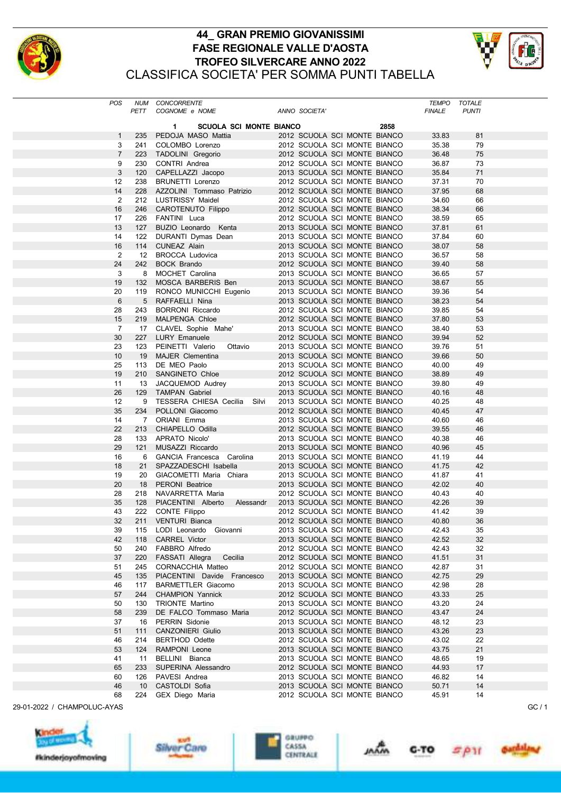

## 44\_ GRAN PREMIO GIOVANISSIMI FASE REGIONALE VALLE D'AOSTA TROFEO SILVERCARE ANNO 2022



CLASSIFICA SOCIETA' PER SOMMA PUNTI TABELLA

| <b>POS</b>        | NUM<br>PETT            | <b>CONCORRENTE</b><br>COGNOME e NOME             | ANNO SOCIETA'                                                |  |      | TEMPO<br><b>FINALE</b> | <b>TOTALE</b><br><b>PUNTI</b> |  |
|-------------------|------------------------|--------------------------------------------------|--------------------------------------------------------------|--|------|------------------------|-------------------------------|--|
|                   |                        | 1<br><b>SCUOLA SCI MONTE BIANCO</b>              |                                                              |  | 2858 |                        |                               |  |
| 1                 | 235                    | PEDOJA MASO Mattia                               | 2012 SCUOLA SCI MONTE BIANCO                                 |  |      | 33.83                  | 81                            |  |
| 3                 | 241                    | COLOMBO Lorenzo                                  | 2012 SCUOLA SCI MONTE BIANCO                                 |  |      | 35.38                  | 79                            |  |
| $\overline{7}$    | 223                    | TADOLINI Gregorio                                | 2012 SCUOLA SCI MONTE BIANCO                                 |  |      | 36.48                  | 75                            |  |
| 9                 | 230                    | CONTRI Andrea                                    | 2012 SCUOLA SCI MONTE BIANCO                                 |  |      | 36.87                  | 73                            |  |
| 3                 | 120                    | CAPELLAZZI Jacopo                                | 2013 SCUOLA SCI MONTE BIANCO                                 |  |      | 35.84                  | 71                            |  |
| $12 \overline{ }$ | 238                    | <b>BRUNETTI Lorenzo</b>                          | 2012 SCUOLA SCI MONTE BIANCO                                 |  |      | 37.31                  | 70                            |  |
| 14                | 228                    | AZZOLINI Tommaso Patrizio                        | 2012 SCUOLA SCI MONTE BIANCO                                 |  |      | 37.95                  | 68                            |  |
| 2                 | 212                    | <b>LUSTRISSY Maidel</b>                          | 2012 SCUOLA SCI MONTE BIANCO                                 |  |      | 34.60                  | 66                            |  |
| 16                | 246                    | CAROTENUTO Filippo                               | 2012 SCUOLA SCI MONTE BIANCO                                 |  |      | 38.34                  | 66                            |  |
| 17                | 226                    | FANTINI Luca                                     | 2012 SCUOLA SCI MONTE BIANCO                                 |  |      | 38.59                  | 65                            |  |
| 13                | 127                    | BUZIO Leonardo Kenta                             | 2013 SCUOLA SCI MONTE BIANCO                                 |  |      | 37.81                  | 61                            |  |
| 14<br>16          | 122                    | DURANTI Dymas Dean                               | 2013 SCUOLA SCI MONTE BIANCO                                 |  |      | 37.84                  | 60<br>58                      |  |
| $\overline{2}$    | 114<br>12 <sup>2</sup> | <b>CUNEAZ Alain</b><br><b>BROCCA Ludovica</b>    | 2013 SCUOLA SCI MONTE BIANCO<br>2013 SCUOLA SCI MONTE BIANCO |  |      | 38.07<br>36.57         | 58                            |  |
| 24                | 242                    | <b>BOCK Brando</b>                               | 2012 SCUOLA SCI MONTE BIANCO                                 |  |      | 39.40                  | 58                            |  |
| 3                 | 8                      | MOCHET Carolina                                  | 2013 SCUOLA SCI MONTE BIANCO                                 |  |      | 36.65                  | 57                            |  |
| 19                | 132                    | MOSCA BARBERIS Ben                               | 2013 SCUOLA SCI MONTE BIANCO                                 |  |      | 38.67                  | 55                            |  |
| 20                | 119                    | RONCO MUNICCHI Eugenio                           | 2013 SCUOLA SCI MONTE BIANCO                                 |  |      | 39.36                  | 54                            |  |
| 6                 | 5                      | RAFFAELLI Nina                                   | 2013 SCUOLA SCI MONTE BIANCO                                 |  |      | 38.23                  | 54                            |  |
| 28                | 243                    | <b>BORRONI Riccardo</b>                          | 2012 SCUOLA SCI MONTE BIANCO                                 |  |      | 39.85                  | 54                            |  |
| 15                | 219                    | MALPENGA Chloe                                   | 2012 SCUOLA SCI MONTE BIANCO                                 |  |      | 37.80                  | 53                            |  |
| $\overline{7}$    | 17                     | CLAVEL Sophie Mahe'                              | 2013 SCUOLA SCI MONTE BIANCO                                 |  |      | 38.40                  | 53                            |  |
| 30                | 227                    | <b>LURY Emanuele</b>                             | 2012 SCUOLA SCI MONTE BIANCO                                 |  |      | 39.94                  | 52                            |  |
| 23                | 123                    | PEINETTI Valerio<br>Ottavio                      | 2013 SCUOLA SCI MONTE BIANCO                                 |  |      | 39.76                  | 51                            |  |
| 10                | 19                     | <b>MAJER Clementina</b>                          | 2013 SCUOLA SCI MONTE BIANCO                                 |  |      | 39.66                  | 50                            |  |
| 25                | 113                    | DE MEO Paolo                                     | 2013 SCUOLA SCI MONTE BIANCO                                 |  |      | 40.00                  | 49                            |  |
| 19                | 210                    | SANGINETO Chloe                                  | 2012 SCUOLA SCI MONTE BIANCO                                 |  |      | 38.89                  | 49                            |  |
| 11                | 13                     | JACQUEMOD Audrey                                 | 2013 SCUOLA SCI MONTE BIANCO                                 |  |      | 39.80                  | 49                            |  |
| 26                | 129                    | <b>TAMPAN Gabriel</b>                            | 2013 SCUOLA SCI MONTE BIANCO                                 |  |      | 40.16                  | 48                            |  |
| 12                | 9                      | TESSERA CHIESA Cecilia Silvi                     | 2013 SCUOLA SCI MONTE BIANCO                                 |  |      | 40.25                  | 48                            |  |
| 35                | 234                    | POLLONI Giacomo                                  | 2012 SCUOLA SCI MONTE BIANCO                                 |  |      | 40.45                  | 47                            |  |
| 14                | $7^{\circ}$            | ORIANI Emma                                      | 2013 SCUOLA SCI MONTE BIANCO                                 |  |      | 40.60                  | 46                            |  |
| 22                | 213                    | CHIAPELLO Odilla                                 | 2012 SCUOLA SCI MONTE BIANCO                                 |  |      | 39.55                  | 46                            |  |
| 28                | 133                    | APRATO Nicolo'                                   | 2013 SCUOLA SCI MONTE BIANCO                                 |  |      | 40.38                  | 46                            |  |
| 29                | 121                    | MUSAZZI Riccardo                                 | 2013 SCUOLA SCI MONTE BIANCO                                 |  |      | 40.96                  | 45                            |  |
| 16                | 6                      | GANCIA Francesca Carolina                        | 2013 SCUOLA SCI MONTE BIANCO                                 |  |      | 41.19                  | 44                            |  |
| 18                | 21                     | SPAZZADESCHI Isabella                            | 2013 SCUOLA SCI MONTE BIANCO                                 |  |      | 41.75                  | 42                            |  |
| 19                | 20                     | GIACOMETTI Maria Chiara                          | 2013 SCUOLA SCI MONTE BIANCO                                 |  |      | 41.87                  | 41                            |  |
| 20                | 18                     | <b>PERONI Beatrice</b>                           | 2013 SCUOLA SCI MONTE BIANCO                                 |  |      | 42.02                  | 40                            |  |
| 28                | 218                    | NAVARRETTA Maria                                 | 2012 SCUOLA SCI MONTE BIANCO                                 |  |      | 40.43                  | 40                            |  |
| 35                | 128                    | PIACENTINI Alberto<br>Alessandr                  | 2013 SCUOLA SCI MONTE BIANCO                                 |  |      | 42.26                  | 39                            |  |
| 43                | 222                    | CONTE Filippo                                    | 2012 SCUOLA SCI MONTE BIANCO                                 |  |      | 41.42                  | 39                            |  |
| 32                |                        | 211 VENTURI Bianca                               | 2012 SCUOLA SCI MONTE BIANCO                                 |  |      | 40.80                  | 36                            |  |
| 39                | 115                    | LODI Leonardo Giovanni                           | 2013 SCUOLA SCI MONTE BIANCO                                 |  |      | 42.43                  | 35                            |  |
| 42                | 118                    | <b>CARREL Victor</b>                             | 2013 SCUOLA SCI MONTE BIANCO                                 |  |      | 42.52                  | 32                            |  |
| 50<br>37          | 240                    | FABBRO Alfredo                                   | 2012 SCUOLA SCI MONTE BIANCO<br>2012 SCUOLA SCI MONTE BIANCO |  |      | 42.43<br>41.51         | 32<br>31                      |  |
| 51                | 220<br>245             | FASSATI Allegra<br>Cecilia                       |                                                              |  |      |                        | 31                            |  |
| 45                | 135                    | CORNACCHIA Matteo<br>PIACENTINI Davide Francesco | 2012 SCUOLA SCI MONTE BIANCO<br>2013 SCUOLA SCI MONTE BIANCO |  |      | 42.87<br>42.75         | 29                            |  |
| 46                | 117                    | <b>BARMETTLER Giacomo</b>                        | 2013 SCUOLA SCI MONTE BIANCO                                 |  |      | 42.98                  | 28                            |  |
| 57                | 244                    | <b>CHAMPION Yannick</b>                          | 2012 SCUOLA SCI MONTE BIANCO                                 |  |      | 43.33                  | 25                            |  |
| 50                | 130                    | <b>TRIONTE Martino</b>                           | 2013 SCUOLA SCI MONTE BIANCO                                 |  |      | 43.20                  | 24                            |  |
| 58                | 239                    | DE FALCO Tommaso Maria                           | 2012 SCUOLA SCI MONTE BIANCO                                 |  |      | 43.47                  | 24                            |  |
| 37                | 16                     | PERRIN Sidonie                                   | 2013 SCUOLA SCI MONTE BIANCO                                 |  |      | 48.12                  | 23                            |  |
| 51                | 111                    | <b>CANZONIERI Giulio</b>                         | 2013 SCUOLA SCI MONTE BIANCO                                 |  |      | 43.26                  | 23                            |  |
| 46                | 214                    | <b>BERTHOD Odette</b>                            | 2012 SCUOLA SCI MONTE BIANCO                                 |  |      | 43.02                  | 22                            |  |
| 53                | 124                    | RAMPONI Leone                                    | 2013 SCUOLA SCI MONTE BIANCO                                 |  |      | 43.75                  | 21                            |  |
| 41                | 11                     | BELLINI Bianca                                   | 2013 SCUOLA SCI MONTE BIANCO                                 |  |      | 48.65                  | 19                            |  |
| 65                | 233                    | SUPERINA Alessandro                              | 2012 SCUOLA SCI MONTE BIANCO                                 |  |      | 44.93                  | 17                            |  |
| 60                | 126                    | PAVESI Andrea                                    | 2013 SCUOLA SCI MONTE BIANCO                                 |  |      | 46.82                  | 14                            |  |
| 46                | 10 <sup>°</sup>        | CASTOLDI Sofia                                   | 2013 SCUOLA SCI MONTE BIANCO                                 |  |      | 50.71                  | 14                            |  |
| 68                | 224                    | GEX Diego Maria                                  | 2012 SCUOLA SCI MONTE BIANCO                                 |  |      | 45.91                  | 14                            |  |









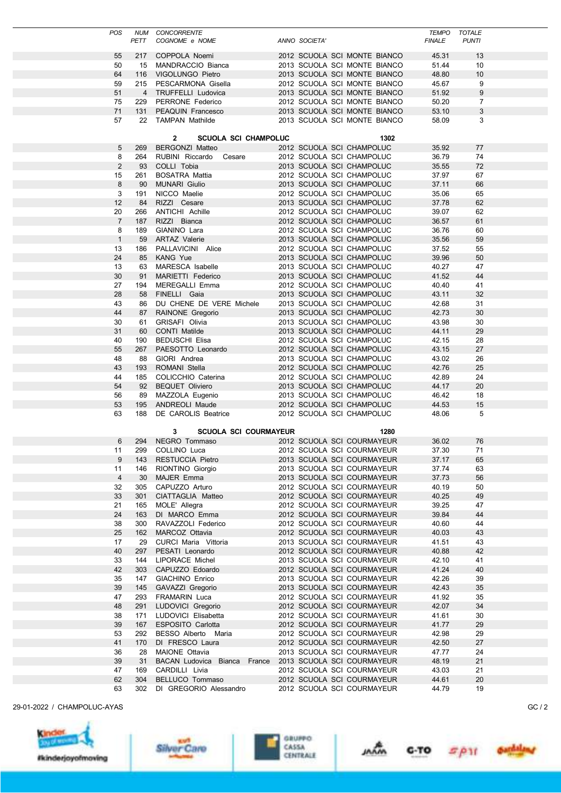| <b>POS</b>     | <b>NUM</b>     | <b>CONCORRENTE</b>                           |                                                        | <b>TEMPO</b>   | <b>TOTALE</b> |  |
|----------------|----------------|----------------------------------------------|--------------------------------------------------------|----------------|---------------|--|
|                | PETT           | COGNOME e NOME                               | ANNO SOCIETA'                                          | <b>FINALE</b>  | <b>PUNTI</b>  |  |
| 55             | 217            | COPPOLA Noemi                                | 2012 SCUOLA SCI MONTE BIANCO                           | 45.31          | 13            |  |
| 50             | 15             | MANDRACCIO Bianca                            | 2013 SCUOLA SCI MONTE BIANCO                           | 51.44          | 10            |  |
| 64             | 116            | VIGOLUNGO Pietro                             | 2013 SCUOLA SCI MONTE BIANCO                           | 48.80          | 10            |  |
| 59             | 215            | PESCARMONA Gisella                           | 2012 SCUOLA SCI MONTE BIANCO                           | 45.67          | 9             |  |
| 51             | $\overline{4}$ | <b>TRUFFELLI Ludovica</b>                    | 2013 SCUOLA SCI MONTE BIANCO                           | 51.92          | 9             |  |
| 75             | 229            | PERRONE Federico                             | 2012 SCUOLA SCI MONTE BIANCO                           | 50.20          | 7             |  |
| 71             | 131            | PEAQUIN Francesco                            | 2013 SCUOLA SCI MONTE BIANCO                           | 53.10          | 3             |  |
| 57             | 22             | <b>TAMPAN Mathilde</b>                       | 2013 SCUOLA SCI MONTE BIANCO                           | 58.09          | 3             |  |
|                |                |                                              |                                                        |                |               |  |
|                |                | 2<br><b>SCUOLA SCI CHAMPOLUC</b>             | 1302                                                   |                |               |  |
| 5              | 269            | <b>BERGONZI Matteo</b>                       | 2012 SCUOLA SCI CHAMPOLUC                              | 35.92          | 77            |  |
| 8              | 264            | RUBINI Riccardo<br>Cesare                    | 2012 SCUOLA SCI CHAMPOLUC                              | 36.79          | 74            |  |
| 2              | 93             | COLLI Tobia                                  | 2013 SCUOLA SCI CHAMPOLUC                              | 35.55          | 72            |  |
| 15             | 261            | <b>BOSATRA Mattia</b>                        | 2012 SCUOLA SCI CHAMPOLUC                              | 37.97          | 67            |  |
| 8              | 90             | <b>MUNARI Giulio</b>                         | 2013 SCUOLA SCI CHAMPOLUC                              | 37.11          | 66            |  |
| 3              | 191            | NICCO Maelie                                 | 2012 SCUOLA SCI CHAMPOLUC                              | 35.06          | 65            |  |
| 12             | 84             | RIZZI Cesare                                 | 2013 SCUOLA SCI CHAMPOLUC                              | 37.78          | 62            |  |
| 20             | 266            | ANTICHI Achille                              | 2012 SCUOLA SCI CHAMPOLUC                              | 39.07          | 62            |  |
| $\overline{7}$ | 187            | RIZZI Bianca                                 | 2012 SCUOLA SCI CHAMPOLUC                              | 36.57          | 61            |  |
| 8              | 189            | GIANINO Lara                                 | 2012 SCUOLA SCI CHAMPOLUC                              | 36.76          | 60            |  |
| $\mathbf{1}$   | 59             | <b>ARTAZ Valerie</b>                         | 2013 SCUOLA SCI CHAMPOLUC                              | 35.56          | 59            |  |
| 13             | 186            | PALLAVICINI Alice                            | 2012 SCUOLA SCI CHAMPOLUC                              | 37.52          | 55            |  |
| 24             | 85             | <b>KANG Yue</b>                              | 2013 SCUOLA SCI CHAMPOLUC                              | 39.96          | 50            |  |
| 13             | 63             | MARESCA Isabelle                             | 2013 SCUOLA SCI CHAMPOLUC                              | 40.27          | 47            |  |
| 30             | 91             | MARIETTI Federico                            | 2013 SCUOLA SCI CHAMPOLUC                              | 41.52          | 44            |  |
| 27             | 194            | MEREGALLI Emma                               | 2012 SCUOLA SCI CHAMPOLUC                              | 40.40          | 41            |  |
| 28             | 58             | FINELLI Gaia                                 | 2013 SCUOLA SCI CHAMPOLUC                              | 43.11          | 32            |  |
| 43             | 86             | DU CHENE DE VERE Michele                     | 2013 SCUOLA SCI CHAMPOLUC                              | 42.68          | 31            |  |
| 44             | 87             | RAINONE Gregorio                             | 2013 SCUOLA SCI CHAMPOLUC                              | 42.73          | 30            |  |
| 30             | 61             | GRISAFI Olivia                               | 2013 SCUOLA SCI CHAMPOLUC                              | 43.98          | 30            |  |
| 31             | 60             | <b>CONTI Matilde</b>                         | 2013 SCUOLA SCI CHAMPOLUC                              | 44.11          | 29            |  |
| 40             | 190            | <b>BEDUSCHI Elisa</b>                        | 2012 SCUOLA SCI CHAMPOLUC                              | 42.15          | 28            |  |
| 55             | 267            | PAESOTTO Leonardo                            | 2012 SCUOLA SCI CHAMPOLUC                              | 43.15          | 27            |  |
| 48<br>43       | 88             | GIORI Andrea                                 | 2013 SCUOLA SCI CHAMPOLUC                              | 43.02          | 26<br>25      |  |
| 44             | 193            | ROMANI Stella                                | 2012 SCUOLA SCI CHAMPOLUC<br>2012 SCUOLA SCI CHAMPOLUC | 42.76          | 24            |  |
| 54             | 185<br>92      | COLICCHIO Caterina<br><b>BEQUET Oliviero</b> | 2013 SCUOLA SCI CHAMPOLUC                              | 42.89<br>44.17 | 20            |  |
| 56             | 89             | MAZZOLA Eugenio                              | 2013 SCUOLA SCI CHAMPOLUC                              | 46.42          | 18            |  |
| 53             | 195            | <b>ANDREOLI Maude</b>                        | 2012 SCUOLA SCI CHAMPOLUC                              | 44.53          | 15            |  |
| 63             | 188            | DE CAROLIS Beatrice                          | 2012 SCUOLA SCI CHAMPOLUC                              | 48.06          | 5             |  |
|                |                |                                              |                                                        |                |               |  |
|                |                | 3<br><b>SCUOLA SCI COURMAYEUR</b>            | 1280                                                   |                |               |  |
| 6              | 294            | NEGRO Tommaso                                | 2012 SCUOLA SCI COURMAYEUR                             | 36.02          | 76            |  |
| 11             | 299            | COLLINO Luca                                 | 2012 SCUOLA SCI COURMAYEUR                             | 37.30          | 71            |  |
| 9              | 143            | <b>RESTUCCIA Pietro</b>                      | 2013 SCUOLA SCI COURMAYEUR                             | 37.17          | 65            |  |
| 11             | 146            | RIONTINO Giorgio                             | 2013 SCUOLA SCI COURMAYEUR                             | 37.74          | 63            |  |
| 4              | 30             | MAJER Emma                                   | 2013 SCUOLA SCI COURMAYEUR                             | 37.73          | 56            |  |
| 32             | 305            | CAPUZZO Arturo                               | 2012 SCUOLA SCI COURMAYEUR                             | 40.19          | 50            |  |
| 33             | 301            | CIATTAGLIA Matteo                            | 2012 SCUOLA SCI COURMAYEUR                             | 40.25          | 49            |  |
| 21             | 165            | MOLE' Allegra                                | 2012 SCUOLA SCI COURMAYEUR                             | 39.25          | 47            |  |
| 24             | 163            | DI MARCO Emma                                | 2012 SCUOLA SCI COURMAYEUR                             | 39.84          | 44            |  |
| 38             | 300            | RAVAZZOLI Federico                           | 2012 SCUOLA SCI COURMAYEUR                             | 40.60          | 44            |  |
| 25             | 162            | MARCOZ Ottavia                               | 2012 SCUOLA SCI COURMAYEUR                             | 40.03          | 43            |  |
| 17             | 29             | CURCI Maria Vittoria                         | 2013 SCUOLA SCI COURMAYEUR                             | 41.51          | 43            |  |
| 40             | 297            | PESATI Leonardo                              | 2012 SCUOLA SCI COURMAYEUR                             | 40.88          | 42            |  |
| 33             | 144            | LIPORACE Michel                              | 2013 SCUOLA SCI COURMAYEUR                             | 42.10          | 41            |  |
| 42             | 303            | CAPUZZO Edoardo                              | 2012 SCUOLA SCI COURMAYEUR                             | 41.24          | 40            |  |
| 35             | 147            | GIACHINO Enrico                              | 2013 SCUOLA SCI COURMAYEUR                             | 42.26          | 39            |  |
| 39             | 145            | GAVAZZI Gregorio                             | 2013 SCUOLA SCI COURMAYEUR                             | 42.43          | 35            |  |
| 47             | 293            | <b>FRAMARIN Luca</b>                         | 2012 SCUOLA SCI COURMAYEUR                             | 41.92          | 35            |  |
| 48             | 291            | LUDOVICI Gregorio                            | 2012 SCUOLA SCI COURMAYEUR                             | 42.07          | 34            |  |
| 38             | 171            | LUDOVICI Elisabetta                          | 2012 SCUOLA SCI COURMAYEUR                             | 41.61          | 30            |  |
| 39             | 167            | ESPOSITO Carlotta                            | 2012 SCUOLA SCI COURMAYEUR                             | 41.77          | 29            |  |
| 53             | 292            | BESSO Alberto Maria                          | 2012 SCUOLA SCI COURMAYEUR                             | 42.98          | 29            |  |
| 41             | 170            | DI FRESCO Laura                              | 2012 SCUOLA SCI COURMAYEUR                             | 42.50          | 27            |  |
| 36             | 28             | MAIONE Ottavia                               | 2013 SCUOLA SCI COURMAYEUR                             | 47.77          | 24            |  |
| 39             | 31             | BACAN Ludovica Bianca<br>France              | 2013 SCUOLA SCI COURMAYEUR                             | 48.19          | 21            |  |
| 47             | 169            | CARDILLI Livia                               | 2012 SCUOLA SCI COURMAYEUR                             | 43.03          | 21            |  |
| 62             | 304            | BELLUCO Tommaso                              | 2012 SCUOLA SCI COURMAYEUR                             | 44.61          | 20            |  |
| 63             | 302            | DI GREGORIO Alessandro                       | 2012 SCUOLA SCI COURMAYEUR                             | 44.79          | 19            |  |
|                |                |                                              |                                                        |                |               |  |







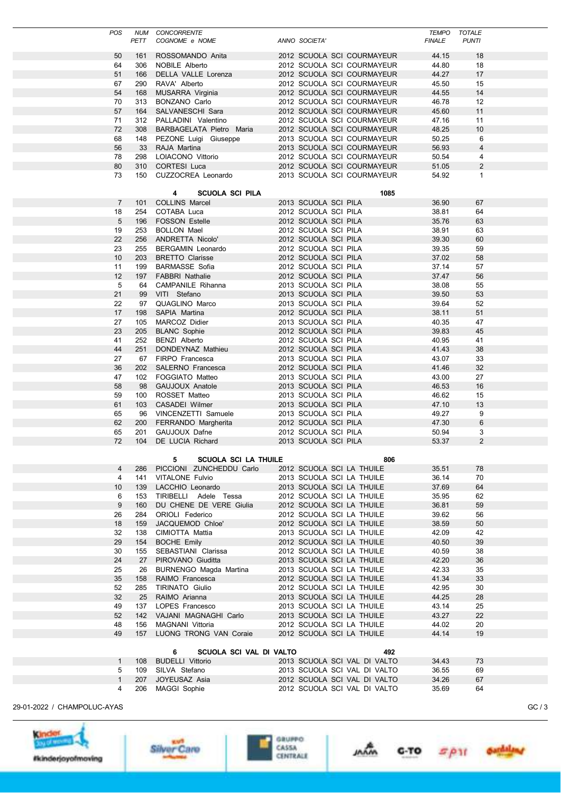| <b>POS</b>      | NUM  | <b>CONCORRENTE</b>           |                           |                              | <b>TEMPO</b>  | <b>TOTALE</b>  |  |
|-----------------|------|------------------------------|---------------------------|------------------------------|---------------|----------------|--|
|                 | PETT | COGNOME e NOME               | ANNO SOCIETA'             |                              | <b>FINALE</b> | <b>PUNTI</b>   |  |
|                 |      |                              |                           |                              |               |                |  |
| 50              | 161  | ROSSOMANDO Anita             |                           | 2012 SCUOLA SCI COURMAYEUR   | 44.15         | 18             |  |
| 64              | 306  | NOBILE Alberto               |                           | 2012 SCUOLA SCI COURMAYEUR   | 44.80         | 18             |  |
| 51              |      | 166 DELLA VALLE Lorenza      |                           | 2012 SCUOLA SCI COURMAYEUR   | 44.27         | 17             |  |
| 67              | 290  | RAVA' Alberto                |                           | 2012 SCUOLA SCI COURMAYEUR   | 45.50         | 15             |  |
| 54              | 168  | MUSARRA Virginia             |                           | 2012 SCUOLA SCI COURMAYEUR   | 44.55         | 14             |  |
|                 |      |                              |                           |                              |               |                |  |
| 70              | 313  | <b>BONZANO Carlo</b>         |                           | 2012 SCUOLA SCI COURMAYEUR   | 46.78         | 12             |  |
| 57              | 164  | SALVANESCHI Sara             |                           | 2012 SCUOLA SCI COURMAYEUR   | 45.60         | 11             |  |
| 71              |      | 312 PALLADINI Valentino      |                           | 2012 SCUOLA SCI COURMAYEUR   | 47.16         | 11             |  |
| 72              | 308  | BARBAGELATA Pietro Maria     |                           | 2012 SCUOLA SCI COURMAYEUR   | 48.25         | 10             |  |
| 68              | 148  | PEZONE Luigi Giuseppe        |                           | 2013 SCUOLA SCI COURMAYEUR   | 50.25         | 6              |  |
| 56              |      |                              |                           |                              | 56.93         | $\overline{4}$ |  |
|                 |      | 33 RAJA Martina              |                           | 2013 SCUOLA SCI COURMAYEUR   |               |                |  |
| 78              | 298  | LOIACONO Vittorio            |                           | 2012 SCUOLA SCI COURMAYEUR   | 50.54         | 4              |  |
| 80              | 310  | <b>CORTESI Luca</b>          |                           | 2012 SCUOLA SCI COURMAYEUR   | 51.05         | $\overline{2}$ |  |
| 73              | 150  | CUZZOCREA Leonardo           |                           | 2013 SCUOLA SCI COURMAYEUR   | 54.92         | $\mathbf{1}$   |  |
|                 |      |                              |                           |                              |               |                |  |
|                 |      | <b>SCUOLA SCI PILA</b><br>4  |                           | 1085                         |               |                |  |
|                 |      |                              |                           |                              |               |                |  |
| 7               | 101  | <b>COLLINS Marcel</b>        | 2013 SCUOLA SCI PILA      |                              | 36.90         | 67             |  |
| 18              | 254  | COTABA Luca                  | 2012 SCUOLA SCI PILA      |                              | 38.81         | 64             |  |
| $5\phantom{.0}$ |      | 196 FOSSON Estelle           | 2012 SCUOLA SCI PILA      |                              | 35.76         | 63             |  |
| 19              | 253  | <b>BOLLON Mael</b>           | 2012 SCUOLA SCI PILA      |                              | 38.91         | 63             |  |
| 22              |      |                              |                           |                              |               | 60             |  |
|                 | 256  | ANDRETTA Nicolo'             | 2012 SCUOLA SCI PILA      |                              | 39.30         |                |  |
| 23              | 255  | <b>BERGAMIN Leonardo</b>     | 2012 SCUOLA SCI PILA      |                              | 39.35         | 59             |  |
| 10 <sup>1</sup> | 203  | <b>BRETTO Clarisse</b>       | 2012 SCUOLA SCI PILA      |                              | 37.02         | 58             |  |
| 11              | 199  | <b>BARMASSE Sofia</b>        | 2012 SCUOLA SCI PILA      |                              | 37.14         | 57             |  |
| 12              | 197  | <b>FABBRI Nathalie</b>       | 2012 SCUOLA SCI PILA      |                              | 37.47         | 56             |  |
|                 |      |                              |                           |                              | 38.08         |                |  |
| 5               | 64   | <b>CAMPANILE Rihanna</b>     | 2013 SCUOLA SCI PILA      |                              |               | 55             |  |
| 21              | 99   | VITI Stefano                 | 2013 SCUOLA SCI PILA      |                              | 39.50         | 53             |  |
| 22              | 97   | QUAGLINO Marco               | 2013 SCUOLA SCI PILA      |                              | 39.64         | 52             |  |
| 17              | 198  | SAPIA Martina                | 2012 SCUOLA SCI PILA      |                              | 38.11         | 51             |  |
| 27              | 105  | <b>MARCOZ Didier</b>         | 2013 SCUOLA SCI PILA      |                              | 40.35         | 47             |  |
|                 |      |                              |                           |                              |               |                |  |
| 23              | 205  | <b>BLANC Sophie</b>          | 2012 SCUOLA SCI PILA      |                              | 39.83         | 45             |  |
| 41              | 252  | <b>BENZI Alberto</b>         | 2012 SCUOLA SCI PILA      |                              | 40.95         | 41             |  |
| 44              | 251  | DONDEYNAZ Mathieu            | 2012 SCUOLA SCI PILA      |                              | 41.43         | 38             |  |
| 27              | 67   | FIRPO Francesca              | 2013 SCUOLA SCI PILA      |                              | 43.07         | 33             |  |
|                 | 202  |                              |                           |                              | 41.46         | 32             |  |
| 36              |      | SALERNO Francesca            | 2012 SCUOLA SCI PILA      |                              |               |                |  |
| 47              | 102  | FOGGIATO Matteo              | 2013 SCUOLA SCI PILA      |                              | 43.00         | 27             |  |
| 58              | 98   | GAUJOUX Anatole              | 2013 SCUOLA SCI PILA      |                              | 46.53         | 16             |  |
| 59              | 100  | ROSSET Matteo                | 2013 SCUOLA SCI PILA      |                              | 46.62         | 15             |  |
| 61              | 103  | <b>CASADEI Wilmer</b>        | 2013 SCUOLA SCI PILA      |                              | 47.10         | 13             |  |
| 65              |      |                              |                           |                              | 49.27         |                |  |
|                 |      | 96 VINCENZETTI Samuele       | 2013 SCUOLA SCI PILA      |                              |               | 9              |  |
| 62              | 200  | FERRANDO Margherita          | 2012 SCUOLA SCI PILA      |                              | 47.30         | $\,6$          |  |
| 65              | 201  | GAUJOUX Dafne                | 2012 SCUOLA SCI PILA      |                              | 50.94         | 3              |  |
| 72              | 104  | <b>DE LUCIA Richard</b>      | 2013 SCUOLA SCI PILA      |                              | 53.37         | $\overline{2}$ |  |
|                 |      |                              |                           |                              |               |                |  |
|                 |      | 5<br>SCUOLA SCI LA THUILE    |                           | 806                          |               |                |  |
|                 |      |                              |                           |                              |               |                |  |
| 4               | 286  | PICCIONI ZUNCHEDDU Carlo     | 2012 SCUOLA SCI LA THUILE |                              | 35.51         | 78             |  |
| 4               | 141  | <b>VITALONE Fulvio</b>       | 2013 SCUOLA SCI LA THUILE |                              | 36.14         | 70             |  |
| 10              | 139  | LACCHIO Leonardo             | 2013 SCUOLA SCI LA THUILE |                              | 37.69         | 64             |  |
| 6               | 153  | TIRIBELLI Adele Tessa        | 2012 SCUOLA SCI LA THUILE |                              | 35.95         | 62             |  |
| 9               | 160  | DU CHENE DE VERE Giulia      | 2012 SCUOLA SCI LA THUILE |                              | 36.81         | 59             |  |
|                 |      |                              |                           |                              |               |                |  |
| 26              | 284  | ORIOLI Federico              | 2012 SCUOLA SCI LA THUILE |                              | 39.62         | 56             |  |
| 18              | 159  | JACQUEMOD Chloe'             | 2012 SCUOLA SCI LA THUILE |                              | 38.59         | 50             |  |
| 32              | 138  | CIMIOTTA Mattia              | 2013 SCUOLA SCI LA THUILE |                              | 42.09         | 42             |  |
| 29              | 154  | <b>BOCHE Emily</b>           | 2012 SCUOLA SCI LA THUILE |                              | 40.50         | 39             |  |
| 30              | 155  | SEBASTIANI Clarissa          | 2012 SCUOLA SCI LA THUILE |                              | 40.59         | 38             |  |
|                 |      |                              |                           |                              |               |                |  |
| 24              | 27   | PIROVANO Giuditta            | 2013 SCUOLA SCI LA THUILE |                              | 42.20         | 36             |  |
| 25              | 26   | BURNENGO Magda Martina       | 2013 SCUOLA SCI LA THUILE |                              | 42.33         | 35             |  |
| 35              | 158  | RAIMO Francesca              | 2012 SCUOLA SCI LA THUILE |                              | 41.34         | 33             |  |
| 52              | 285  | TIRINATO Giulio              | 2012 SCUOLA SCI LA THUILE |                              | 42.95         | 30             |  |
| 32              | 25   | RAIMO Arianna                | 2013 SCUOLA SCI LA THUILE |                              | 44.25         | 28             |  |
|                 |      |                              |                           |                              |               |                |  |
| 49              | 137  | LOPES Francesco              | 2013 SCUOLA SCI LA THUILE |                              | 43.14         | 25             |  |
| 52              | 142  | VAJANI MAGNAGHI Carlo        | 2013 SCUOLA SCI LA THUILE |                              | 43.27         | 22             |  |
| 48              | 156  | MAGNANI Vittoria             | 2012 SCUOLA SCI LA THUILE |                              | 44.02         | 20             |  |
| 49              |      | 157 LUONG TRONG VAN Coraie   | 2012 SCUOLA SCI LA THUILE |                              | 44.14         | 19             |  |
|                 |      |                              |                           |                              |               |                |  |
|                 |      |                              |                           |                              |               |                |  |
|                 |      | 6<br>SCUOLA SCI VAL DI VALTO |                           | 492                          |               |                |  |
| $\mathbf{1}$    | 108  | <b>BUDELLI Vittorio</b>      |                           | 2013 SCUOLA SCI VAL DI VALTO | 34.43         | 73             |  |
| 5               | 109  | SILVA Stefano                |                           | 2013 SCUOLA SCI VAL DI VALTO | 36.55         | 69             |  |
| $\mathbf{1}$    | 207  | JOYEUSAZ Asia                |                           | 2012 SCUOLA SCI VAL DI VALTO | 34.26         | 67             |  |
| 4               | 206  | MAGGI Sophie                 |                           | 2012 SCUOLA SCI VAL DI VALTO | 35.69         | 64             |  |
|                 |      |                              |                           |                              |               |                |  |











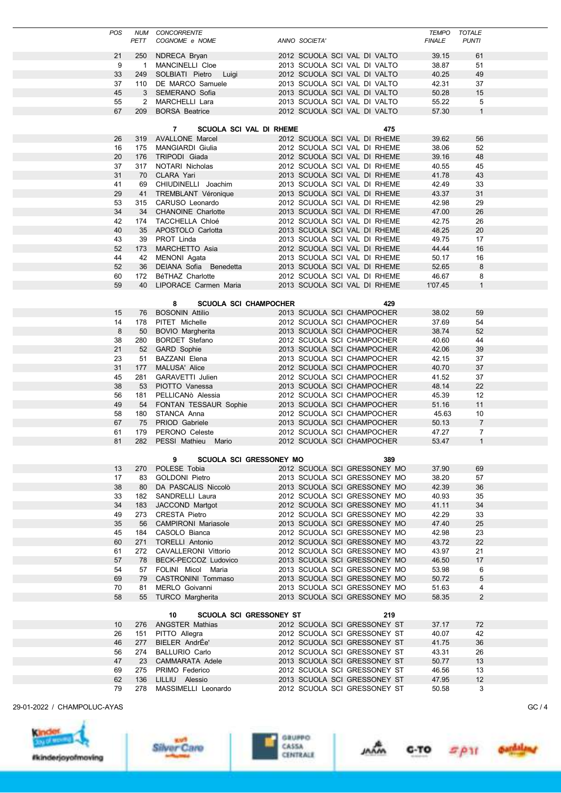|                             | <b>POS</b> |                | NUM CONCORRENTE                           |                              | <b>TEMPO</b>  | TOTALE         |      |
|-----------------------------|------------|----------------|-------------------------------------------|------------------------------|---------------|----------------|------|
|                             |            | PETT           | COGNOME e NOME                            | ANNO SOCIETA'                | <b>FINALE</b> | <b>PUNTI</b>   |      |
|                             |            |                |                                           |                              |               |                |      |
|                             | 21         | 250            | NDRECA Bryan                              | 2012 SCUOLA SCI VAL DI VALTO | 39.15         | 61             |      |
|                             | 9          | $\overline{1}$ | MANCINELLI Cloe                           | 2013 SCUOLA SCI VAL DI VALTO | 38.87         | 51             |      |
|                             | 33         | 249            | SOLBIATI Pietro<br>Luigi                  | 2012 SCUOLA SCI VAL DI VALTO | 40.25         | 49             |      |
|                             | 37         | 110            | DE MARCO Samuele                          | 2013 SCUOLA SCI VAL DI VALTO | 42.31         | 37             |      |
|                             | 45         | 3              | SEMERANO Sofia                            | 2013 SCUOLA SCI VAL DI VALTO | 50.28         | 15             |      |
|                             | 55         | $\overline{2}$ | MARCHELLI Lara                            | 2013 SCUOLA SCI VAL DI VALTO | 55.22         | 5              |      |
|                             | 67         | 209            | <b>BORSA Beatrice</b>                     | 2012 SCUOLA SCI VAL DI VALTO | 57.30         | $\mathbf{1}$   |      |
|                             |            |                |                                           |                              |               |                |      |
|                             |            |                | $\overline{7}$<br>SCUOLA SCI VAL DI RHEME |                              | 475           |                |      |
|                             | 26         | 319            | <b>AVALLONE Marcel</b>                    | 2012 SCUOLA SCI VAL DI RHEME | 39.62         | 56             |      |
|                             | 16         | 175            | MANGIARDI Giulia                          | 2012 SCUOLA SCI VAL DI RHEME | 38.06         | 52             |      |
|                             | 20         | 176            | TRIPODI Giada                             | 2012 SCUOLA SCI VAL DI RHEME | 39.16         | 48             |      |
|                             | 37         | 317            | NOTARI Nicholas                           | 2012 SCUOLA SCI VAL DI RHEME | 40.55         | 45             |      |
|                             | 31         | 70             | CLARA Yari                                | 2013 SCUOLA SCI VAL DI RHEME | 41.78         | 43             |      |
|                             | 41         | 69             | CHIUDINELLI Joachim                       | 2013 SCUOLA SCI VAL DI RHEME | 42.49         | 33             |      |
|                             | 29         | 41             | <b>TREMBLANT Véronique</b>                | 2013 SCUOLA SCI VAL DI RHEME | 43.37         | 31             |      |
|                             | 53         | 315            | CARUSO Leonardo                           | 2012 SCUOLA SCI VAL DI RHEME | 42.98         | 29             |      |
|                             | 34         | 34             | <b>CHANOINE Charlotte</b>                 | 2013 SCUOLA SCI VAL DI RHEME | 47.00         | 26             |      |
|                             | 42         | 174            | <b>TACCHELLA Chloé</b>                    | 2012 SCUOLA SCI VAL DI RHEME | 42.75         | 26             |      |
|                             | 40         | 35             | APOSTOLO Carlotta                         | 2013 SCUOLA SCI VAL DI RHEME | 48.25         | 20             |      |
|                             | 43         | 39             | PROT Linda                                | 2013 SCUOLA SCI VAL DI RHEME | 49.75         | 17             |      |
|                             | 52         | 173            | MARCHETTO Asia                            | 2012 SCUOLA SCI VAL DI RHEME | 44.44         | 16             |      |
|                             | 44         | 42             | MENONI Agata                              | 2013 SCUOLA SCI VAL DI RHEME | 50.17         | 16             |      |
|                             | 52         | 36             | DEIANA Sofia Benedetta                    | 2013 SCUOLA SCI VAL DI RHEME | 52.65         | 8              |      |
|                             | 60         | 172            | BéTHAZ Charlotte                          | 2012 SCUOLA SCI VAL DI RHEME | 46.67         | 8              |      |
|                             | 59         | 40             | LIPORACE Carmen Maria                     | 2013 SCUOLA SCI VAL DI RHEME | 1'07.45       | $\mathbf{1}$   |      |
|                             |            |                |                                           |                              |               |                |      |
|                             |            |                | <b>SCUOLA SCI CHAMPOCHER</b><br>8         |                              | 429           |                |      |
|                             | 15         | 76             | <b>BOSONIN Attilio</b>                    | 2013 SCUOLA SCI CHAMPOCHER   | 38.02         | 59             |      |
|                             | 14         | 178            | PITET Michelle                            | 2012 SCUOLA SCI CHAMPOCHER   | 37.69         | 54             |      |
|                             | 8          | 50             | BOVIO Margherita                          | 2013 SCUOLA SCI CHAMPOCHER   | 38.74         | 52             |      |
|                             | 38         | 280            | <b>BORDET Stefano</b>                     | 2012 SCUOLA SCI CHAMPOCHER   | 40.60         | 44             |      |
|                             | 21         | 52             | <b>GARD Sophie</b>                        | 2013 SCUOLA SCI CHAMPOCHER   | 42.06         | 39             |      |
|                             | 23         | 51             | <b>BAZZANI Elena</b>                      | 2013 SCUOLA SCI CHAMPOCHER   | 42.15         | 37             |      |
|                             | 31         | 177            | <b>MALUSA' Alice</b>                      | 2012 SCUOLA SCI CHAMPOCHER   | 40.70         | 37             |      |
|                             | 45         | 281            | GARAVETTI Julien                          | 2012 SCUOLA SCI CHAMPOCHER   | 41.52         | 37             |      |
|                             | 38         | 53             | PIOTTO Vanessa                            | 2013 SCUOLA SCI CHAMPOCHER   | 48.14         | 22             |      |
|                             | 56         | 181            | PELLICAN <sub>Ò</sub> Alessia             | 2012 SCUOLA SCI CHAMPOCHER   | 45.39         | 12             |      |
|                             | 49         | 54             | FONTAN TESSAUR Sophie                     | 2013 SCUOLA SCI CHAMPOCHER   | 51.16         | 11             |      |
|                             | 58         | 180            | STANCA Anna                               | 2012 SCUOLA SCI CHAMPOCHER   | 45.63         | 10             |      |
|                             | 67         | 75             | PRIOD Gabriele                            | 2013 SCUOLA SCI CHAMPOCHER   | 50.13         | $\overline{7}$ |      |
|                             | 61         | 179            | PERONO Celeste                            | 2012 SCUOLA SCI CHAMPOCHER   | 47.27         | $\overline{7}$ |      |
|                             | 81         | 282            | PESSI Mathieu Mario                       | 2012 SCUOLA SCI CHAMPOCHER   | 53.47         | $\mathbf{1}$   |      |
|                             |            |                |                                           |                              |               |                |      |
|                             |            |                | SCUOLA SCI GRESSONEY MO<br>9              |                              | 389           |                |      |
|                             | 13         | 270            | POLESE Tobia                              | 2012 SCUOLA SCI GRESSONEY MO | 37.90         | 69             |      |
|                             | 17         | 83             | <b>GOLDONI Pietro</b>                     | 2013 SCUOLA SCI GRESSONEY MO | 38.20         | 57             |      |
|                             | 38         | 80             | DA PASCALIS Niccolò                       | 2013 SCUOLA SCI GRESSONEY MO | 42.39         | 36             |      |
|                             | 33         | 182            | SANDRELLI Laura                           | 2012 SCUOLA SCI GRESSONEY MO | 40.93         | 35             |      |
|                             | 34         | 183            | JACCOND Martgot                           | 2012 SCUOLA SCI GRESSONEY MO | 41.11         | 34             |      |
|                             | 49         | 273            | <b>CRESTA Pietro</b>                      | 2012 SCUOLA SCI GRESSONEY MO | 42.29         | 33             |      |
|                             | 35         | 56             | <b>CAMPIRONI Mariasole</b>                | 2013 SCUOLA SCI GRESSONEY MO | 47.40         | 25             |      |
|                             | 45         | 184            | CASOLO Bianca                             | 2012 SCUOLA SCI GRESSONEY MO | 42.98         | 23             |      |
|                             | 60         | 271            | <b>TORELLI Antonio</b>                    | 2012 SCUOLA SCI GRESSONEY MO | 43.72         | 22             |      |
|                             | 61         | 272            | <b>CAVALLERONI Vittorio</b>               | 2012 SCUOLA SCI GRESSONEY MO | 43.97         | 21             |      |
|                             | 57         | 78             | BECK-PECCOZ Ludovico                      | 2013 SCUOLA SCI GRESSONEY MO | 46.50         | 17             |      |
|                             | 54         | 57             | FOLINI Micol Maria                        | 2013 SCUOLA SCI GRESSONEY MO | 53.98         | 6              |      |
|                             | 69         | 79             | <b>CASTRONINI Tommaso</b>                 | 2013 SCUOLA SCI GRESSONEY MO | 50.72         | 5              |      |
|                             | 70         | 81             | MERLO Goivanni                            | 2013 SCUOLA SCI GRESSONEY MO | 51.63         | 4              |      |
|                             | 58         | 55             | <b>TURCO Margherita</b>                   | 2013 SCUOLA SCI GRESSONEY MO | 58.35         | $\overline{2}$ |      |
|                             |            |                |                                           |                              |               |                |      |
|                             |            |                | 10<br>SCUOLA SCI GRESSONEY ST             |                              | 219           |                |      |
|                             | 10         | 276            | <b>ANGSTER Mathias</b>                    | 2012 SCUOLA SCI GRESSONEY ST | 37.17         | 72             |      |
|                             | 26         | 151            | PITTO Allegra                             | 2012 SCUOLA SCI GRESSONEY ST | 40.07         | 42             |      |
|                             | 46         | 277            | BIELER AndrÉe'                            | 2012 SCUOLA SCI GRESSONEY ST | 41.75         | 36             |      |
|                             | 56         | 274            | <b>BALLURIO Carlo</b>                     | 2012 SCUOLA SCI GRESSONEY ST | 43.31         | 26             |      |
|                             | 47         | 23             | CAMMARATA Adele                           | 2013 SCUOLA SCI GRESSONEY ST | 50.77         | 13             |      |
|                             | 69         | 275            | PRIMO Federico                            | 2012 SCUOLA SCI GRESSONEY ST | 46.56         | 13             |      |
|                             | 62         | 136            | LILLIU Alessio                            | 2013 SCUOLA SCI GRESSONEY ST | 47.95         | 12             |      |
|                             | 79         | 278            | MASSIMELLI Leonardo                       | 2012 SCUOLA SCI GRESSONEY ST | 50.58         | 3              |      |
|                             |            |                |                                           |                              |               |                |      |
| 29-01-2022 / CHAMPOLUC-AYAS |            |                |                                           |                              |               |                | GC/4 |

**Cincler** *Ikinderjoyofmoving* 







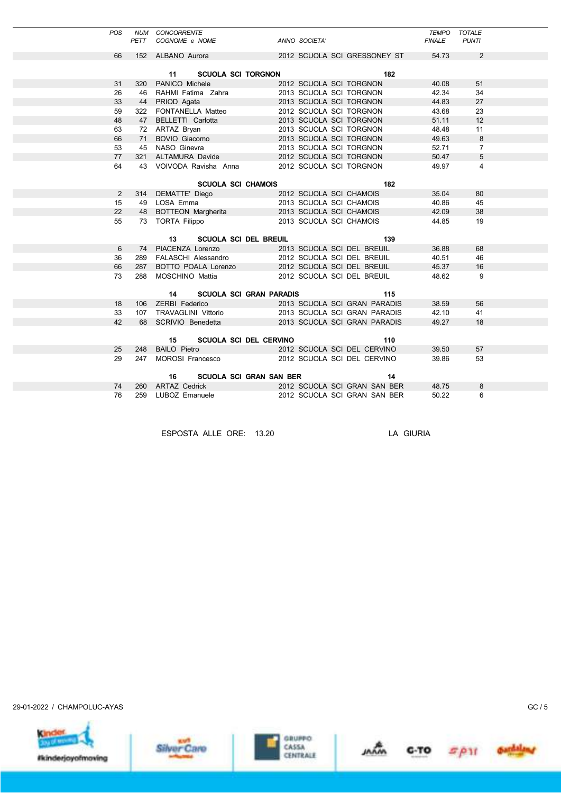| POS | <b>NUM</b><br><b>PETT</b> | CONCORRENTE<br>COGNOME e NOME |                            |                                              | ANNO SOCIETA' |                              | <b>TEMPO</b><br><b>FINALE</b> | <b>TOTALE</b><br><b>PUNTI</b> |  |
|-----|---------------------------|-------------------------------|----------------------------|----------------------------------------------|---------------|------------------------------|-------------------------------|-------------------------------|--|
| 66  | 152                       | ALBANO Aurora                 |                            |                                              |               | 2012 SCUOLA SCI GRESSONEY ST | 54.73                         | 2                             |  |
|     |                           |                               |                            |                                              |               |                              |                               |                               |  |
|     |                           | 11                            | <b>SCUOLA SCI TORGNON</b>  |                                              |               | 182                          |                               |                               |  |
| 31  | 320                       | PANICO Michele                |                            |                                              |               | 2012 SCUOLA SCI TORGNON      | 40.08                         | 51                            |  |
| 26  | 46                        | RAHMI Fatima Zahra            |                            |                                              |               | 2013 SCUOLA SCI TORGNON      | 42.34                         | 34                            |  |
| 33  | 44                        | PRIOD Agata                   |                            |                                              |               | 2013 SCUOLA SCI TORGNON      | 44.83                         | 27                            |  |
| 59  | 322                       |                               | FONTANELLA Matteo          |                                              |               | 2012 SCUOLA SCI TORGNON      | 43.68                         | 23                            |  |
| 48  | 47                        | BELLETTI Carlotta             |                            |                                              |               | 2013 SCUOLA SCI TORGNON      | 51.11                         | 12                            |  |
| 63  | 72                        | ARTAZ Bryan                   |                            |                                              |               | 2013 SCUOLA SCI TORGNON      | 48.48                         | 11                            |  |
| 66  | 71                        | <b>BOVIO Giacomo</b>          |                            |                                              |               | 2013 SCUOLA SCI TORGNON      | 49.63                         | $\boldsymbol{8}$              |  |
| 53  | 45                        | NASO Ginevra                  |                            |                                              |               | 2013 SCUOLA SCI TORGNON      | 52.71                         | $\overline{7}$                |  |
| 77  | 321                       | ALTAMURA Davide               |                            |                                              |               | 2012 SCUOLA SCI TORGNON      | 50.47                         | 5                             |  |
| 64  |                           |                               | 43 VOIVODA Ravisha Anna    |                                              |               | 2012 SCUOLA SCI TORGNON      | 49.97                         | 4                             |  |
|     |                           |                               |                            |                                              |               |                              |                               |                               |  |
|     |                           |                               | <b>SCUOLA SCI CHAMOIS</b>  |                                              |               | 182                          |                               |                               |  |
| 2   | 314                       | DEMATTE' Diego                |                            |                                              |               | 2012 SCUOLA SCI CHAMOIS      | 35.04                         | 80                            |  |
| 15  | 49                        | LOSA Emma                     |                            |                                              |               | 2013 SCUOLA SCI CHAMOIS      | 40.86                         | 45                            |  |
| 22  | 48                        |                               | BOTTEON Margherita         |                                              |               | 2013 SCUOLA SCI CHAMOIS      | 42.09                         | 38                            |  |
| 55  | 73                        | <b>TORTA Filippo</b>          |                            |                                              |               | 2013 SCUOLA SCI CHAMOIS      | 44.85                         | 19                            |  |
|     |                           |                               |                            |                                              |               |                              |                               |                               |  |
|     |                           | 13                            |                            | <b>SCUOLA SCI DEL BREUIL</b>                 |               | 139                          |                               |                               |  |
| 6   | 74                        | PIACENZA Lorenzo              |                            |                                              |               | 2013 SCUOLA SCI DEL BREUIL   | 36.88                         | 68                            |  |
| 36  | 289                       |                               | FALASCHI Alessandro        |                                              |               | 2012 SCUOLA SCI DEL BREUIL   | 40.51                         | 46                            |  |
| 66  | 287                       |                               | BOTTO POALA Lorenzo        |                                              |               | 2012 SCUOLA SCI DEL BREUIL   | 45.37                         | 16                            |  |
| 73  | 288                       | MOSCHINO Mattia               |                            |                                              |               | 2012 SCUOLA SCI DEL BREUIL   | 48.62                         | 9                             |  |
|     |                           | 14                            |                            | <b>SCUOLA SCI GRAN PARADIS</b>               |               | 115                          |                               |                               |  |
| 18  | 106                       | <b>ZERBI Federico</b>         |                            |                                              |               | 2013 SCUOLA SCI GRAN PARADIS | 38.59                         | 56                            |  |
| 33  | 107                       |                               | <b>TRAVAGLINI Vittorio</b> |                                              |               | 2013 SCUOLA SCI GRAN PARADIS | 42.10                         | 41                            |  |
| 42  | 68                        |                               | SCRIVIO Benedetta          |                                              |               | 2013 SCUOLA SCI GRAN PARADIS | 49.27                         | 18                            |  |
|     |                           |                               |                            |                                              |               |                              |                               |                               |  |
|     |                           | 15                            |                            | <b>SCUOLA SCI DEL CERVINO</b>                |               | 110                          |                               |                               |  |
| 25  | 248                       | <b>BAILO Pietro</b>           |                            |                                              |               | 2012 SCUOLA SCI DEL CERVINO  | 39.50                         | 57                            |  |
| 29  | 247                       |                               |                            | MOROSI Francesco 2012 SCUOLA SCI DEL CERVINO |               |                              | 39.86                         | 53                            |  |
|     |                           |                               |                            |                                              |               |                              |                               |                               |  |
|     |                           | 16                            |                            | <b>SCUOLA SCI GRAN SAN BER</b>               |               |                              | 14                            |                               |  |
| 74  | 260                       | <b>ARTAZ Cedrick</b>          |                            |                                              |               | 2012 SCUOLA SCI GRAN SAN BER | 48.75                         | 8                             |  |
| 76  | 259                       | LUBOZ Emanuele                |                            |                                              |               | 2012 SCUOLA SCI GRAN SAN BER | 50.22                         | 6                             |  |
|     |                           |                               |                            |                                              |               |                              |                               |                               |  |

ESPOSTA ALLE ORE: 13.20 LA GIURIA









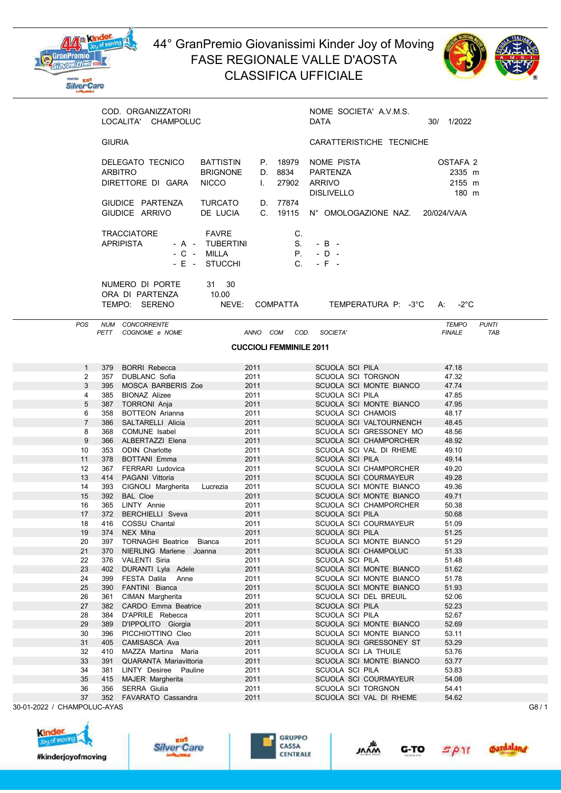

ma

Gran **AROVETONI** 

moreo <sub>Kro</sub>s<br>Silver Care



|     | COD. ORGANIZZATORI<br>LOCALITA' CHAMPOLUC                  |                                                           |                                          | NOME SOCIFTA' A V M S<br>DATA                                | 1/2022<br>30/                                               |
|-----|------------------------------------------------------------|-----------------------------------------------------------|------------------------------------------|--------------------------------------------------------------|-------------------------------------------------------------|
|     | <b>GIURIA</b>                                              |                                                           |                                          | CARATTERISTICHE TECNICHE                                     |                                                             |
|     | DELEGATO TECNICO<br><b>ARBITRO</b><br>DIRETTORE DI GARA    | <b>BATTISTIN</b><br><b>BRIGNONE</b><br><b>NICCO</b>       | P.<br>18979<br>8834<br>D.<br>27902<br>L. | NOME PISTA<br><b>PARTENZA</b><br>ARRIVO<br><b>DISLIVELLO</b> | OSTAFA 2<br>2335 m<br>2155 m<br>180 m                       |
|     | GIUDICE PARTENZA<br>GIUDICE ARRIVO                         | <b>TURCATO</b><br>DE LUCIA                                | 77874<br>D.<br>$C_{\alpha}$<br>19115     | N° OMOLOGAZIONE NAZ.                                         | 20/024/VA/A                                                 |
|     | <b>TRACCIATORE</b><br><b>APRIPISTA</b><br>- A -            | <b>FAVRE</b><br>TUBERTINI<br>- C - MILLA<br>- E - STUCCHI | C.<br>S.<br>$P_{\perp}$<br>C.            | - B -<br>$-D -$<br>$-$ F $-$                                 |                                                             |
|     | NUMERO DI PORTE<br>ORA DI PARTENZA<br>TEMPO: SERENO        | 31 30<br>10.00<br>NEVE:                                   | <b>COMPATTA</b>                          | TEMPERATURA P: -3°C                                          | $-2^{\circ}$ C<br>A:                                        |
| POS | <b>CONCORRENTE</b><br><b>NUM</b><br>PETT<br>COGNOME e NOME |                                                           | COD.<br>ANNO<br><b>COM</b>               | SOCIETA'                                                     | <b>TEMPO</b><br><b>PUNTI</b><br><b>FINALE</b><br><b>TAB</b> |

CUCCIOLI FEMMINILE 2011

| $\mathbf{1}$                | 379 | <b>BORRI Rebecca</b>               | 2011 | SCUOLA SCI PILA               | 47.18 |
|-----------------------------|-----|------------------------------------|------|-------------------------------|-------|
| $\overline{2}$              | 357 | <b>DUBLANC Sofia</b>               | 2011 | <b>SCUOLA SCI TORGNON</b>     | 47.32 |
| 3                           | 395 | MOSCA BARBERIS Zoe                 | 2011 | SCUOLA SCI MONTE BIANCO       | 47.74 |
| 4                           | 385 | <b>BIONAZ Alizee</b>               | 2011 | <b>SCUOLA SCI PILA</b>        | 47.85 |
| 5                           | 387 | <b>TORRONI Anja</b>                | 2011 | SCUOLA SCI MONTE BIANCO       | 47.95 |
| 6                           | 358 | <b>BOTTEON Arianna</b>             | 2011 | SCUOLA SCI CHAMOIS            | 48.17 |
| $\overline{7}$              | 386 | SALTARELLI Alicia                  | 2011 | SCUOLA SCI VALTOURNENCH       | 48.45 |
| 8                           | 368 | COMUNE Isabel                      | 2011 | SCUOLA SCI GRESSONEY MO       | 48.56 |
| 9                           | 366 | ALBERTAZZI Elena                   | 2011 | SCUOLA SCI CHAMPORCHER        | 48.92 |
| 10                          | 353 | <b>ODIN Charlotte</b>              | 2011 | SCUOLA SCI VAL DI RHEME       | 49.10 |
| 11                          | 378 | <b>BOTTANI Emma</b>                | 2011 | <b>SCUOLA SCI PILA</b>        | 49.14 |
| 12                          | 367 | <b>FERRARI Ludovica</b>            | 2011 | <b>SCUOLA SCI CHAMPORCHER</b> | 49.20 |
| 13                          | 414 | <b>PAGANI Vittoria</b>             | 2011 | <b>SCUOLA SCI COURMAYEUR</b>  | 49.28 |
| 14                          | 393 | CIGNOLI Margherita<br>Lucrezia     | 2011 | SCUOLA SCI MONTE BIANCO       | 49.36 |
| 15                          | 392 | <b>BAL Cloe</b>                    | 2011 | SCUOLA SCI MONTE BIANCO       | 49.71 |
| 16                          | 365 | LINTY Annie                        | 2011 | SCUOLA SCI CHAMPORCHER        | 50.38 |
| 17                          | 372 | <b>BERCHIELLI Sveva</b>            | 2011 | <b>SCUOLA SCI PILA</b>        | 50.68 |
| 18                          | 416 | COSSU Chantal                      | 2011 | <b>SCUOLA SCI COURMAYEUR</b>  | 51.09 |
| 19                          | 374 | NEX Miha                           | 2011 | SCUOLA SCI PILA               | 51.25 |
| 20                          | 397 | <b>TORNAGHI Beatrice</b><br>Bianca | 2011 | SCUOLA SCI MONTE BIANCO       | 51.29 |
| 21                          | 370 | NIERLING Marlene Joanna            | 2011 | SCUOLA SCI CHAMPOLUC          | 51.33 |
| 22                          | 376 | <b>VALENTI Siria</b>               | 2011 | <b>SCUOLA SCI PILA</b>        | 51.48 |
| 23                          | 402 | DURANTI Lyla Adele                 | 2011 | SCUOLA SCI MONTE BIANCO       | 51.62 |
| 24                          | 399 | FESTA Dalila Anne                  | 2011 | SCUOLA SCI MONTE BIANCO       | 51.78 |
| 25                          | 390 | FANTINI Bianca                     | 2011 | SCUOLA SCI MONTE BIANCO       | 51.93 |
| 26                          | 361 | CIMAN Margherita                   | 2011 | SCUOLA SCI DEL BREUIL         | 52.06 |
| 27                          | 382 | <b>CARDO Emma Beatrice</b>         | 2011 | <b>SCUOLA SCI PILA</b>        | 52.23 |
| 28                          | 384 | D'APRILE Rebecca                   | 2011 | <b>SCUOLA SCI PILA</b>        | 52.67 |
| 29                          | 389 | D'IPPOLITO Giorgia                 | 2011 | SCUOLA SCI MONTE BIANCO       | 52.69 |
| 30                          | 396 | PICCHIOTTINO Cleo                  | 2011 | SCUOLA SCI MONTE BIANCO       | 53.11 |
| 31                          | 405 | CAMISASCA Ava                      | 2011 | SCUOLA SCI GRESSONEY ST       | 53.29 |
| 32                          | 410 | MAZZA Martina Maria                | 2011 | SCUOLA SCI LA THUILE          | 53.76 |
| 33                          | 391 | <b>QUARANTA Mariavittoria</b>      | 2011 | SCUOLA SCI MONTE BIANCO       | 53.77 |
| 34                          | 381 | LINTY Desiree Pauline              | 2011 | <b>SCUOLA SCI PILA</b>        | 53.83 |
| 35                          | 415 | MAJER Margherita                   | 2011 | SCUOLA SCI COURMAYEUR         | 54.08 |
| 36                          | 356 | <b>SERRA Giulia</b>                | 2011 | <b>SCUOLA SCI TORGNON</b>     | 54.41 |
| 37                          | 352 | <b>FAVARATO Cassandra</b>          | 2011 | SCUOLA SCI VAL DI RHEME       | 54.62 |
| 30-01-2022 / CHAMPOLUC-AYAS |     |                                    |      |                               | G8/1  |









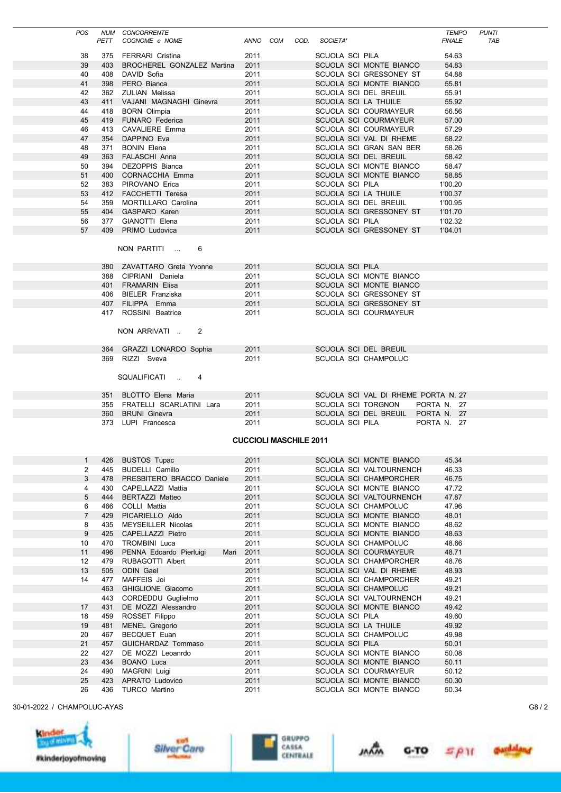| <b>POS</b>     | NUM        | <b>CONCORRENTE</b>                              |                               |            |      |                        |                                                    | <b>TEMPO</b>   | <b>PUNTI</b> |  |
|----------------|------------|-------------------------------------------------|-------------------------------|------------|------|------------------------|----------------------------------------------------|----------------|--------------|--|
|                | PETT       | COGNOME e NOME                                  | ANNO                          | <b>COM</b> | COD. | SOCIETA'               |                                                    | <b>FINALE</b>  | TAB          |  |
| 38             | 375        | <b>FERRARI Cristina</b>                         | 2011                          |            |      | SCUOLA SCI PILA        |                                                    | 54.63          |              |  |
| 39             | 403        | BROCHEREL GONZALEZ Martina                      | 2011                          |            |      |                        | SCUOLA SCI MONTE BIANCO                            | 54.83          |              |  |
| 40             | 408        | DAVID Sofia                                     | 2011                          |            |      |                        | SCUOLA SCI GRESSONEY ST                            | 54.88          |              |  |
| 41             | 398        | PERO Bianca                                     | 2011                          |            |      |                        | SCUOLA SCI MONTE BIANCO                            | 55.81          |              |  |
| 42             | 362        | ZULIAN Melissa                                  | 2011                          |            |      |                        | SCUOLA SCI DEL BREUIL                              | 55.91          |              |  |
| 43             | 411        | VAJANI MAGNAGHI Ginevra                         | 2011                          |            |      |                        | SCUOLA SCI LA THUILE                               | 55.92          |              |  |
| 44             | 418        | <b>BORN Olimpia</b>                             | 2011                          |            |      |                        | SCUOLA SCI COURMAYEUR                              | 56.56          |              |  |
| 45<br>46       | 419<br>413 | <b>FUNARO</b> Federica<br><b>CAVALIERE Emma</b> | 2011<br>2011                  |            |      |                        | SCUOLA SCI COURMAYEUR                              | 57.00<br>57.29 |              |  |
| 47             | 354        | DAPPINO Eva                                     | 2011                          |            |      |                        | SCUOLA SCI COURMAYEUR<br>SCUOLA SCI VAL DI RHEME   | 58.22          |              |  |
| 48             | 371        | <b>BONIN Elena</b>                              | 2011                          |            |      |                        | SCUOLA SCI GRAN SAN BER                            | 58.26          |              |  |
| 49             | 363        | FALASCHI Anna                                   | 2011                          |            |      |                        | SCUOLA SCI DEL BREUIL                              | 58.42          |              |  |
| 50             | 394        | <b>DEZOPPIS Bianca</b>                          | 2011                          |            |      |                        | SCUOLA SCI MONTE BIANCO                            | 58.47          |              |  |
| 51             | 400        | CORNACCHIA Emma                                 | 2011                          |            |      |                        | SCUOLA SCI MONTE BIANCO                            | 58.85          |              |  |
| 52             | 383        | PIROVANO Erica                                  | 2011                          |            |      | SCUOLA SCI PILA        |                                                    | 1'00.20        |              |  |
| 53             |            | 412 FACCHETTI Teresa                            | 2011                          |            |      |                        | SCUOLA SCI LA THUILE                               | 1'00.37        |              |  |
| 54             | 359        | MORTILLARO Carolina                             | 2011                          |            |      |                        | SCUOLA SCI DEL BREUIL                              | 1'00.95        |              |  |
| 55             | 404        | GASPARD Karen                                   | 2011                          |            |      |                        | SCUOLA SCI GRESSONEY ST                            | 1'01.70        |              |  |
| 56             | 377        | GIANOTTI Elena                                  | 2011                          |            |      | SCUOLA SCI PILA        |                                                    | 1'02.32        |              |  |
| 57             |            | 409 PRIMO Ludovica                              | 2011                          |            |      |                        | SCUOLA SCI GRESSONEY ST                            | 1'04.01        |              |  |
|                |            |                                                 |                               |            |      |                        |                                                    |                |              |  |
|                |            | NON PARTITI<br>6                                |                               |            |      |                        |                                                    |                |              |  |
|                | 380        | ZAVATTARO Greta Yvonne                          | 2011                          |            |      | <b>SCUOLA SCI PILA</b> |                                                    |                |              |  |
|                |            | 388 CIPRIANI Daniela                            | 2011                          |            |      |                        | SCUOLA SCI MONTE BIANCO                            |                |              |  |
|                |            | 401 FRAMARIN Elisa                              | 2011                          |            |      |                        | SCUOLA SCI MONTE BIANCO                            |                |              |  |
|                | 406        | BIELER Franziska                                | 2011                          |            |      |                        | SCUOLA SCI GRESSONEY ST                            |                |              |  |
|                |            | 407 FILIPPA Emma                                | 2011                          |            |      |                        | SCUOLA SCI GRESSONEY ST                            |                |              |  |
|                |            | 417 ROSSINI Beatrice                            | 2011                          |            |      |                        | SCUOLA SCI COURMAYEUR                              |                |              |  |
|                |            |                                                 |                               |            |      |                        |                                                    |                |              |  |
|                |            | NON ARRIVATI.<br>2                              |                               |            |      |                        |                                                    |                |              |  |
|                |            |                                                 |                               |            |      |                        |                                                    |                |              |  |
|                |            | 364 GRAZZI LONARDO Sophia                       | 2011                          |            |      |                        | SCUOLA SCI DEL BREUIL                              |                |              |  |
|                |            | 369 RIZZI Sveva                                 | 2011                          |            |      |                        | SCUOLA SCI CHAMPOLUC                               |                |              |  |
|                |            | SQUALIFICATI<br>4                               |                               |            |      |                        |                                                    |                |              |  |
|                |            |                                                 |                               |            |      |                        |                                                    |                |              |  |
|                |            | 351 BLOTTO Elena Maria                          | 2011                          |            |      |                        | SCUOLA SCI VAL DI RHEME PORTA N. 27                |                |              |  |
|                |            | 355 FRATELLI SCARLATINI Lara                    | 2011                          |            |      |                        | SCUOLA SCI TORGNON                                 | PORTA N. 27    |              |  |
|                |            | 360 BRUNI Ginevra                               | 2011                          |            |      |                        | SCUOLA SCI DEL BREUIL PORTA N. 27                  |                |              |  |
|                | 373        | LUPI Francesca                                  | 2011                          |            |      | SCUOLA SCI PILA        |                                                    | PORTA N. 27    |              |  |
|                |            |                                                 |                               |            |      |                        |                                                    |                |              |  |
|                |            |                                                 | <b>CUCCIOLI MASCHILE 2011</b> |            |      |                        |                                                    |                |              |  |
|                |            |                                                 |                               |            |      |                        |                                                    |                |              |  |
| $\mathbf{1}$   | 426        | <b>BUSTOS Tupac</b>                             | 2011                          |            |      |                        | SCUOLA SCI MONTE BIANCO                            | 45.34          |              |  |
| 2              | 445        | BUDELLI Camillo                                 | 2011                          |            |      |                        | SCUOLA SCI VALTOURNENCH                            | 46.33          |              |  |
| 3<br>4         | 478<br>430 | PRESBITERO BRACCO Daniele                       | 2011<br>2011                  |            |      |                        | SCUOLA SCI CHAMPORCHER<br>SCUOLA SCI MONTE BIANCO  | 46.75<br>47.72 |              |  |
| 5              | 444        | CAPELLAZZI Mattia<br><b>BERTAZZI Matteo</b>     | 2011                          |            |      |                        | SCUOLA SCI VALTOURNENCH                            | 47.87          |              |  |
| 6              | 466        | COLLI Mattia                                    | 2011                          |            |      |                        | SCUOLA SCI CHAMPOLUC                               | 47.96          |              |  |
| $\overline{7}$ | 429        | PICARIELLO Aldo                                 | 2011                          |            |      |                        | SCUOLA SCI MONTE BIANCO                            | 48.01          |              |  |
| 8              | 435        | MEYSEILLER Nicolas                              | 2011                          |            |      |                        | SCUOLA SCI MONTE BIANCO                            | 48.62          |              |  |
| 9              | 425        | CAPELLAZZI Pietro                               | 2011                          |            |      |                        | SCUOLA SCI MONTE BIANCO                            | 48.63          |              |  |
| 10             | 470        | <b>TROMBINI Luca</b>                            | 2011                          |            |      |                        | SCUOLA SCI CHAMPOLUC                               | 48.66          |              |  |
| 11             | 496        | PENNA Edoardo Pierluigi<br>Mari                 | 2011                          |            |      |                        | SCUOLA SCI COURMAYEUR                              | 48.71          |              |  |
| 12             | 479        | RUBAGOTTI Albert                                | 2011                          |            |      |                        | SCUOLA SCI CHAMPORCHER                             | 48.76          |              |  |
| 13             | 505        | ODIN Gael                                       | 2011                          |            |      |                        | SCUOLA SCI VAL DI RHEME                            | 48.93          |              |  |
| 14             | 477        | MAFFEIS Joi                                     | 2011                          |            |      |                        | SCUOLA SCI CHAMPORCHER                             | 49.21          |              |  |
|                | 463        | GHIGLIONE Giacomo                               | 2011                          |            |      |                        | SCUOLA SCI CHAMPOLUC                               | 49.21          |              |  |
|                |            | CORDEDDU Guglielmo                              | 2011                          |            |      |                        | SCUOLA SCI VALTOURNENCH                            | 49.21          |              |  |
| 17             | 443        |                                                 | 2011                          |            |      |                        | SCUOLA SCI MONTE BIANCO                            | 49.42          |              |  |
| 18<br>19       | 431        | DE MOZZI Alessandro                             |                               |            |      |                        |                                                    |                |              |  |
| 20             | 459        | ROSSET Filippo                                  | 2011                          |            |      | SCUOLA SCI PILA        |                                                    | 49.60          |              |  |
|                | 481        | <b>MENEL Gregorio</b>                           | 2011                          |            |      |                        | SCUOLA SCI LA THUILE                               | 49.92          |              |  |
|                | 467        | BECQUET Euan                                    | 2011                          |            |      |                        | SCUOLA SCI CHAMPOLUC                               | 49.98          |              |  |
| 21             | 457<br>427 | GUICHARDAZ Tommaso                              | 2011                          |            |      | SCUOLA SCI PILA        |                                                    | 50.01<br>50.08 |              |  |
| 22<br>23       | 434        | DE MOZZI Leoanrdo<br>BOANO Luca                 | 2011<br>2011                  |            |      |                        | SCUOLA SCI MONTE BIANCO<br>SCUOLA SCI MONTE BIANCO | 50.11          |              |  |
| 24             | 490        | MAGRINI Luigi                                   | 2011                          |            |      |                        | SCUOLA SCI COURMAYEUR                              | 50.12          |              |  |
| 25             | 423        | APRATO Ludovico                                 | 2011                          |            |      |                        | SCUOLA SCI MONTE BIANCO                            | 50.30          |              |  |
| 26             | 436        | <b>TURCO Martino</b>                            | 2011                          |            |      |                        | SCUOLA SCI MONTE BIANCO                            | 50.34          |              |  |









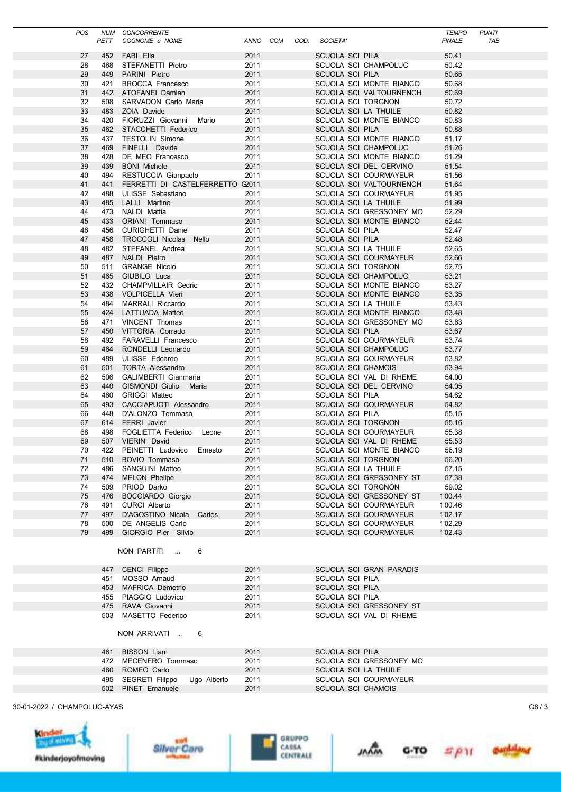|                             | POS      | PETT       | NUM CONCORRENTE<br>COGNOME e NOME              | ANNO COM     | COD. | SOCIETA'               |                                                    | <b>TEMPO</b><br><b>FINALE</b> | <b>PUNTI</b><br><b>TAB</b> |
|-----------------------------|----------|------------|------------------------------------------------|--------------|------|------------------------|----------------------------------------------------|-------------------------------|----------------------------|
|                             | 27       | 452        | FABI Elia                                      | 2011         |      | SCUOLA SCI PILA        |                                                    | 50.41                         |                            |
|                             | 28       | 468        | STEFANETTI Pietro                              | 2011         |      |                        | SCUOLA SCI CHAMPOLUC                               | 50.42                         |                            |
|                             | 29       | 449        | PARINI Pietro                                  | 2011         |      | SCUOLA SCI PILA        |                                                    | 50.65                         |                            |
|                             | 30       | 421        | <b>BROCCA Francesco</b>                        | 2011         |      |                        | SCUOLA SCI MONTE BIANCO                            | 50.68                         |                            |
|                             | 31       | 442        | ATOFANEI Damian                                | 2011         |      |                        | SCUOLA SCI VALTOURNENCH                            | 50.69                         |                            |
|                             | 32       | 508        | SARVADON Carlo Maria                           | 2011         |      |                        | SCUOLA SCI TORGNON                                 | 50.72                         |                            |
|                             | 33       |            | 483 ZOIA Davide                                | 2011         |      |                        | SCUOLA SCI LA THUILE                               | 50.82                         |                            |
|                             | 34       | 420        | FIORUZZI Giovanni Mario                        | 2011         |      |                        | SCUOLA SCI MONTE BIANCO                            | 50.83                         |                            |
|                             | 35       | 462        | STACCHETTI Federico                            | 2011         |      | <b>SCUOLA SCI PILA</b> |                                                    | 50.88                         |                            |
|                             | 36       | 437        | <b>TESTOLIN Simone</b>                         | 2011         |      |                        | SCUOLA SCI MONTE BIANCO                            | 51.17                         |                            |
|                             | 37       | 469        | FINELLI Davide                                 | 2011         |      |                        | SCUOLA SCI CHAMPOLUC                               | 51.26                         |                            |
|                             | 38       | 428        | DE MEO Francesco                               | 2011         |      |                        | SCUOLA SCI MONTE BIANCO                            | 51.29                         |                            |
|                             | 39       | 439        | <b>BONI</b> Michele                            | 2011         |      |                        | SCUOLA SCI DEL CERVINO                             | 51.54                         |                            |
|                             | 40       | 494        | RESTUCCIA Gianpaolo                            | 2011         |      |                        | SCUOLA SCI COURMAYEUR                              | 51.56                         |                            |
|                             | 41       | 441        | FERRETTI DI CASTELFERRETTO G2011               |              |      |                        | SCUOLA SCI VALTOURNENCH                            | 51.64                         |                            |
|                             | 42       | 488        | ULISSE Sebastiano                              | 2011         |      |                        | SCUOLA SCI COURMAYEUR                              | 51.95                         |                            |
|                             | 43       | 485        | LALLI Martino                                  | 2011         |      |                        | SCUOLA SCI LA THUILE                               | 51.99                         |                            |
|                             | 44<br>45 | 473<br>433 | NALDI Mattia<br>ORIANI Tommaso                 | 2011<br>2011 |      |                        | SCUOLA SCI GRESSONEY MO<br>SCUOLA SCI MONTE BIANCO | 52.29<br>52.44                |                            |
|                             | 46       | 456        | <b>CURIGHETTI Daniel</b>                       | 2011         |      | SCUOLA SCI PILA        |                                                    | 52.47                         |                            |
|                             | 47       | 458        | <b>TROCCOLI Nicolas Nello</b>                  | 2011         |      | SCUOLA SCI PILA        |                                                    | 52.48                         |                            |
|                             | 48       | 482        | STEFANEL Andrea                                | 2011         |      |                        | SCUOLA SCI LA THUILE                               | 52.65                         |                            |
|                             | 49       | 487        | <b>NALDI Pietro</b>                            | 2011         |      |                        | <b>SCUOLA SCI COURMAYEUR</b>                       | 52.66                         |                            |
|                             | 50       | 511        | <b>GRANGE Nicolo</b>                           | 2011         |      |                        | <b>SCUOLA SCI TORGNON</b>                          | 52.75                         |                            |
|                             | 51       | 465        | GIUBILO Luca                                   | 2011         |      |                        | SCUOLA SCI CHAMPOLUC                               | 53.21                         |                            |
|                             | 52       | 432        | <b>CHAMPVILLAIR Cedric</b>                     | 2011         |      |                        | SCUOLA SCI MONTE BIANCO                            | 53.27                         |                            |
|                             | 53       | 438        | <b>VOLPICELLA Vieri</b>                        | 2011         |      |                        | SCUOLA SCI MONTE BIANCO                            | 53.35                         |                            |
|                             | 54       | 484        | <b>MARRALI Riccardo</b>                        | 2011         |      |                        | SCUOLA SCI LA THUILE                               | 53.43                         |                            |
|                             | 55       | 424        | LATTUADA Matteo                                | 2011         |      |                        | SCUOLA SCI MONTE BIANCO                            | 53.48                         |                            |
|                             | 56       | 471        | <b>VINCENT Thomas</b>                          | 2011         |      |                        | SCUOLA SCI GRESSONEY MO                            | 53.63                         |                            |
|                             | 57       | 450        | VITTORIA Corrado                               | 2011         |      | SCUOLA SCI PILA        |                                                    | 53.67                         |                            |
|                             | 58       | 492        | FARAVELLI Francesco                            | 2011         |      |                        | SCUOLA SCI COURMAYEUR                              | 53.74                         |                            |
|                             | 59       |            | 464 RONDELLI Leonardo                          | 2011         |      |                        | SCUOLA SCI CHAMPOLUC                               | 53.77                         |                            |
|                             | 60       | 489        | ULISSE Edoardo                                 | 2011         |      |                        | SCUOLA SCI COURMAYEUR                              | 53.82                         |                            |
|                             | 61       | 501        | <b>TORTA Alessandro</b>                        | 2011         |      |                        | <b>SCUOLA SCI CHAMOIS</b>                          | 53.94                         |                            |
|                             | 62       | 506        | GALIMBERTI Gianmaria                           | 2011         |      |                        | SCUOLA SCI VAL DI RHEME                            | 54.00                         |                            |
|                             | 63       | 440        | <b>GISMONDI Giulio</b><br>Maria                | 2011         |      |                        | SCUOLA SCI DEL CERVINO                             | 54.05                         |                            |
|                             | 64<br>65 | 460<br>493 | <b>GRIGGI Matteo</b><br>CACCIAPUOTI Alessandro | 2011<br>2011 |      | SCUOLA SCI PILA        | SCUOLA SCI COURMAYEUR                              | 54.62<br>54.82                |                            |
|                             | 66       | 448        | D'ALONZO Tommaso                               | 2011         |      | SCUOLA SCI PILA        |                                                    | 55.15                         |                            |
|                             | 67       | 614        | <b>FERRI</b> Javier                            | 2011         |      |                        | <b>SCUOLA SCI TORGNON</b>                          | 55.16                         |                            |
|                             | 68       | 498        | FOGLIETTA Federico Leone                       | 2011         |      |                        | SCUOLA SCI COURMAYEUR                              | 55.38                         |                            |
|                             | 69       |            | 507 VIERIN David                               | 2011         |      |                        | SCUOLA SCI VAL DI RHEME                            | 55.53                         |                            |
|                             | 70       | 422        | PEINETTI Ludovico Ernesto                      | 2011         |      |                        | SCUOLA SCI MONTE BIANCO                            | 56.19                         |                            |
|                             | 71       | 510        | <b>BOVIO Tommaso</b>                           | 2011         |      |                        | SCUOLA SCI TORGNON                                 | 56.20                         |                            |
|                             | 72       |            | 486 SANGUINI Matteo                            | 2011         |      |                        | SCUOLA SCI LA THUILE                               | 57.15                         |                            |
|                             | 73       |            | 474 MELON Phelipe                              | 2011         |      |                        | SCUOLA SCI GRESSONEY ST                            | 57.38                         |                            |
|                             | 74       |            | 509 PRIOD Darko                                | 2011         |      |                        | SCUOLA SCI TORGNON                                 | 59.02                         |                            |
|                             | 75       |            | 476 BOCCIARDO Giorgio                          | 2011         |      |                        | SCUOLA SCI GRESSONEY ST                            | 1'00.44                       |                            |
|                             | 76       |            | 491 CURCI Alberto                              | 2011         |      |                        | SCUOLA SCI COURMAYEUR                              | 1'00.46                       |                            |
|                             | 77       |            | 497 D'AGOSTINO Nicola Carlos                   | 2011         |      |                        | SCUOLA SCI COURMAYEUR                              | 1'02.17                       |                            |
|                             | 78       |            | 500 DE ANGELIS Carlo                           | 2011         |      |                        | SCUOLA SCI COURMAYEUR                              | 1'02.29                       |                            |
|                             | 79       |            | 499 GIORGIO Pier Silvio                        | 2011         |      |                        | SCUOLA SCI COURMAYEUR                              | 1'02.43                       |                            |
|                             |          |            | NON PARTITI<br>6                               |              |      |                        |                                                    |                               |                            |
|                             |          |            | 447 CENCI Filippo                              | 2011         |      |                        | SCUOLA SCI GRAN PARADIS                            |                               |                            |
|                             |          |            | 451 MOSSO Arnaud                               | 2011         |      | SCUOLA SCI PILA        |                                                    |                               |                            |
|                             |          |            | 453 MAFRICA Demetrio                           | 2011         |      | SCUOLA SCI PILA        |                                                    |                               |                            |
|                             |          |            | 455 PIAGGIO Ludovico                           | 2011         |      | SCUOLA SCI PILA        |                                                    |                               |                            |
|                             |          |            | 475 RAVA Giovanni                              | 2011         |      |                        | SCUOLA SCI GRESSONEY ST                            |                               |                            |
|                             |          |            | 503 MASETTO Federico                           | 2011         |      |                        | SCUOLA SCI VAL DI RHEME                            |                               |                            |
|                             |          |            | NON ARRIVATI<br>-6                             |              |      |                        |                                                    |                               |                            |
|                             |          |            | 461 BISSON Liam                                | 2011         |      | SCUOLA SCI PILA        |                                                    |                               |                            |
|                             |          |            | 472 MECENERO Tommaso                           | 2011         |      |                        | SCUOLA SCI GRESSONEY MO                            |                               |                            |
|                             |          |            | 480 ROMEO Carlo                                | 2011         |      |                        | SCUOLA SCI LA THUILE                               |                               |                            |
|                             |          |            | 495 SEGRETI Filippo Ugo Alberto                | 2011         |      |                        | SCUOLA SCI COURMAYEUR                              |                               |                            |
|                             |          |            | 502 PINET Emanuele                             | 2011         |      |                        | <b>SCUOLA SCI CHAMOIS</b>                          |                               |                            |
| 30-01-2022 / CHAMPOLUC-AYAS |          |            |                                                |              |      |                        |                                                    |                               | G8/3                       |







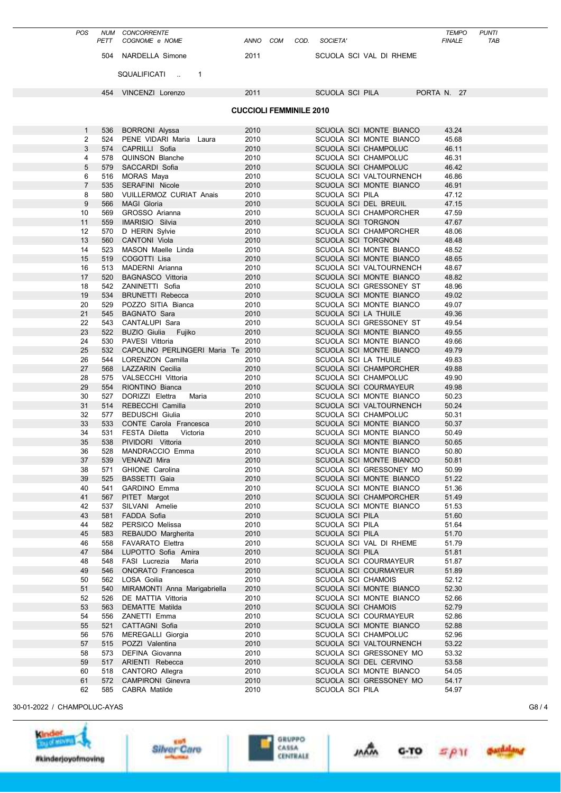| <b>POS</b>          | PETT       | NUM CONCORRENTE<br>COGNOME e NOME                 | ANNO COM     | COD.                           | SOCIETA'               |                                                    | <b>TEMPO</b><br><b>FINALE</b> | <b>PUNTI</b><br><b>TAB</b> |
|---------------------|------------|---------------------------------------------------|--------------|--------------------------------|------------------------|----------------------------------------------------|-------------------------------|----------------------------|
|                     | 504        | NARDELLA Simone                                   | 2011         |                                |                        | SCUOLA SCI VAL DI RHEME                            |                               |                            |
|                     |            | SQUALIFICATI<br>$\overline{\phantom{1}}$          |              |                                |                        |                                                    |                               |                            |
|                     |            | 454 VINCENZI Lorenzo                              | 2011         |                                |                        | SCUOLA SCI PILA                                    | PORTA N. 27                   |                            |
|                     |            |                                                   |              | <b>CUCCIOLI FEMMINILE 2010</b> |                        |                                                    |                               |                            |
| $\mathbf{1}$        | 536        | <b>BORRONI Alyssa</b>                             | 2010         |                                |                        | SCUOLA SCI MONTE BIANCO                            | 43.24                         |                            |
| 2                   | 524        | PENE VIDARI Maria Laura                           | 2010         |                                |                        | SCUOLA SCI MONTE BIANCO                            | 45.68                         |                            |
| 3                   | 574        | CAPRILLI Sofia                                    | 2010         |                                |                        | SCUOLA SCI CHAMPOLUC                               | 46.11                         |                            |
| 4                   | 578        | <b>QUINSON Blanche</b>                            | 2010         |                                |                        | <b>SCUOLA SCI CHAMPOLUC</b>                        | 46.31                         |                            |
| 5                   | 579        | SACCARDI Sofia                                    | 2010         |                                |                        | SCUOLA SCI CHAMPOLUC                               | 46.42                         |                            |
| 6                   | 516        | MORAS Maya                                        | 2010         |                                |                        | SCUOLA SCI VALTOURNENCH                            | 46.86                         |                            |
| $\overline{7}$<br>8 | 535<br>580 | <b>SERAFINI Nicole</b><br>VUILLERMOZ CURIAT Anais | 2010<br>2010 |                                | SCUOLA SCI PILA        | SCUOLA SCI MONTE BIANCO                            | 46.91<br>47.12                |                            |
| 9                   | 566        | <b>MAGI Gloria</b>                                | 2010         |                                |                        | SCUOLA SCI DEL BREUIL                              | 47.15                         |                            |
| 10                  | 569        | GROSSO Arianna                                    | 2010         |                                |                        | SCUOLA SCI CHAMPORCHER                             | 47.59                         |                            |
| 11                  | 559        | IMARISIO Silvia                                   | 2010         |                                |                        | <b>SCUOLA SCI TORGNON</b>                          | 47.67                         |                            |
| 12                  | 570        | D HERIN Sylvie                                    | 2010         |                                |                        | SCUOLA SCI CHAMPORCHER                             | 48.06                         |                            |
| 13                  | 560        | <b>CANTONI Viola</b>                              | 2010         |                                |                        | <b>SCUOLA SCI TORGNON</b>                          | 48.48                         |                            |
| 14                  | 523        | MASON Maelle Linda                                | 2010         |                                |                        | SCUOLA SCI MONTE BIANCO                            | 48.52                         |                            |
| 15                  | 519        | COGOTTI Lisa                                      | 2010         |                                |                        | SCUOLA SCI MONTE BIANCO                            | 48.65                         |                            |
| 16<br>17            | 513<br>520 | MADERNI Arianna<br><b>BAGNASCO Vittoria</b>       | 2010<br>2010 |                                |                        | SCUOLA SCI VALTOURNENCH<br>SCUOLA SCI MONTE BIANCO | 48.67<br>48.82                |                            |
| 18                  | 542        | ZANINETTI Sofia                                   | 2010         |                                |                        | SCUOLA SCI GRESSONEY ST                            | 48.96                         |                            |
| 19                  | 534        | <b>BRUNETTI Rebecca</b>                           | 2010         |                                |                        | SCUOLA SCI MONTE BIANCO                            | 49.02                         |                            |
| 20                  | 529        | POZZO SITIA Bianca                                | 2010         |                                |                        | SCUOLA SCI MONTE BIANCO                            | 49.07                         |                            |
| 21                  | 545        | <b>BAGNATO Sara</b>                               | 2010         |                                |                        | SCUOLA SCI LA THUILE                               | 49.36                         |                            |
| 22                  | 543        | CANTALUPI Sara                                    | 2010         |                                |                        | SCUOLA SCI GRESSONEY ST                            | 49.54                         |                            |
| 23                  | 522        | BUZIO Giulia Fujiko                               | 2010         |                                |                        | SCUOLA SCI MONTE BIANCO                            | 49.55                         |                            |
| 24                  | 530        | PAVESI Vittoria                                   | 2010         |                                |                        | SCUOLA SCI MONTE BIANCO                            | 49.66                         |                            |
| 25                  | 532        | CAPOLINO PERLINGERI Maria Te 2010                 |              |                                |                        | SCUOLA SCI MONTE BIANCO                            | 49.79                         |                            |
| 26<br>27            | 544<br>568 | LORENZON Camilla<br><b>LAZZARIN Cecilia</b>       | 2010         |                                |                        | SCUOLA SCI LA THUILE<br>SCUOLA SCI CHAMPORCHER     | 49.83<br>49.88                |                            |
| 28                  | 575        | VALSECCHI Vittoria                                | 2010<br>2010 |                                |                        | SCUOLA SCI CHAMPOLUC                               | 49.90                         |                            |
| 29                  | 554        | RIONTINO Bianca                                   | 2010         |                                |                        | SCUOLA SCI COURMAYEUR                              | 49.98                         |                            |
| 30                  | 527        | DORIZZI Elettra<br>Maria                          | 2010         |                                |                        | SCUOLA SCI MONTE BIANCO                            | 50.23                         |                            |
| 31                  | 514        | REBECCHI Camilla                                  | 2010         |                                |                        | SCUOLA SCI VALTOURNENCH                            | 50.24                         |                            |
| 32                  | 577        | <b>BEDUSCHI Giulia</b>                            | 2010         |                                |                        | SCUOLA SCI CHAMPOLUC                               | 50.31                         |                            |
| 33                  | 533        | <b>CONTE Carola Francesca</b>                     | 2010         |                                |                        | SCUOLA SCI MONTE BIANCO                            | 50.37                         |                            |
| 34                  |            | 531 FESTA Diletta<br>Victoria                     | 2010         |                                |                        | SCUOLA SCI MONTE BIANCO                            | 50.49                         |                            |
| 35                  | 538        | PIVIDORI Vittoria<br>MANDRACCIO Emma              | 2010<br>2010 |                                |                        | SCUOLA SCI MONTE BIANCO<br>SCUOLA SCI MONTE BIANCO | 50.65<br>50.80                |                            |
| 36<br>37            | 528<br>539 | <b>VENANZI Mira</b>                               | 2010         |                                |                        | SCUOLA SCI MONTE BIANCO                            | 50.81                         |                            |
| 38                  | 571        | GHIONE Carolina                                   | 2010         |                                |                        | SCUOLA SCI GRESSONEY MO                            | 50.99                         |                            |
| 39                  | 525        | <b>BASSETTI Gaia</b>                              | 2010         |                                |                        | SCUOLA SCI MONTE BIANCO                            | 51.22                         |                            |
| 40                  | 541        | <b>GARDINO Emma</b>                               | 2010         |                                |                        | SCUOLA SCI MONTE BIANCO                            | 51.36                         |                            |
| 41                  | 567        | PITET Margot                                      | 2010         |                                |                        | SCUOLA SCI CHAMPORCHER                             | 51.49                         |                            |
| 42                  | 537        | SILVANI Amelie                                    | 2010         |                                |                        | SCUOLA SCI MONTE BIANCO                            | 51.53                         |                            |
| 43                  | 581        | FADDA Sofia                                       | 2010         |                                | SCUOLA SCI PILA        |                                                    | 51.60                         |                            |
| 44                  | 582<br>583 | PERSICO Melissa                                   | 2010<br>2010 |                                | SCUOLA SCI PILA        |                                                    | 51.64<br>51.70                |                            |
| 45<br>46            | 558        | REBAUDO Margherita<br><b>FAVARATO Elettra</b>     | 2010         |                                | SCUOLA SCI PILA        | SCUOLA SCI VAL DI RHEME                            | 51.79                         |                            |
| 47                  | 584        | LUPOTTO Sofia Amira                               | 2010         |                                | <b>SCUOLA SCI PILA</b> |                                                    | 51.81                         |                            |
| 48                  | 548        | FASI Lucrezia<br>Maria                            | 2010         |                                |                        | SCUOLA SCI COURMAYEUR                              | 51.87                         |                            |
| 49                  | 546        | ONORATO Francesca                                 | 2010         |                                |                        | SCUOLA SCI COURMAYEUR                              | 51.89                         |                            |
| 50                  | 562        | LOSA Goilia                                       | 2010         |                                |                        | <b>SCUOLA SCI CHAMOIS</b>                          | 52.12                         |                            |
| 51                  | 540        | MIRAMONTI Anna Marigabriella                      | 2010         |                                |                        | SCUOLA SCI MONTE BIANCO                            | 52.30                         |                            |
| 52                  | 526        | DE MATTIA Vittoria                                | 2010         |                                |                        | SCUOLA SCI MONTE BIANCO                            | 52.66                         |                            |
| 53                  | 563        | <b>DEMATTE Matilda</b>                            | 2010         |                                |                        | SCUOLA SCI CHAMOIS                                 | 52.79                         |                            |
| 54                  | 556        | ZANETTI Emma                                      | 2010<br>2010 |                                |                        | SCUOLA SCI COURMAYEUR                              | 52.86<br>52.88                |                            |
| 55<br>56            | 521<br>576 | <b>CATTAGNI Sofia</b><br><b>MEREGALLI Giorgia</b> | 2010         |                                |                        | SCUOLA SCI MONTE BIANCO<br>SCUOLA SCI CHAMPOLUC    | 52.96                         |                            |
| 57                  | 515        | POZZI Valentina                                   | 2010         |                                |                        | SCUOLA SCI VALTOURNENCH                            | 53.22                         |                            |
| 58                  | 573        | DEFINA Giovanna                                   | 2010         |                                |                        | SCUOLA SCI GRESSONEY MO                            | 53.32                         |                            |
| 59                  | 517        | ARIENTI Rebecca                                   | 2010         |                                |                        | SCUOLA SCI DEL CERVINO                             | 53.58                         |                            |
| 60                  | 518        | CANTORO Allegra                                   | 2010         |                                |                        | SCUOLA SCI MONTE BIANCO                            | 54.05                         |                            |
| 61                  | 572        | <b>CAMPIRONI</b> Ginevra                          | 2010         |                                |                        | SCUOLA SCI GRESSONEY MO                            | 54.17                         |                            |
| 62                  | 585        | CABRA Matilde                                     | 2010         |                                | SCUOLA SCI PILA        |                                                    | 54.97                         |                            |











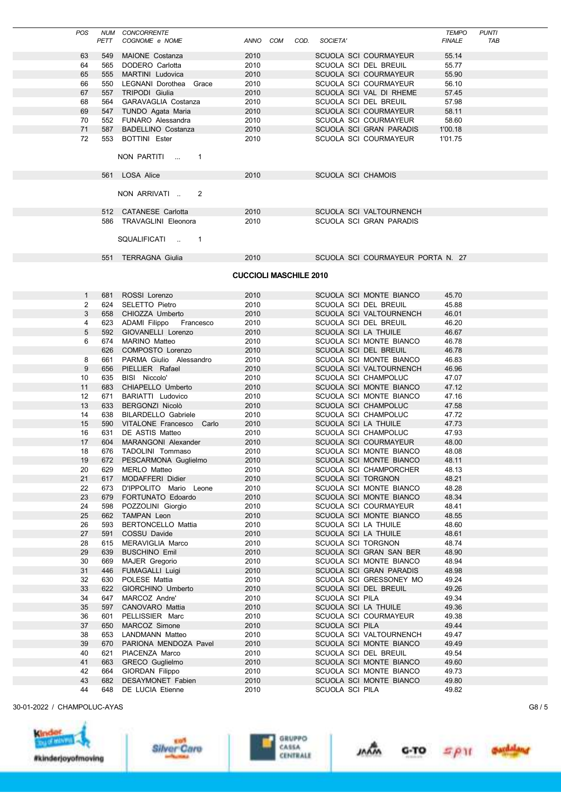| <b>POS</b>   | NUM  | CONCORRENTE                                          |                               |      |                           |                                   | <b>TEMPO</b>  | <b>PUNTI</b> |  |
|--------------|------|------------------------------------------------------|-------------------------------|------|---------------------------|-----------------------------------|---------------|--------------|--|
|              | PETT | COGNOME e NOME                                       | ANNO COM                      | COD. | SOCIETA'                  |                                   | <i>FINALE</i> | TAB          |  |
|              |      |                                                      |                               |      |                           |                                   |               |              |  |
| 63           | 549  | <b>MAIONE</b> Costanza                               | 2010                          |      |                           | SCUOLA SCI COURMAYEUR             | 55.14         |              |  |
| 64           | 565  | DODERO Carlotta                                      | 2010                          |      |                           | SCUOLA SCI DEL BREUIL             | 55.77         |              |  |
| 65           | 555  | MARTINI Ludovica                                     | 2010                          |      |                           | SCUOLA SCI COURMAYEUR             | 55.90         |              |  |
| 66           | 550  | LEGNANI Dorothea Grace                               | 2010                          |      |                           | SCUOLA SCI COURMAYEUR             | 56.10         |              |  |
| 67           | 557  | TRIPODI Giulia                                       | 2010                          |      |                           | SCUOLA SCI VAL DI RHEME           | 57.45         |              |  |
|              |      |                                                      |                               |      |                           |                                   |               |              |  |
| 68           | 564  | GARAVAGLIA Costanza                                  | 2010                          |      |                           | SCUOLA SCI DEL BREUIL             | 57.98         |              |  |
| 69           | 547  | TUNDO Agata Maria                                    | 2010                          |      |                           | SCUOLA SCI COURMAYEUR             | 58.11         |              |  |
| 70           | 552  | FUNARO Alessandra                                    | 2010                          |      |                           | SCUOLA SCI COURMAYEUR             | 58.60         |              |  |
| 71           | 587  | <b>BADELLINO Costanza</b>                            | 2010                          |      |                           | SCUOLA SCI GRAN PARADIS           | 1'00.18       |              |  |
| 72           |      | 553 BOTTINI Ester                                    | 2010                          |      |                           | SCUOLA SCI COURMAYEUR             | 1'01.75       |              |  |
|              |      |                                                      |                               |      |                           |                                   |               |              |  |
|              |      | NON PARTITI<br>$\sim$ 100 $^{\circ}$<br>$\mathbf{1}$ |                               |      |                           |                                   |               |              |  |
|              |      |                                                      |                               |      |                           |                                   |               |              |  |
|              |      |                                                      |                               |      |                           |                                   |               |              |  |
|              | 561  | LOSA Alice                                           | 2010                          |      | <b>SCUOLA SCI CHAMOIS</b> |                                   |               |              |  |
|              |      |                                                      |                               |      |                           |                                   |               |              |  |
|              |      | NON ARRIVATI.<br>$\overline{2}$                      |                               |      |                           |                                   |               |              |  |
|              |      |                                                      |                               |      |                           |                                   |               |              |  |
|              |      | 512 CATANESE Carlotta                                | 2010                          |      |                           | SCUOLA SCI VALTOURNENCH           |               |              |  |
|              |      | 586 TRAVAGLINI Eleonora                              | 2010                          |      |                           | SCUOLA SCI GRAN PARADIS           |               |              |  |
|              |      |                                                      |                               |      |                           |                                   |               |              |  |
|              |      |                                                      |                               |      |                           |                                   |               |              |  |
|              |      | SQUALIFICATI<br>$\mathbf{1}$<br>$\sim$               |                               |      |                           |                                   |               |              |  |
|              |      |                                                      |                               |      |                           |                                   |               |              |  |
|              |      | 551 TERRAGNA Giulia                                  | 2010                          |      |                           | SCUOLA SCI COURMAYEUR PORTA N. 27 |               |              |  |
|              |      |                                                      |                               |      |                           |                                   |               |              |  |
|              |      |                                                      | <b>CUCCIOLI MASCHILE 2010</b> |      |                           |                                   |               |              |  |
|              |      |                                                      |                               |      |                           |                                   |               |              |  |
| $\mathbf{1}$ | 681  | ROSSI Lorenzo                                        | 2010                          |      |                           | SCUOLA SCI MONTE BIANCO           | 45.70         |              |  |
| 2            | 624  | <b>SELETTO Pietro</b>                                | 2010                          |      |                           | SCUOLA SCI DEL BREUIL             | 45.88         |              |  |
| 3            |      | 658 CHIOZZA Umberto                                  | 2010                          |      |                           | SCUOLA SCI VALTOURNENCH           | 46.01         |              |  |
|              |      |                                                      |                               |      |                           |                                   |               |              |  |
| 4            | 623  | ADAMI Filippo<br>Francesco                           | 2010                          |      |                           | SCUOLA SCI DEL BREUIL             | 46.20         |              |  |
| 5            | 592  | GIOVANELLI Lorenzo                                   | 2010                          |      |                           | SCUOLA SCI LA THUILE              | 46.67         |              |  |
| 6            | 674  | MARINO Matteo                                        | 2010                          |      |                           | SCUOLA SCI MONTE BIANCO           | 46.78         |              |  |
|              | 626  | COMPOSTO Lorenzo                                     | 2010                          |      |                           | SCUOLA SCI DEL BREUIL             | 46.78         |              |  |
| 8            | 661  | PARMA Giulio Alessandro                              | 2010                          |      |                           | SCUOLA SCI MONTE BIANCO           | 46.83         |              |  |
| 9            | 656  | PIELLIER Rafael                                      | 2010                          |      |                           | SCUOLA SCI VALTOURNENCH           | 46.96         |              |  |
| 10           | 635  | <b>BISI</b> Niccolo'                                 | 2010                          |      |                           | SCUOLA SCI CHAMPOLUC              | 47.07         |              |  |
| 11           | 683  | CHIAPELLO Umberto                                    | 2010                          |      |                           | SCUOLA SCI MONTE BIANCO           | 47.12         |              |  |
|              |      |                                                      |                               |      |                           |                                   |               |              |  |
| 12           | 671  | <b>BARIATTI Ludovico</b>                             | 2010                          |      |                           | SCUOLA SCI MONTE BIANCO           | 47.16         |              |  |
| 13           | 633  | <b>BERGONZI Nicolò</b>                               | 2010                          |      |                           | SCUOLA SCI CHAMPOLUC              | 47.58         |              |  |
| 14           | 638  | <b>BILARDELLO Gabriele</b>                           | 2010                          |      |                           | SCUOLA SCI CHAMPOLUC              | 47.72         |              |  |
| 15           | 590  | VITALONE Francesco<br>Carlo                          | 2010                          |      |                           | SCUOLA SCI LA THUILE              | 47.73         |              |  |
| 16           | 631  | DE ASTIS Matteo                                      | 2010                          |      |                           | SCUOLA SCI CHAMPOLUC              | 47.93         |              |  |
| 17           | 604  | <b>MARANGONI Alexander</b>                           | 2010                          |      |                           | SCUOLA SCI COURMAYEUR             | 48.00         |              |  |
| 18           | 676  | TADOLINI Tommaso                                     | 2010                          |      |                           | SCUOLA SCI MONTE BIANCO           | 48.08         |              |  |
| 19           | 672  | PESCARMONA Guglielmo                                 | 2010                          |      |                           | SCUOLA SCI MONTE BIANCO           | 48.11         |              |  |
|              |      |                                                      |                               |      |                           |                                   |               |              |  |
| 20           | 629  | MERLO Matteo                                         | 2010                          |      |                           | SCUOLA SCI CHAMPORCHER            | 48.13         |              |  |
| 21           | 617  | MODAFFERI Didier                                     | 2010                          |      |                           | SCUOLA SCI TORGNON                | 48.21         |              |  |
| 22           | 673  | D'IPPOLITO Mario Leone                               | 2010                          |      |                           | SCUOLA SCI MONTE BIANCO           | 48.28         |              |  |
| 23           | 679  | FORTUNATO Edoardo                                    | 2010                          |      |                           | SCUOLA SCI MONTE BIANCO           | 48.34         |              |  |
| 24           | 598  | POZZOLINI Giorgio                                    | 2010                          |      |                           | SCUOLA SCI COURMAYEUR             | 48.41         |              |  |
| 25           | 662  | <b>TAMPAN Leon</b>                                   | 2010                          |      |                           | SCUOLA SCI MONTE BIANCO           | 48.55         |              |  |
| 26           | 593  | <b>BERTONCELLO Mattia</b>                            | 2010                          |      |                           | SCUOLA SCI LA THUILE              | 48.60         |              |  |
| 27           | 591  | COSSU Davide                                         | 2010                          |      |                           | SCUOLA SCI LA THUILE              | 48.61         |              |  |
| 28           | 615  | MERAVIGLIA Marco                                     | 2010                          |      |                           | <b>SCUOLA SCI TORGNON</b>         | 48.74         |              |  |
|              |      |                                                      | 2010                          |      |                           |                                   | 48.90         |              |  |
| 29           | 639  | <b>BUSCHINO Emil</b>                                 |                               |      |                           | SCUOLA SCI GRAN SAN BER           |               |              |  |
| 30           | 669  | <b>MAJER</b> Gregorio                                | 2010                          |      |                           | SCUOLA SCI MONTE BIANCO           | 48.94         |              |  |
| 31           | 446  | <b>FUMAGALLI Luigi</b>                               | 2010                          |      |                           | SCUOLA SCI GRAN PARADIS           | 48.98         |              |  |
| 32           | 630  | POLESE Mattia                                        | 2010                          |      |                           | SCUOLA SCI GRESSONEY MO           | 49.24         |              |  |
| 33           | 622  | GIORCHINO Umberto                                    | 2010                          |      |                           | SCUOLA SCI DEL BREUIL             | 49.26         |              |  |
| 34           | 647  | MARCOZ Andre'                                        | 2010                          |      | SCUOLA SCI PILA           |                                   | 49.34         |              |  |
| 35           | 597  | CANOVARO Mattia                                      | 2010                          |      |                           | SCUOLA SCI LA THUILE              | 49.36         |              |  |
| 36           | 601  | PELLISSIER Marc                                      | 2010                          |      |                           | SCUOLA SCI COURMAYEUR             | 49.38         |              |  |
| 37           |      |                                                      | 2010                          |      | SCUOLA SCI PILA           |                                   | 49.44         |              |  |
|              | 650  | MARCOZ Simone                                        |                               |      |                           |                                   |               |              |  |
| 38           | 653  | LANDMANN Matteo                                      | 2010                          |      |                           | SCUOLA SCI VALTOURNENCH           | 49.47         |              |  |
| 39           | 670  | PARIONA MENDOZA Pavel                                | 2010                          |      |                           | SCUOLA SCI MONTE BIANCO           | 49.49         |              |  |
| 40           | 621  | PIACENZA Marco                                       | 2010                          |      |                           | SCUOLA SCI DEL BREUIL             | 49.54         |              |  |
| 41           | 663  | GRECO Guglielmo                                      | 2010                          |      |                           | SCUOLA SCI MONTE BIANCO           | 49.60         |              |  |
| 42           | 664  | GIORDAN Filippo                                      | 2010                          |      |                           | SCUOLA SCI MONTE BIANCO           | 49.73         |              |  |
| 43           | 682  | DESAYMONET Fabien                                    | 2010                          |      |                           | SCUOLA SCI MONTE BIANCO           | 49.80         |              |  |
| 44           | 648  | DE LUCIA Etienne                                     | 2010                          |      | SCUOLA SCI PILA           |                                   | 49.82         |              |  |
|              |      |                                                      |                               |      |                           |                                   |               |              |  |









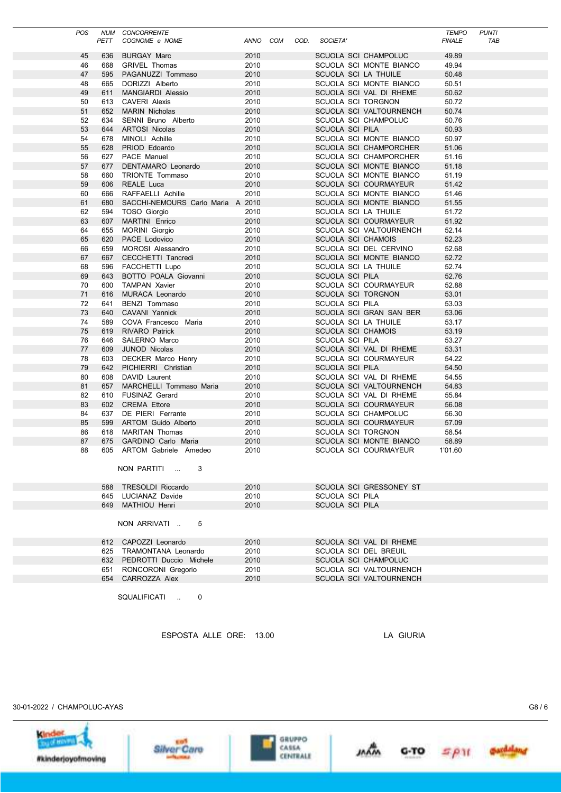| <b>POS</b> |      | NUM CONCORRENTE                   |          |      |                           |                         | <b>TEMPO</b>  | <b>PUNTI</b> |
|------------|------|-----------------------------------|----------|------|---------------------------|-------------------------|---------------|--------------|
|            | PETT | COGNOME e NOME                    | ANNO COM | COD. | SOCIETA'                  |                         | <b>FINALE</b> | TAB          |
|            |      |                                   |          |      |                           |                         |               |              |
| 45         | 636  | <b>BURGAY Marc</b>                | 2010     |      |                           | SCUOLA SCI CHAMPOLUC    | 49.89         |              |
| 46         | 668  | <b>GRIVEL Thomas</b>              | 2010     |      |                           | SCUOLA SCI MONTE BIANCO | 49.94         |              |
| 47         | 595  | PAGANUZZI Tommaso                 | 2010     |      | SCUOLA SCI LA THUILE      |                         | 50.48         |              |
| 48         | 665  | DORIZZI Alberto                   | 2010     |      |                           | SCUOLA SCI MONTE BIANCO | 50.51         |              |
| 49         | 611  | <b>MANGIARDI Alessio</b>          | 2010     |      |                           | SCUOLA SCI VAL DI RHEME | 50.62         |              |
| 50         | 613  | <b>CAVERI Alexis</b>              | 2010     |      | SCUOLA SCI TORGNON        |                         | 50.72         |              |
| 51         | 652  | <b>MARIN Nicholas</b>             | 2010     |      |                           | SCUOLA SCI VALTOURNENCH | 50.74         |              |
| 52         | 634  | SENNI Bruno Alberto               | 2010     |      |                           | SCUOLA SCI CHAMPOLUC    | 50.76         |              |
| 53         | 644  | <b>ARTOSI Nicolas</b>             | 2010     |      | SCUOLA SCI PILA           |                         | 50.93         |              |
|            |      |                                   |          |      |                           | SCUOLA SCI MONTE BIANCO |               |              |
| 54         | 678  | MINOLI Achille                    | 2010     |      |                           |                         | 50.97         |              |
| 55         | 628  | PRIOD Edoardo                     | 2010     |      |                           | SCUOLA SCI CHAMPORCHER  | 51.06         |              |
| 56         | 627  | PACE Manuel                       | 2010     |      |                           | SCUOLA SCI CHAMPORCHER  | 51.16         |              |
| 57         | 677  | DENTAMARO Leonardo                | 2010     |      |                           | SCUOLA SCI MONTE BIANCO | 51.18         |              |
| 58         | 660  | TRIONTE Tommaso                   | 2010     |      |                           | SCUOLA SCI MONTE BIANCO | 51.19         |              |
| 59         | 606  | <b>REALE Luca</b>                 | 2010     |      |                           | SCUOLA SCI COURMAYEUR   | 51.42         |              |
| 60         | 666  | RAFFAELLI Achille                 | 2010     |      |                           | SCUOLA SCI MONTE BIANCO | 51.46         |              |
| 61         | 680  | SACCHI-NEMOURS Carlo Maria A 2010 |          |      |                           | SCUOLA SCI MONTE BIANCO | 51.55         |              |
| 62         | 594  | TOSO Giorgio                      | 2010     |      | SCUOLA SCI LA THUILE      |                         | 51.72         |              |
| 63         | 607  | MARTINI Enrico                    | 2010     |      |                           | SCUOLA SCI COURMAYEUR   | 51.92         |              |
| 64         | 655  | <b>MORINI</b> Giorgio             | 2010     |      |                           | SCUOLA SCI VALTOURNENCH | 52.14         |              |
| 65         | 620  | PACE Lodovico                     | 2010     |      | <b>SCUOLA SCI CHAMOIS</b> |                         | 52.23         |              |
| 66         | 659  | MOROSI Alessandro                 | 2010     |      |                           | SCUOLA SCI DEL CERVINO  | 52.68         |              |
| 67         | 667  | CECCHETTI Tancredi                | 2010     |      |                           | SCUOLA SCI MONTE BIANCO | 52.72         |              |
| 68         | 596  | <b>FACCHETTI Lupo</b>             |          |      | SCUOLA SCI LA THUILE      |                         | 52.74         |              |
| 69         |      |                                   | 2010     |      |                           |                         | 52.76         |              |
|            | 643  | BOTTO POALA Giovanni              | 2010     |      | SCUOLA SCI PILA           |                         |               |              |
| 70         | 600  | <b>TAMPAN Xavier</b>              | 2010     |      |                           | SCUOLA SCI COURMAYEUR   | 52.88         |              |
| 71         | 616  | MURACA Leonardo                   | 2010     |      | SCUOLA SCI TORGNON        |                         | 53.01         |              |
| 72         | 641  | <b>BENZI</b> Tommaso              | 2010     |      | <b>SCUOLA SCI PILA</b>    |                         | 53.03         |              |
| 73         | 640  | <b>CAVANI Yannick</b>             | 2010     |      |                           | SCUOLA SCI GRAN SAN BER | 53.06         |              |
| 74         | 589  | COVA Francesco Maria              | 2010     |      | SCUOLA SCI LA THUILE      |                         | 53.17         |              |
| 75         | 619  | <b>RIVARO Patrick</b>             | 2010     |      | SCUOLA SCI CHAMOIS        |                         | 53.19         |              |
| 76         | 646  | SALERNO Marco                     | 2010     |      | SCUOLA SCI PILA           |                         | 53.27         |              |
| 77         | 609  | JUNOD Nicolas                     | 2010     |      |                           | SCUOLA SCI VAL DI RHEME | 53.31         |              |
| 78         | 603  | DECKER Marco Henry                | 2010     |      |                           | SCUOLA SCI COURMAYEUR   | 54.22         |              |
| 79         | 642  | PICHIERRI Christian               | 2010     |      | SCUOLA SCI PILA           |                         | 54.50         |              |
| 80         |      | 608 DAVID Laurent                 | 2010     |      |                           | SCUOLA SCI VAL DI RHEME | 54.55         |              |
| 81         | 657  | MARCHELLI Tommaso Maria           | 2010     |      |                           | SCUOLA SCI VALTOURNENCH | 54.83         |              |
| 82         |      | 610 FUSINAZ Gerard                | 2010     |      |                           | SCUOLA SCI VAL DI RHEME | 55.84         |              |
| 83         |      | 602 CREMA Ettore                  | 2010     |      |                           | SCUOLA SCI COURMAYEUR   | 56.08         |              |
| 84         |      | 637 DE PIERI Ferrante             | 2010     |      |                           | SCUOLA SCI CHAMPOLUC    | 56.30         |              |
| 85         |      | 599 ARTOM Guido Alberto           | 2010     |      |                           | SCUOLA SCI COURMAYEUR   | 57.09         |              |
| 86         |      | 618 MARITAN Thomas                | 2010     |      | SCUOLA SCI TORGNON        |                         | 58.54         |              |
| 87         | 675  | GARDINO Carlo Maria               | 2010     |      |                           | SCUOLA SCI MONTE BIANCO | 58.89         |              |
| 88         |      | 605 ARTOM Gabriele Amedeo         | 2010     |      |                           | SCUOLA SCI COURMAYEUR   | 1'01.60       |              |
|            |      |                                   |          |      |                           |                         |               |              |
|            |      | NON PARTITI<br>3                  |          |      |                           |                         |               |              |
|            |      |                                   |          |      |                           |                         |               |              |
|            |      | 588 TRESOLDI Riccardo             | 2010     |      |                           | SCUOLA SCI GRESSONEY ST |               |              |
|            |      | 645 LUCIANAZ Davide               | 2010     |      | SCUOLA SCI PILA           |                         |               |              |
|            |      | 649 MATHIOU Henri                 | 2010     |      | <b>SCUOLA SCI PILA</b>    |                         |               |              |
|            |      |                                   |          |      |                           |                         |               |              |
|            |      | NON ARRIVATI<br>5                 |          |      |                           |                         |               |              |
|            |      |                                   |          |      |                           |                         |               |              |
|            |      | 612 CAPOZZI Leonardo              | 2010     |      |                           | SCUOLA SCI VAL DI RHEME |               |              |
|            |      | 625 TRAMONTANA Leonardo           | 2010     |      | SCUOLA SCI DEL BREUIL     |                         |               |              |
|            |      | 632 PEDROTTI Duccio Michele       | 2010     |      |                           | SCUOLA SCI CHAMPOLUC    |               |              |
|            |      |                                   |          |      |                           | SCUOLA SCI VALTOURNENCH |               |              |
|            |      | 651 RONCORONI Gregorio            | 2010     |      |                           |                         |               |              |
|            |      | 654 CARROZZA Alex                 | 2010     |      |                           | SCUOLA SCI VALTOURNENCH |               |              |
|            |      |                                   |          |      |                           |                         |               |              |
|            |      | SQUALIFICATI<br>0                 |          |      |                           |                         |               |              |
|            |      |                                   |          |      |                           |                         |               |              |

ESPOSTA ALLE ORE: 13.00 LA GIURIA

30-01-2022 / CHAMPOLUC-AYAS G8 / 6



Silver Care



GRUPPO CASSA<br>CENTRALE



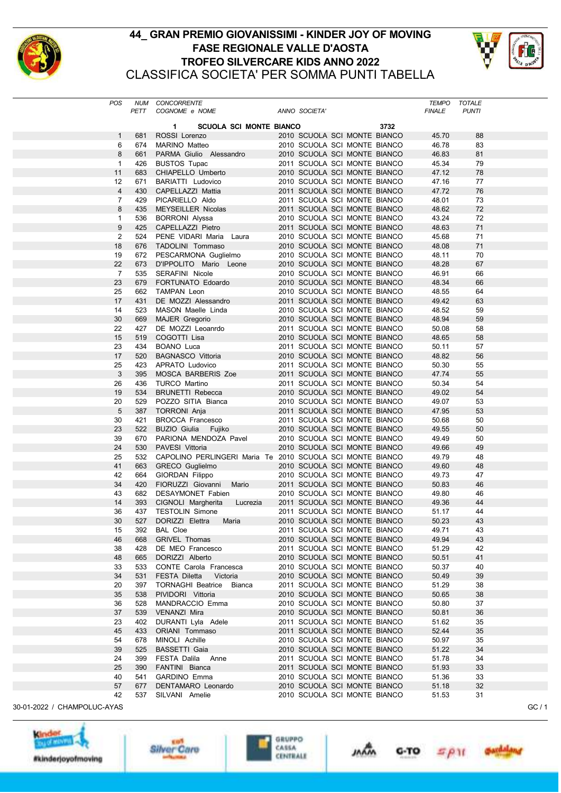

## 44\_ GRAN PREMIO GIOVANISSIMI - KINDER JOY OF MOVING FASE REGIONALE VALLE D'AOSTA TROFEO SILVERCARE KIDS ANNO 2022 CLASSIFICA SOCIETA' PER SOMMA PUNTI TABELLA



| <b>POS</b>        | PETT       | NUM CONCORRENTE<br>COGNOME e NOME                         | ANNO SOCIETA'                                                |  |      | TEMPO TOTALE<br><b>FINALE</b> | <b>PUNTI</b> |  |
|-------------------|------------|-----------------------------------------------------------|--------------------------------------------------------------|--|------|-------------------------------|--------------|--|
|                   |            | <b>SCUOLA SCI MONTE BIANCO</b><br>1                       |                                                              |  | 3732 |                               |              |  |
| $\mathbf{1}$      | 681        | ROSSI Lorenzo                                             | 2010 SCUOLA SCI MONTE BIANCO                                 |  |      | 45.70                         | 88           |  |
| 6                 | 674        | MARINO Matteo                                             | 2010 SCUOLA SCI MONTE BIANCO                                 |  |      | 46.78                         | 83           |  |
| 8                 | 661        | PARMA Giulio Alessandro                                   | 2010 SCUOLA SCI MONTE BIANCO                                 |  |      | 46.83                         | 81           |  |
| $\mathbf{1}$      | 426        | <b>BUSTOS Tupac</b>                                       | 2011 SCUOLA SCI MONTE BIANCO                                 |  |      | 45.34                         | 79           |  |
| 11                | 683        | CHIAPELLO Umberto                                         | 2010 SCUOLA SCI MONTE BIANCO                                 |  |      | 47.12                         | 78           |  |
| 12                | 671        | BARIATTI Ludovico                                         | 2010 SCUOLA SCI MONTE BIANCO                                 |  |      | 47.16                         | 77           |  |
| $\overline{4}$    | 430        | CAPELLAZZI Mattia                                         | 2011 SCUOLA SCI MONTE BIANCO                                 |  |      | 47.72                         | 76           |  |
| $\overline{7}$    | 429        | PICARIELLO Aldo                                           | 2011 SCUOLA SCI MONTE BIANCO                                 |  |      | 48.01                         | 73           |  |
| 8                 | 435        | MEYSEILLER Nicolas                                        | 2011 SCUOLA SCI MONTE BIANCO                                 |  |      | 48.62                         | 72           |  |
| $\mathbf{1}$<br>9 | 536<br>425 | <b>BORRONI</b> Alyssa<br>CAPELLAZZI Pietro                | 2010 SCUOLA SCI MONTE BIANCO<br>2011 SCUOLA SCI MONTE BIANCO |  |      | 43.24<br>48.63                | 72<br>71     |  |
| $\overline{2}$    | 524        | PENE VIDARI Maria Laura                                   | 2010 SCUOLA SCI MONTE BIANCO                                 |  |      | 45.68                         | 71           |  |
| 18                | 676        | TADOLINI Tommaso                                          | 2010 SCUOLA SCI MONTE BIANCO                                 |  |      | 48.08                         | 71           |  |
| 19                | 672        | PESCARMONA Guglielmo                                      | 2010 SCUOLA SCI MONTE BIANCO                                 |  |      | 48.11                         | 70           |  |
| 22                | 673        | D'IPPOLITO Mario Leone                                    | 2010 SCUOLA SCI MONTE BIANCO                                 |  |      | 48.28                         | 67           |  |
| $\overline{7}$    | 535        | SERAFINI Nicole                                           | 2010 SCUOLA SCI MONTE BIANCO                                 |  |      | 46.91                         | 66           |  |
| 23                | 679        | FORTUNATO Edoardo                                         | 2010 SCUOLA SCI MONTE BIANCO                                 |  |      | 48.34                         | 66           |  |
| 25                | 662        | TAMPAN Leon                                               | 2010 SCUOLA SCI MONTE BIANCO                                 |  |      | 48.55                         | 64           |  |
| 17                | 431        | DE MOZZI Alessandro                                       | 2011 SCUOLA SCI MONTE BIANCO                                 |  |      | 49.42                         | 63           |  |
| 14                | 523        | MASON Maelle Linda                                        | 2010 SCUOLA SCI MONTE BIANCO                                 |  |      | 48.52                         | 59           |  |
| 30                | 669        | <b>MAJER</b> Gregorio                                     | 2010 SCUOLA SCI MONTE BIANCO                                 |  |      | 48.94                         | 59           |  |
| 22                | 427        | DE MOZZI Leoanrdo                                         | 2011 SCUOLA SCI MONTE BIANCO                                 |  |      | 50.08                         | 58           |  |
| 15                | 519        | COGOTTI Lisa                                              | 2010 SCUOLA SCI MONTE BIANCO                                 |  |      | 48.65                         | 58           |  |
| 23                | 434        | BOANO Luca                                                | 2011 SCUOLA SCI MONTE BIANCO                                 |  |      | 50.11                         | 57           |  |
| 17<br>25          | 520<br>423 | <b>BAGNASCO Vittoria</b><br>APRATO Ludovico               | 2010 SCUOLA SCI MONTE BIANCO<br>2011 SCUOLA SCI MONTE BIANCO |  |      | 48.82<br>50.30                | 56<br>55     |  |
| 3                 | 395        | MOSCA BARBERIS Zoe                                        | 2011 SCUOLA SCI MONTE BIANCO                                 |  |      | 47.74                         | 55           |  |
| 26                | 436        | <b>TURCO Martino</b>                                      | 2011 SCUOLA SCI MONTE BIANCO                                 |  |      | 50.34                         | 54           |  |
| 19                | 534        | <b>BRUNETTI Rebecca</b>                                   | 2010 SCUOLA SCI MONTE BIANCO                                 |  |      | 49.02                         | 54           |  |
| 20                | 529        | POZZO SITIA Bianca                                        | 2010 SCUOLA SCI MONTE BIANCO                                 |  |      | 49.07                         | 53           |  |
| 5                 | 387        | <b>TORRONI Anja</b>                                       | 2011 SCUOLA SCI MONTE BIANCO                                 |  |      | 47.95                         | 53           |  |
| 30                | 421        | <b>BROCCA Francesco</b>                                   | 2011 SCUOLA SCI MONTE BIANCO                                 |  |      | 50.68                         | 50           |  |
| 23                | 522        | <b>BUZIO Giulia</b><br>Fujiko                             | 2010 SCUOLA SCI MONTE BIANCO                                 |  |      | 49.55                         | 50           |  |
| 39                | 670        | PARIONA MENDOZA Pavel                                     | 2010 SCUOLA SCI MONTE BIANCO                                 |  |      | 49.49                         | 50           |  |
| 24                | 530        | PAVESI Vittoria                                           | 2010 SCUOLA SCI MONTE BIANCO                                 |  |      | 49.66                         | 49           |  |
| 25                | 532        | CAPOLINO PERLINGERI Maria Te 2010 SCUOLA SCI MONTE BIANCO |                                                              |  |      | 49.79                         | 48           |  |
| 41                | 663        | GRECO Guglielmo                                           | 2010 SCUOLA SCI MONTE BIANCO                                 |  |      | 49.60                         | 48           |  |
| 42                | 664        | GIORDAN Filippo                                           | 2010 SCUOLA SCI MONTE BIANCO                                 |  |      | 49.73                         | 47           |  |
| 34<br>43          | 420<br>682 | FIORUZZI Giovanni Mario                                   | 2011 SCUOLA SCI MONTE BIANCO                                 |  |      | 50.83<br>49.80                | 46<br>46     |  |
| 14                | 393        | DESAYMONET Fabien<br>CIGNOLI Margherita<br>Lucrezia       | 2010 SCUOLA SCI MONTE BIANCO<br>2011 SCUOLA SCI MONTE BIANCO |  |      | 49.36                         | 44           |  |
| 36                | 437        | <b>TESTOLIN Simone</b>                                    | 2011 SCUOLA SCI MONTE BIANCO                                 |  |      | 51.17                         | 44           |  |
| 30                |            | 527 DORIZZI Elettra Maria                                 | 2010 SCUOLA SCI MONTE BIANCO                                 |  |      | 50.23                         | 43           |  |
| 15                | 392        | <b>BAL Cloe</b>                                           | 2011 SCUOLA SCI MONTE BIANCO                                 |  |      | 49.71                         | 43           |  |
| 46                | 668        | <b>GRIVEL Thomas</b>                                      | 2010 SCUOLA SCI MONTE BIANCO                                 |  |      | 49.94                         | 43           |  |
| 38                | 428        | DE MEO Francesco                                          | 2011 SCUOLA SCI MONTE BIANCO                                 |  |      | 51.29                         | 42           |  |
| 48                | 665        | DORIZZI Alberto                                           | 2010 SCUOLA SCI MONTE BIANCO                                 |  |      | 50.51                         | 41           |  |
| 33                | 533        | CONTE Carola Francesca                                    | 2010 SCUOLA SCI MONTE BIANCO                                 |  |      | 50.37                         | 40           |  |
| 34                | 531        | FESTA Diletta Victoria                                    | 2010 SCUOLA SCI MONTE BIANCO                                 |  |      | 50.49                         | 39           |  |
| 20                | 397        | <b>TORNAGHI Beatrice Bianca</b>                           | 2011 SCUOLA SCI MONTE BIANCO                                 |  |      | 51.29                         | 38           |  |
| 35                | 538        | PIVIDORI Vittoria                                         | 2010 SCUOLA SCI MONTE BIANCO                                 |  |      | 50.65                         | 38           |  |
| 36                | 528        | MANDRACCIO Emma                                           | 2010 SCUOLA SCI MONTE BIANCO                                 |  |      | 50.80                         | 37           |  |
| 37                | 539        | <b>VENANZI Mira</b>                                       | 2010 SCUOLA SCI MONTE BIANCO                                 |  |      | 50.81                         | 36           |  |
| 23<br>45          | 402<br>433 | DURANTI Lyla Adele<br>ORIANI Tommaso                      | 2011 SCUOLA SCI MONTE BIANCO<br>2011 SCUOLA SCI MONTE BIANCO |  |      | 51.62<br>52.44                | 35<br>35     |  |
| 54                | 678        | MINOLI Achille                                            | 2010 SCUOLA SCI MONTE BIANCO                                 |  |      | 50.97                         | 35           |  |
| 39                | 525        | <b>BASSETTI Gaia</b>                                      | 2010 SCUOLA SCI MONTE BIANCO                                 |  |      | 51.22                         | 34           |  |
| 24                | 399        | FESTA Dalila Anne                                         | 2011 SCUOLA SCI MONTE BIANCO                                 |  |      | 51.78                         | 34           |  |
| 25                | 390        | FANTINI Bianca                                            | 2011 SCUOLA SCI MONTE BIANCO                                 |  |      | 51.93                         | 33           |  |
| 40                | 541        | GARDINO Emma                                              | 2010 SCUOLA SCI MONTE BIANCO                                 |  |      | 51.36                         | 33           |  |
| 57                | 677        | DENTAMARO Leonardo                                        | 2010 SCUOLA SCI MONTE BIANCO                                 |  |      | 51.18                         | 32           |  |
| 42                | 537        | SILVANI Amelie                                            | 2010 SCUOLA SCI MONTE BIANCO                                 |  |      | 51.53                         | 31           |  |









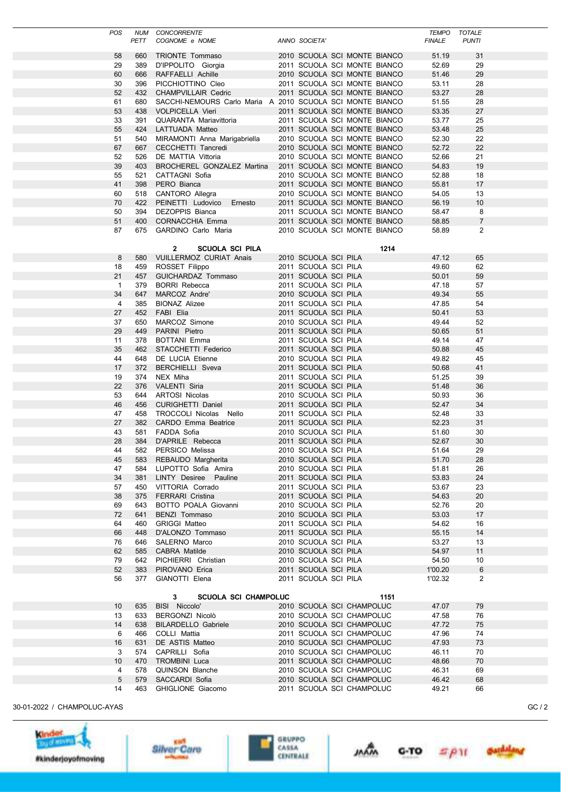| POS          | <b>NUM</b> | <b>CONCORRENTE</b>                                        |                              |  |      | <b>TEMPO</b>  | <b>TOTALE</b>  |  |
|--------------|------------|-----------------------------------------------------------|------------------------------|--|------|---------------|----------------|--|
|              | PETT       | COGNOME e NOME                                            | ANNO SOCIETA'                |  |      | <b>FINALE</b> | <b>PUNTI</b>   |  |
|              |            |                                                           |                              |  |      |               |                |  |
| 58           | 660        | TRIONTE Tommaso                                           | 2010 SCUOLA SCI MONTE BIANCO |  |      | 51.19         | 31             |  |
| 29           | 389        | D'IPPOLITO Giorgia                                        | 2011 SCUOLA SCI MONTE BIANCO |  |      | 52.69         | 29             |  |
| 60           | 666        | RAFFAELLI Achille                                         | 2010 SCUOLA SCI MONTE BIANCO |  |      | 51.46         | 29             |  |
| 30           | 396        | PICCHIOTTINO Cleo                                         | 2011 SCUOLA SCI MONTE BIANCO |  |      | 53.11         | 28             |  |
| 52           | 432        | <b>CHAMPVILLAIR Cedric</b>                                | 2011 SCUOLA SCI MONTE BIANCO |  |      | 53.27         | 28             |  |
| 61           | 680        | SACCHI-NEMOURS Carlo Maria A 2010 SCUOLA SCI MONTE BIANCO |                              |  |      | 51.55         | 28             |  |
|              |            |                                                           |                              |  |      |               |                |  |
| 53           | 438        | VOLPICELLA Vieri                                          | 2011 SCUOLA SCI MONTE BIANCO |  |      | 53.35         | 27             |  |
| 33           | 391        | QUARANTA Mariavittoria                                    | 2011 SCUOLA SCI MONTE BIANCO |  |      | 53.77         | 25             |  |
| 55           | 424        | LATTUADA Matteo                                           | 2011 SCUOLA SCI MONTE BIANCO |  |      | 53.48         | 25             |  |
| 51           | 540        | MIRAMONTI Anna Marigabriella                              | 2010 SCUOLA SCI MONTE BIANCO |  |      | 52.30         | 22             |  |
| 67           | 667        | CECCHETTI Tancredi                                        | 2010 SCUOLA SCI MONTE BIANCO |  |      | 52.72         | 22             |  |
| 52           | 526        | DE MATTIA Vittoria                                        | 2010 SCUOLA SCI MONTE BIANCO |  |      | 52.66         | 21             |  |
| 39           | 403        | BROCHEREL GONZALEZ Martina                                | 2011 SCUOLA SCI MONTE BIANCO |  |      | 54.83         | 19             |  |
|              |            |                                                           |                              |  |      |               |                |  |
| 55           | 521        | CATTAGNI Sofia                                            | 2010 SCUOLA SCI MONTE BIANCO |  |      | 52.88         | 18             |  |
| 41           | 398        | PERO Bianca                                               | 2011 SCUOLA SCI MONTE BIANCO |  |      | 55.81         | 17             |  |
| 60           | 518        | CANTORO Allegra                                           | 2010 SCUOLA SCI MONTE BIANCO |  |      | 54.05         | 13             |  |
| 70           | 422        | PEINETTI Ludovico Ernesto                                 | 2011 SCUOLA SCI MONTE BIANCO |  |      | 56.19         | 10             |  |
| 50           | 394        | DEZOPPIS Bianca                                           | 2011 SCUOLA SCI MONTE BIANCO |  |      | 58.47         | 8              |  |
| 51           | 400        | <b>CORNACCHIA Emma</b>                                    | 2011 SCUOLA SCI MONTE BIANCO |  |      | 58.85         | $\overline{7}$ |  |
| 87           |            |                                                           | 2010 SCUOLA SCI MONTE BIANCO |  |      |               | $\overline{2}$ |  |
|              | 675        | GARDINO Carlo Maria                                       |                              |  |      | 58.89         |                |  |
|              |            |                                                           |                              |  |      |               |                |  |
|              |            | $\mathbf 2$<br><b>SCUOLA SCI PILA</b>                     |                              |  | 1214 |               |                |  |
| 8            | 580        | <b>VUILLERMOZ CURIAT Anais</b>                            | 2010 SCUOLA SCI PILA         |  |      | 47.12         | 65             |  |
| 18           | 459        | ROSSET Filippo                                            | 2011 SCUOLA SCI PILA         |  |      | 49.60         | 62             |  |
| 21           | 457        | GUICHARDAZ Tommaso                                        | 2011 SCUOLA SCI PILA         |  |      | 50.01         | 59             |  |
| $\mathbf{1}$ | 379        | <b>BORRI Rebecca</b>                                      | 2011 SCUOLA SCI PILA         |  |      | 47.18         | 57             |  |
| 34           | 647        | MARCOZ Andre'                                             | 2010 SCUOLA SCI PILA         |  |      | 49.34         | 55             |  |
|              |            |                                                           |                              |  |      |               |                |  |
| 4            | 385        | <b>BIONAZ Alizee</b>                                      | 2011 SCUOLA SCI PILA         |  |      | 47.85         | 54             |  |
| 27           | 452        | FABI Elia                                                 | 2011 SCUOLA SCI PILA         |  |      | 50.41         | 53             |  |
| 37           | 650        | MARCOZ Simone                                             | 2010 SCUOLA SCI PILA         |  |      | 49.44         | 52             |  |
| 29           | 449        | PARINI Pietro                                             | 2011 SCUOLA SCI PILA         |  |      | 50.65         | 51             |  |
| 11           | 378        | <b>BOTTANI</b> Emma                                       | 2011 SCUOLA SCI PILA         |  |      | 49.14         | 47             |  |
| 35           | 462        | STACCHETTI Federico                                       | 2011 SCUOLA SCI PILA         |  |      | 50.88         | 45             |  |
|              |            |                                                           |                              |  |      |               |                |  |
| 44           | 648        | <b>DE LUCIA Etienne</b>                                   | 2010 SCUOLA SCI PILA         |  |      | 49.82         | 45             |  |
| 17           | 372        | <b>BERCHIELLI Sveva</b>                                   | 2011 SCUOLA SCI PILA         |  |      | 50.68         | 41             |  |
| 19           | 374        | NEX Miha                                                  | 2011 SCUOLA SCI PILA         |  |      | 51.25         | 39             |  |
| 22           | 376        | <b>VALENTI Siria</b>                                      | 2011 SCUOLA SCI PILA         |  |      | 51.48         | 36             |  |
| 53           | 644        | <b>ARTOSI Nicolas</b>                                     | 2010 SCUOLA SCI PILA         |  |      | 50.93         | 36             |  |
| 46           | 456        | <b>CURIGHETTI Daniel</b>                                  | 2011 SCUOLA SCI PILA         |  |      | 52.47         | 34             |  |
| 47           | 458        | TROCCOLI Nicolas Nello                                    | 2011 SCUOLA SCI PILA         |  |      | 52.48         | 33             |  |
|              |            |                                                           |                              |  |      |               |                |  |
| 27           | 382        | CARDO Emma Beatrice                                       | 2011 SCUOLA SCI PILA         |  |      | 52.23         | 31             |  |
| 43           | 581        | FADDA Sofia                                               | 2010 SCUOLA SCI PILA         |  |      | 51.60         | 30             |  |
| 28           | 384        | D'APRILE Rebecca                                          | 2011 SCUOLA SCI PILA         |  |      | 52.67         | 30             |  |
| 44           | 582        | PERSICO Melissa                                           | 2010 SCUOLA SCI PILA         |  |      | 51.64         | 29             |  |
| 45           | 583        | REBAUDO Margherita                                        | 2010 SCUOLA SCI PILA         |  |      | 51.70         | 28             |  |
| 47           | 584        | LUPOTTO Sofia Amira                                       | 2010 SCUOLA SCI PILA         |  |      | 51.81         | 26             |  |
| 34           | 381        |                                                           |                              |  |      |               | 24             |  |
|              |            | LINTY Desiree Pauline                                     | 2011 SCUOLA SCI PILA         |  |      | 53.83         |                |  |
| 57           | 450        | VITTORIA Corrado                                          | 2011 SCUOLA SCI PILA         |  |      | 53.67         | 23             |  |
| 38           | 375        | <b>FERRARI Cristina</b>                                   | 2011 SCUOLA SCI PILA         |  |      | 54.63         | 20             |  |
| 69           | 643        | BOTTO POALA Giovanni                                      | 2010 SCUOLA SCI PILA         |  |      | 52.76         | 20             |  |
| 72           | 641        | BENZI Tommaso                                             | 2010 SCUOLA SCI PILA         |  |      | 53.03         | 17             |  |
| 64           | 460        | <b>GRIGGI Matteo</b>                                      | 2011 SCUOLA SCI PILA         |  |      | 54.62         | 16             |  |
| 66           | 448        | D'ALONZO Tommaso                                          | 2011 SCUOLA SCI PILA         |  |      | 55.15         | 14             |  |
|              |            |                                                           |                              |  |      |               |                |  |
| 76           | 646        | SALERNO Marco                                             | 2010 SCUOLA SCI PILA         |  |      | 53.27         | 13             |  |
| 62           | 585        | CABRA Matilde                                             | 2010 SCUOLA SCI PILA         |  |      | 54.97         | 11             |  |
| 79           | 642        | PICHIERRI Christian                                       | 2010 SCUOLA SCI PILA         |  |      | 54.50         | 10             |  |
| 52           | 383        | PIROVANO Erica                                            | 2011 SCUOLA SCI PILA         |  |      | 1'00.20       | 6              |  |
| 56           | 377        | GIANOTTI Elena                                            | 2011 SCUOLA SCI PILA         |  |      | 1'02.32       | 2              |  |
|              |            |                                                           |                              |  |      |               |                |  |
|              |            | 3<br><b>SCUOLA SCI CHAMPOLUC</b>                          |                              |  | 1151 |               |                |  |
|              |            |                                                           |                              |  |      |               |                |  |
| 10           | 635        | <b>BISI</b> Niccolo'                                      | 2010 SCUOLA SCI CHAMPOLUC    |  |      | 47.07         | 79             |  |
| 13           | 633        | BERGONZI Nicolò                                           | 2010 SCUOLA SCI CHAMPOLUC    |  |      | 47.58         | 76             |  |
| 14           | 638        | <b>BILARDELLO Gabriele</b>                                | 2010 SCUOLA SCI CHAMPOLUC    |  |      | 47.72         | 75             |  |
| 6            | 466        | COLLI Mattia                                              | 2011 SCUOLA SCI CHAMPOLUC    |  |      | 47.96         | 74             |  |
| 16           | 631        | DE ASTIS Matteo                                           | 2010 SCUOLA SCI CHAMPOLUC    |  |      | 47.93         | 73             |  |
| 3            | 574        | CAPRILLI Sofia                                            | 2010 SCUOLA SCI CHAMPOLUC    |  |      | 46.11         | 70             |  |
| 10           | 470        | <b>TROMBINI Luca</b>                                      | 2011 SCUOLA SCI CHAMPOLUC    |  |      | 48.66         | 70             |  |
|              |            |                                                           |                              |  |      |               |                |  |
| 4            | 578        | QUINSON Blanche                                           | 2010 SCUOLA SCI CHAMPOLUC    |  |      | 46.31         | 69             |  |
| 5            | 579        | SACCARDI Sofia                                            | 2010 SCUOLA SCI CHAMPOLUC    |  |      | 46.42         | 68             |  |
| 14           | 463        | GHIGLIONE Giacomo                                         | 2011 SCUOLA SCI CHAMPOLUC    |  |      | 49.21         | 66             |  |
|              |            |                                                           |                              |  |      |               |                |  |













*<u><i>gardalang*</u>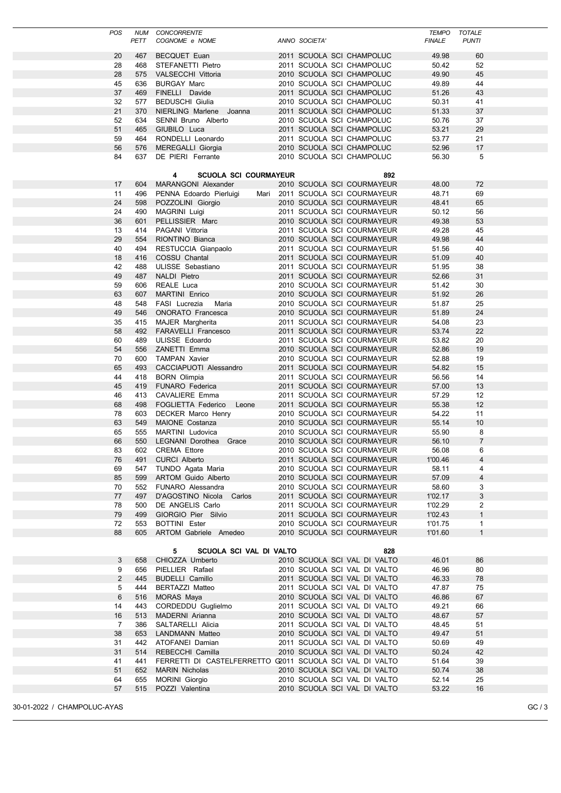|                             | <b>POS</b>     | <b>NUM</b> | <b>CONCORRENTE</b>                             |                           |                                                          | <b>TEMPO</b>   | <b>TOTALE</b>  |      |
|-----------------------------|----------------|------------|------------------------------------------------|---------------------------|----------------------------------------------------------|----------------|----------------|------|
|                             |                | PETT       | COGNOME e NOME                                 | ANNO SOCIETA'             |                                                          | <b>FINALE</b>  | <b>PUNTI</b>   |      |
|                             | 20             | 467        | <b>BECQUET Euan</b>                            | 2011 SCUOLA SCI CHAMPOLUC |                                                          | 49.98          | 60             |      |
|                             | 28             | 468        | STEFANETTI Pietro                              |                           | 2011 SCUOLA SCI CHAMPOLUC                                | 50.42          | 52             |      |
|                             | 28             | 575        | <b>VALSECCHI Vittoria</b>                      | 2010 SCUOLA SCI CHAMPOLUC |                                                          | 49.90          | 45             |      |
|                             | 45             | 636        | <b>BURGAY Marc</b>                             | 2010 SCUOLA SCI CHAMPOLUC |                                                          | 49.89          | 44             |      |
|                             | 37             | 469        | FINELLI Davide                                 | 2011 SCUOLA SCI CHAMPOLUC |                                                          | 51.26          | 43             |      |
|                             | 32             | 577        | <b>BEDUSCHI Giulia</b>                         |                           | 2010 SCUOLA SCI CHAMPOLUC                                | 50.31          | 41             |      |
|                             | 21             | 370        | NIERLING Marlene Joanna                        | 2011 SCUOLA SCI CHAMPOLUC |                                                          | 51.33          | 37             |      |
|                             | 52             | 634        | SENNI Bruno Alberto                            | 2010 SCUOLA SCI CHAMPOLUC |                                                          | 50.76          | 37             |      |
|                             | 51             | 465        | GIUBILO Luca                                   | 2011 SCUOLA SCI CHAMPOLUC |                                                          | 53.21          | 29             |      |
|                             | 59             | 464        | RONDELLI Leonardo                              |                           | 2011 SCUOLA SCI CHAMPOLUC                                | 53.77          | 21             |      |
|                             | 56             | 576        | MEREGALLI Giorgia                              | 2010 SCUOLA SCI CHAMPOLUC |                                                          | 52.96          | 17             |      |
|                             | 84             | 637        | DE PIERI Ferrante                              | 2010 SCUOLA SCI CHAMPOLUC |                                                          | 56.30          | 5              |      |
|                             |                |            | 4<br><b>SCUOLA SCI COURMAYEUR</b>              |                           | 892                                                      |                |                |      |
|                             | 17             | 604        | MARANGONI Alexander                            |                           | 2010 SCUOLA SCI COURMAYEUR                               | 48.00          | 72             |      |
|                             | 11             | 496        | PENNA Edoardo Pierluigi                        |                           | Mari 2011 SCUOLA SCI COURMAYEUR                          | 48.71          | 69             |      |
|                             | 24             | 598        | POZZOLINI Giorgio                              |                           | 2010 SCUOLA SCI COURMAYEUR                               | 48.41          | 65             |      |
|                             | 24             | 490        | MAGRINI Luigi                                  |                           | 2011 SCUOLA SCI COURMAYEUR                               | 50.12          | 56             |      |
|                             | 36             | 601        | PELLISSIER Marc                                |                           | 2010 SCUOLA SCI COURMAYEUR                               | 49.38          | 53             |      |
|                             | 13             | 414        | PAGANI Vittoria                                |                           | 2011 SCUOLA SCI COURMAYEUR                               | 49.28          | 45             |      |
|                             | 29             | 554        | RIONTINO Bianca                                |                           | 2010 SCUOLA SCI COURMAYEUR                               | 49.98          | 44             |      |
|                             | 40             | 494        | RESTUCCIA Gianpaolo                            |                           | 2011 SCUOLA SCI COURMAYEUR                               | 51.56          | 40             |      |
|                             | 18             | 416        | COSSU Chantal                                  |                           | 2011 SCUOLA SCI COURMAYEUR                               | 51.09          | 40             |      |
|                             | 42             | 488        | ULISSE Sebastiano                              |                           | 2011 SCUOLA SCI COURMAYEUR                               | 51.95          | 38             |      |
|                             | 49             | 487        | <b>NALDI Pietro</b>                            |                           | 2011 SCUOLA SCI COURMAYEUR                               | 52.66          | 31             |      |
|                             | 59             | 606        | <b>REALE Luca</b>                              |                           | 2010 SCUOLA SCI COURMAYEUR                               | 51.42          | 30             |      |
|                             | 63             | 607        | MARTINI Enrico                                 |                           | 2010 SCUOLA SCI COURMAYEUR                               | 51.92          | 26             |      |
|                             | 48             | 548        | FASI Lucrezia<br>Maria                         |                           | 2010 SCUOLA SCI COURMAYEUR                               | 51.87          | 25             |      |
|                             | 49             | 546        | ONORATO Francesca                              |                           | 2010 SCUOLA SCI COURMAYEUR                               | 51.89          | 24             |      |
|                             | 35             | 415        | <b>MAJER Margherita</b>                        |                           | 2011 SCUOLA SCI COURMAYEUR                               | 54.08          | 23             |      |
|                             | 58             | 492        | FARAVELLI Francesco                            |                           | 2011 SCUOLA SCI COURMAYEUR                               | 53.74          | 22             |      |
|                             | 60             | 489        | ULISSE Edoardo                                 |                           | 2011 SCUOLA SCI COURMAYEUR                               | 53.82          | 20             |      |
|                             | 54             | 556        | ZANETTI Emma                                   |                           | 2010 SCUOLA SCI COURMAYEUR                               | 52.86          | 19             |      |
|                             | 70<br>65       | 600<br>493 | <b>TAMPAN Xavier</b><br>CACCIAPUOTI Alessandro |                           | 2010 SCUOLA SCI COURMAYEUR<br>2011 SCUOLA SCI COURMAYEUR | 52.88<br>54.82 | 19<br>15       |      |
|                             | 44             | 418        | <b>BORN Olimpia</b>                            |                           | 2011 SCUOLA SCI COURMAYEUR                               | 56.56          | 14             |      |
|                             | 45             | 419        | <b>FUNARO</b> Federica                         |                           | 2011 SCUOLA SCI COURMAYEUR                               | 57.00          | 13             |      |
|                             | 46             | 413        | <b>CAVALIERE Emma</b>                          |                           | 2011 SCUOLA SCI COURMAYEUR                               | 57.29          | 12             |      |
|                             | 68             | 498        | FOGLIETTA Federico Leone                       |                           | 2011 SCUOLA SCI COURMAYEUR                               | 55.38          | 12             |      |
|                             | 78             | 603        | DECKER Marco Henry                             |                           | 2010 SCUOLA SCI COURMAYEUR                               | 54.22          | 11             |      |
|                             | 63             | 549        | MAIONE Costanza                                |                           | 2010 SCUOLA SCI COURMAYEUR                               | 55.14          | 10             |      |
|                             | 65             | 555        | MARTINI Ludovica                               |                           | 2010 SCUOLA SCI COURMAYEUR                               | 55.90          | 8              |      |
|                             | 66             | 550        | LEGNANI Dorothea Grace                         |                           | 2010 SCUOLA SCI COURMAYEUR                               | 56.10          | $\overline{7}$ |      |
|                             | 83             | 602        | <b>CREMA Ettore</b>                            |                           | 2010 SCUOLA SCI COURMAYEUR                               | 56.08          | 6              |      |
|                             | 76             | 491        | <b>CURCI Alberto</b>                           |                           | 2011 SCUOLA SCI COURMAYEUR                               | 1'00.46        | 4              |      |
|                             | 69             | 547        | TUNDO Agata Maria                              |                           | 2010 SCUOLA SCI COURMAYEUR                               | 58.11          | 4              |      |
|                             | 85             | 599        | <b>ARTOM Guido Alberto</b>                     |                           | 2010 SCUOLA SCI COURMAYEUR                               | 57.09          | 4              |      |
|                             | 70             | 552        | FUNARO Alessandra                              |                           | 2010 SCUOLA SCI COURMAYEUR                               | 58.60          | 3              |      |
|                             | 77             | 497        | D'AGOSTINO Nicola<br>Carlos                    |                           | 2011 SCUOLA SCI COURMAYEUR                               | 1'02.17        | 3              |      |
|                             | 78             | 500        | DE ANGELIS Carlo                               |                           | 2011 SCUOLA SCI COURMAYEUR                               | 1'02.29        | $\overline{2}$ |      |
|                             | 79             | 499        | GIORGIO Pier Silvio                            |                           | 2011 SCUOLA SCI COURMAYEUR                               | 1'02.43        | $\mathbf{1}$   |      |
|                             | 72             | 553        | <b>BOTTINI</b> Ester                           |                           | 2010 SCUOLA SCI COURMAYEUR                               | 1'01.75        | 1              |      |
|                             | 88             | 605        | ARTOM Gabriele Amedeo                          |                           | 2010 SCUOLA SCI COURMAYEUR                               | 1'01.60        | $\mathbf{1}$   |      |
|                             |                |            | 5<br>SCUOLA SCI VAL DI VALTO                   |                           | 828                                                      |                |                |      |
|                             | 3              | 658        | CHIOZZA Umberto                                |                           | 2010 SCUOLA SCI VAL DI VALTO                             | 46.01          | 86             |      |
|                             | 9              | 656        | PIELLIER Rafael                                |                           | 2010 SCUOLA SCI VAL DI VALTO                             | 46.96          | 80             |      |
|                             | 2              | 445        | <b>BUDELLI Camillo</b>                         |                           | 2011 SCUOLA SCI VAL DI VALTO                             | 46.33          | 78             |      |
|                             | 5              | 444        | BERTAZZI Matteo                                |                           | 2011 SCUOLA SCI VAL DI VALTO                             | 47.87          | 75             |      |
|                             | 6              | 516        | MORAS Maya                                     |                           | 2010 SCUOLA SCI VAL DI VALTO                             | 46.86          | 67             |      |
|                             | 14             | 443        | CORDEDDU Guglielmo                             |                           | 2011 SCUOLA SCI VAL DI VALTO                             | 49.21          | 66             |      |
|                             | 16             | 513        | MADERNI Arianna                                |                           | 2010 SCUOLA SCI VAL DI VALTO                             | 48.67          | 57             |      |
|                             | $\overline{7}$ | 386        | SALTARELLI Alicia                              |                           | 2011 SCUOLA SCI VAL DI VALTO                             | 48.45          | 51             |      |
|                             | 38             | 653        | <b>LANDMANN Matteo</b>                         |                           | 2010 SCUOLA SCI VAL DI VALTO                             | 49.47          | 51             |      |
|                             | 31             | 442        | ATOFANEI Damian                                |                           | 2011 SCUOLA SCI VAL DI VALTO                             | 50.69          | 49             |      |
|                             | 31             | 514        | REBECCHI Camilla                               |                           | 2010 SCUOLA SCI VAL DI VALTO                             | 50.24          | 42             |      |
|                             | 41             | 441        | FERRETTI DI CASTELFERRETTO                     |                           | G2011 SCUOLA SCI VAL DI VALTO                            | 51.64          | 39             |      |
|                             | 51             | 652        | <b>MARIN Nicholas</b>                          |                           | 2010 SCUOLA SCI VAL DI VALTO                             | 50.74          | 38             |      |
|                             | 64             | 655        | <b>MORINI</b> Giorgio                          |                           | 2010 SCUOLA SCI VAL DI VALTO                             | 52.14          | 25             |      |
|                             | 57             | 515        | POZZI Valentina                                |                           | 2010 SCUOLA SCI VAL DI VALTO                             | 53.22          | 16             |      |
| 30-01-2022 / CHAMPOLUC-AYAS |                |            |                                                |                           |                                                          |                |                | GC/3 |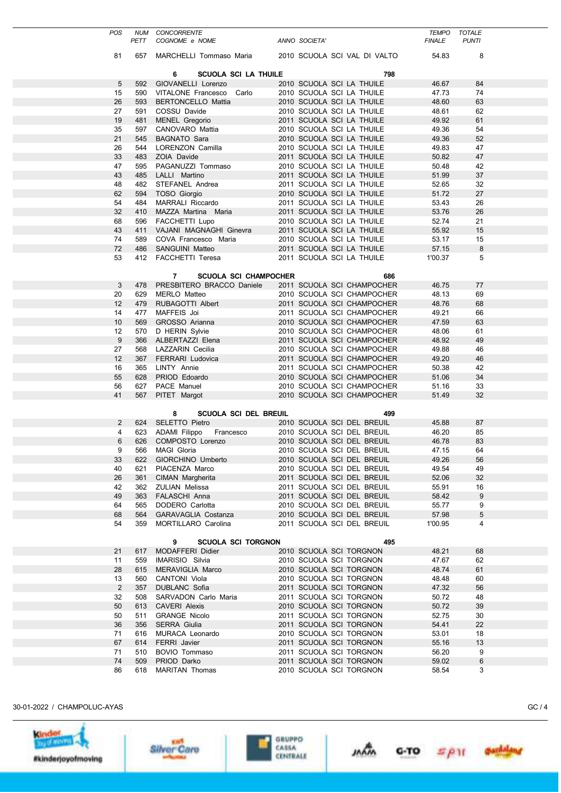| POS | PETT                  | NUM CONCORRENTE<br>COGNOME e NOME              | ANNO SOCIETA'              |                              | <b>TEMPO</b><br><b>FINALE</b> | <b>TOTALE</b><br><b>PUNTI</b> |  |
|-----|-----------------------|------------------------------------------------|----------------------------|------------------------------|-------------------------------|-------------------------------|--|
|     |                       |                                                |                            |                              |                               |                               |  |
| 81  |                       | 657 MARCHELLI Tommaso Maria                    |                            | 2010 SCUOLA SCI VAL DI VALTO | 54.83                         | 8                             |  |
|     |                       | <b>SCUOLA SCI LA THUILE</b><br>6               |                            | 798                          |                               |                               |  |
|     | 5<br>592              | GIOVANELLI Lorenzo                             | 2010 SCUOLA SCI LA THUILE  |                              | 46.67                         | 84                            |  |
|     | 15<br>590             | VITALONE Francesco Carlo                       | 2010 SCUOLA SCI LA THUILE  |                              | 47.73                         | 74                            |  |
| 26  | 593                   | <b>BERTONCELLO Mattia</b>                      | 2010 SCUOLA SCI LA THUILE  |                              | 48.60                         | 63                            |  |
|     | 27<br>591             | COSSU Davide                                   | 2010 SCUOLA SCI LA THUILE  |                              | 48.61                         | 62                            |  |
| 19  | 481                   | <b>MENEL Gregorio</b>                          | 2011 SCUOLA SCI LA THUILE  |                              | 49.92                         | 61                            |  |
| 35  | 597                   | CANOVARO Mattia                                | 2010 SCUOLA SCI LA THUILE  |                              | 49.36                         | 54                            |  |
| 21  | 545                   | <b>BAGNATO Sara</b>                            | 2010 SCUOLA SCI LA THUILE  |                              | 49.36                         | 52                            |  |
| 26  | 544                   | LORENZON Camilla                               | 2010 SCUOLA SCI LA THUILE  |                              | 49.83                         | 47                            |  |
|     | 33<br>483             | ZOIA Davide                                    | 2011 SCUOLA SCI LA THUILE  |                              | 50.82                         | 47                            |  |
|     | 47<br>595             | PAGANUZZI Tommaso                              | 2010 SCUOLA SCI LA THUILE  |                              | 50.48                         | 42                            |  |
| 43  | 485                   | LALLI Martino                                  | 2011 SCUOLA SCI LA THUILE  |                              | 51.99                         | 37                            |  |
|     | 48<br>482             | STEFANEL Andrea                                | 2011 SCUOLA SCI LA THUILE  |                              | 52.65                         | 32                            |  |
|     | 62<br>594             | <b>TOSO Giorgio</b>                            | 2010 SCUOLA SCI LA THUILE  |                              | 51.72                         | 27                            |  |
|     | 54<br>484             | MARRALI Riccardo                               | 2011 SCUOLA SCI LA THUILE  |                              | 53.43                         | 26                            |  |
| 32  | 410                   | MAZZA Martina Maria                            | 2011 SCUOLA SCI LA THUILE  |                              | 53.76                         | 26                            |  |
|     | 68<br>596             | FACCHETTI Lupo                                 | 2010 SCUOLA SCI LA THUILE  |                              | 52.74                         | 21                            |  |
| 43  | 411                   | VAJANI MAGNAGHI Ginevra                        | 2011 SCUOLA SCI LA THUILE  |                              | 55.92                         | 15                            |  |
|     |                       |                                                |                            |                              |                               |                               |  |
|     | 74<br>589             | COVA Francesco Maria                           | 2010 SCUOLA SCI LA THUILE  |                              | 53.17                         | 15                            |  |
|     | 72<br>486             | <b>SANGUINI Matteo</b>                         | 2011 SCUOLA SCI LA THUILE  |                              | 57.15                         | 8                             |  |
|     | 53<br>412             | <b>FACCHETTI Teresa</b>                        | 2011 SCUOLA SCI LA THUILE  |                              | 1'00.37                       | 5                             |  |
|     |                       | $\overline{7}$<br><b>SCUOLA SCI CHAMPOCHER</b> |                            | 686                          |                               |                               |  |
|     | 3<br>478              | PRESBITERO BRACCO Daniele                      |                            | 2011 SCUOLA SCI CHAMPOCHER   | 46.75                         | 77                            |  |
|     |                       | MERLO Matteo                                   |                            |                              |                               |                               |  |
|     | 20<br>629             |                                                |                            | 2010 SCUOLA SCI CHAMPOCHER   | 48.13                         | 69                            |  |
|     | 12<br>479             | <b>RUBAGOTTI Albert</b>                        |                            | 2011 SCUOLA SCI CHAMPOCHER   | 48.76                         | 68                            |  |
|     | 14<br>477             | MAFFEIS Joi                                    |                            | 2011 SCUOLA SCI CHAMPOCHER   | 49.21                         | 66                            |  |
|     | 10<br>569             | GROSSO Arianna                                 |                            | 2010 SCUOLA SCI CHAMPOCHER   | 47.59                         | 63                            |  |
|     | 12<br>570             | D HERIN Sylvie                                 |                            | 2010 SCUOLA SCI CHAMPOCHER   | 48.06                         | 61                            |  |
|     | 9<br>366              | ALBERTAZZI Elena                               |                            | 2011 SCUOLA SCI CHAMPOCHER   | 48.92                         | 49                            |  |
|     | 27<br>568             | LAZZARIN Cecilia                               |                            | 2010 SCUOLA SCI CHAMPOCHER   | 49.88                         | 46                            |  |
|     | 12<br>367             | <b>FERRARI Ludovica</b>                        |                            | 2011 SCUOLA SCI CHAMPOCHER   | 49.20                         | 46                            |  |
|     | 365<br>16             | LINTY Annie                                    |                            | 2011 SCUOLA SCI CHAMPOCHER   | 50.38                         | 42                            |  |
| 55  | 628                   | PRIOD Edoardo                                  |                            | 2010 SCUOLA SCI CHAMPOCHER   | 51.06                         | 34                            |  |
|     | 56<br>627             | PACE Manuel                                    |                            | 2010 SCUOLA SCI CHAMPOCHER   | 51.16                         | 33                            |  |
| 41  | 567                   | PITET Margot                                   |                            | 2010 SCUOLA SCI CHAMPOCHER   | 51.49                         | 32                            |  |
|     |                       |                                                |                            |                              |                               |                               |  |
|     |                       | SCUOLA SCI DEL BREUIL<br>8                     |                            | 499                          |                               |                               |  |
|     | 2<br>624<br>4         | <b>SELETTO Pietro</b>                          | 2010 SCUOLA SCI DEL BREUIL |                              | 45.88<br>46.20                | 87                            |  |
|     | 623                   | ADAMI Filippo<br>Francesco                     | 2010 SCUOLA SCI DEL BREUIL |                              |                               | 85                            |  |
|     | 6<br>626              | COMPOSTO Lorenzo                               | 2010 SCUOLA SCI DEL BREUIL |                              | 46.78                         | 83                            |  |
|     | 9<br>566              | MAGI Gloria                                    | 2010 SCUOLA SCI DEL BREUIL |                              | 47.15                         | 64                            |  |
|     | 33<br>622             | GIORCHINO Umberto                              | 2010 SCUOLA SCI DEL BREUIL |                              | 49.26                         | 56                            |  |
| 40  | 621                   | PIACENZA Marco                                 | 2010 SCUOLA SCI DEL BREUIL |                              | 49.54                         | 49                            |  |
| 26  | 361                   | CIMAN Margherita                               | 2011 SCUOLA SCI DEL BREUIL |                              | 52.06                         | 32                            |  |
|     | 42<br>362             | <b>ZULIAN Melissa</b>                          | 2011 SCUOLA SCI DEL BREUIL |                              | 55.91                         | 16                            |  |
| 49  | 363                   | FALASCHI Anna                                  | 2011 SCUOLA SCI DEL BREUIL |                              | 58.42                         | 9                             |  |
|     | 64<br>565             | DODERO Carlotta                                | 2010 SCUOLA SCI DEL BREUIL |                              | 55.77                         | 9                             |  |
| 68  | 564                   | GARAVAGLIA Costanza                            | 2010 SCUOLA SCI DEL BREUIL |                              | 57.98                         | 5                             |  |
|     | 54<br>359             | MORTILLARO Carolina                            | 2011 SCUOLA SCI DEL BREUIL |                              | 1'00.95                       | 4                             |  |
|     |                       |                                                |                            |                              |                               |                               |  |
|     |                       | 9<br><b>SCUOLA SCI TORGNON</b>                 |                            | 495                          |                               |                               |  |
| 21  | 617                   | MODAFFERI Didier                               | 2010 SCUOLA SCI TORGNON    |                              | 48.21                         | 68                            |  |
| 11  | 559                   | <b>IMARISIO Silvia</b>                         | 2010 SCUOLA SCI TORGNON    |                              | 47.67                         | 62                            |  |
| 28  | 615                   | MERAVIGLIA Marco                               | 2010 SCUOLA SCI TORGNON    |                              | 48.74                         | 61                            |  |
|     | 13<br>560             | <b>CANTONI Viola</b>                           | 2010 SCUOLA SCI TORGNON    |                              | 48.48                         | 60                            |  |
|     | $\overline{2}$<br>357 | <b>DUBLANC Sofia</b>                           | 2011 SCUOLA SCI TORGNON    |                              | 47.32                         | 56                            |  |
| 32  | 508                   | SARVADON Carlo Maria                           | 2011 SCUOLA SCI TORGNON    |                              | 50.72                         | 48                            |  |
|     | 50<br>613             | <b>CAVERI Alexis</b>                           | 2010 SCUOLA SCI TORGNON    |                              | 50.72                         | 39                            |  |
| 50  | 511                   | <b>GRANGE Nicolo</b>                           | 2011 SCUOLA SCI TORGNON    |                              | 52.75                         | 30                            |  |
| 36  | 356                   | <b>SERRA Giulia</b>                            | 2011 SCUOLA SCI TORGNON    |                              | 54.41                         | 22                            |  |
| 71  | 616                   | MURACA Leonardo                                | 2010 SCUOLA SCI TORGNON    |                              | 53.01                         | 18                            |  |
| 67  | 614                   | <b>FERRI</b> Javier                            | 2011 SCUOLA SCI TORGNON    |                              | 55.16                         | 13                            |  |
| 71  | 510                   | <b>BOVIO Tommaso</b>                           | 2011 SCUOLA SCI TORGNON    |                              | 56.20                         | 9                             |  |
| 74  | 509                   | PRIOD Darko                                    | 2011 SCUOLA SCI TORGNON    |                              | 59.02                         | $\,6$                         |  |
| 86  | 618                   | <b>MARITAN Thomas</b>                          | 2010 SCUOLA SCI TORGNON    |                              | 58.54                         | 3                             |  |
|     |                       |                                                |                            |                              |                               |                               |  |











*<i><u><b>gardalang*</u>